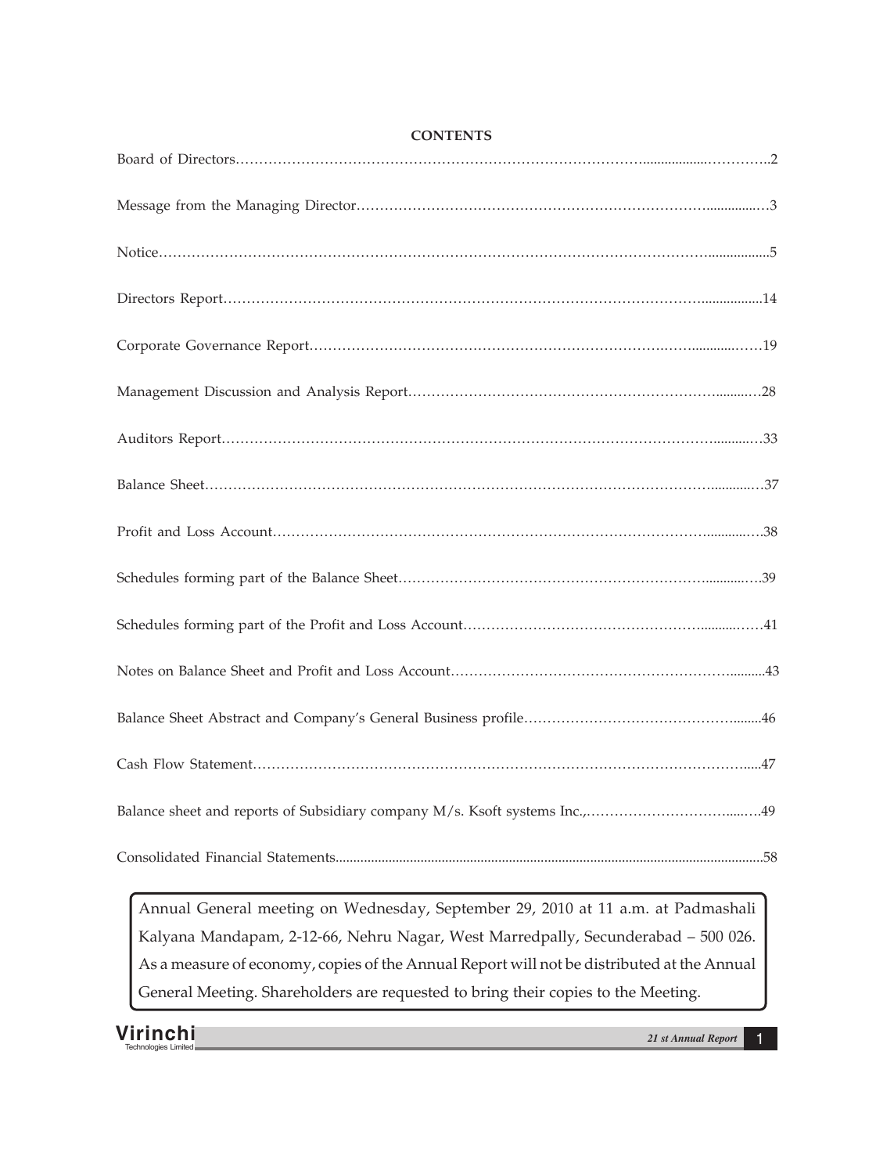**CONTENTS**

Annual General meeting on Wednesday, September 29, 2010 at 11 a.m. at Padmashali Kalyana Mandapam, 2-12-66, Nehru Nagar, West Marredpally, Secunderabad – 500 026. As a measure of economy, copies of the Annual Report will not be distributed at the Annual General Meeting. Shareholders are requested to bring their copies to the Meeting.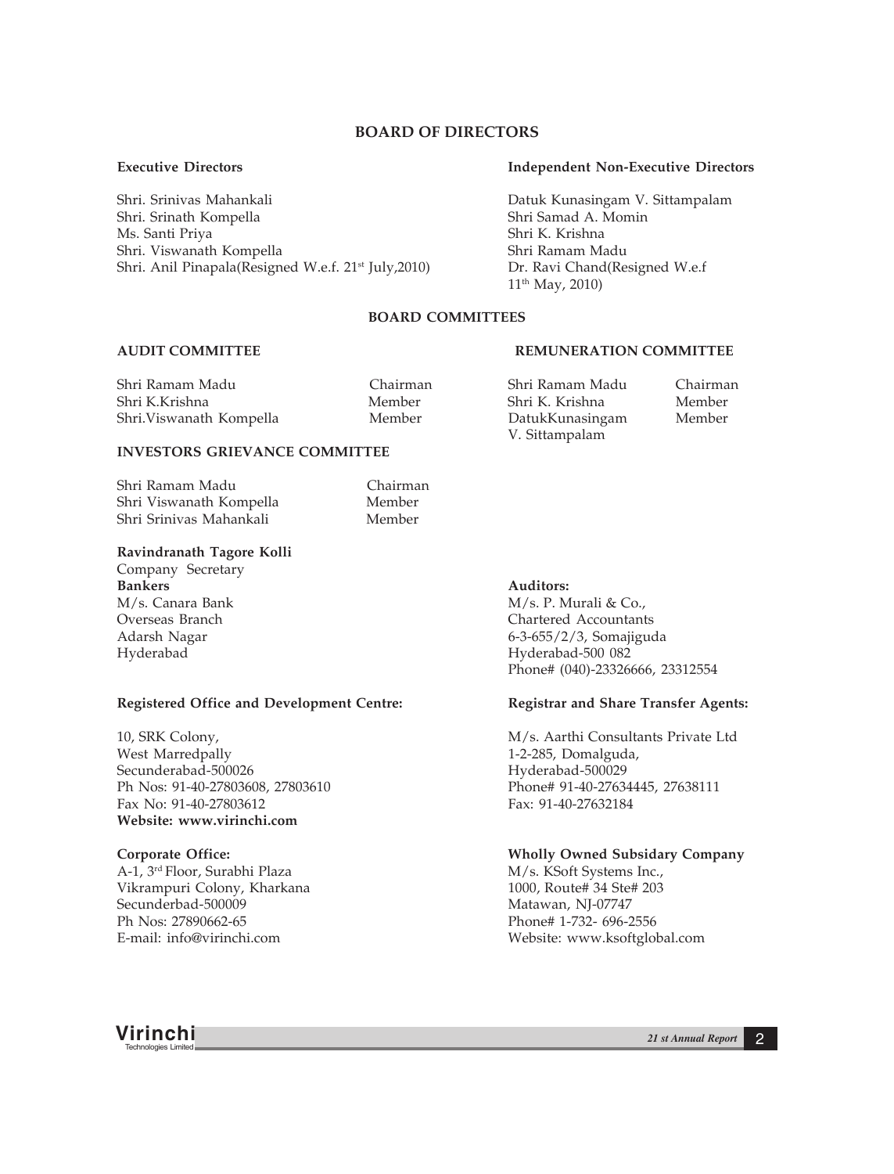# **BOARD OF DIRECTORS**

Shri. Srinivas Mahankali Datuk Kunasingam V. Sittampalam Shri. Srinath Kompella Ms. Santi Priya Shri K. Krishna Shri. Viswanath Kompella Shri Ramam Madu Shri. Anil Pinapala(Resigned W.e.f. 21<sup>st</sup> July, 2010) Dr. Ravi Chand(Resigned W.e.f

### **Executive Directors Independent Non-Executive Directors**

11th May, 2010)

## **BOARD COMMITTEES**

### **AUDIT COMMITTEE REMUNERATION COMMITTEE**

| Shri Ramam Madu          | Chairman | Shri Ramam Madu | Chairman |
|--------------------------|----------|-----------------|----------|
| Shri K.Krishna           | Member   | Shri K. Krishna | Member   |
| Shri. Viswanath Kompella | Member   | DatukKunasingam | Member   |
|                          |          | V. Sittampalam  |          |

# **INVESTORS GRIEVANCE COMMITTEE**

| Chairman |
|----------|
| Member   |
| Member   |
|          |

### **Ravindranath Tagore Kolli**

Company Secretary **Bankers** Auditors:

#### **Registered Office and Development Centre: Registrar and Share Transfer Agents:**

West Marredpally **1-2-285**, Domalguda, Secunderabad-500026 Hyderabad-500029 Ph Nos: 91-40-27803608, 27803610 Phone# 91-40-27634445, 27638111 Fax No: 91-40-27803612 Fax: 91-40-27632184 **Website: www.virinchi.com**

A-1, 3<sup>rd</sup> Floor, Surabhi Plaza M/s. KSoft Systems Inc., Vikrampuri Colony, Kharkana 1000, Route# 34 Ste# 203 Secunderbad-500009 Matawan, NJ-07747

M/s. Canara Bank M/s. P. Murali & Co., November 2014 M/s. P. Murali & Co., November 2016 Chartered Accountants Adarsh Nagar 6-3-655/2/3, Somajiguda Hyderabad Hyderabad-500 082 Phone# (040)-23326666, 23312554

10, SRK Colony, M/s. Aarthi Consultants Private Ltd

#### **Corporate Office: Wholly Owned Subsidary Company**

Phone# 1-732- 696-2556 E-mail: info@virinchi.com Website: www.ksoftglobal.com

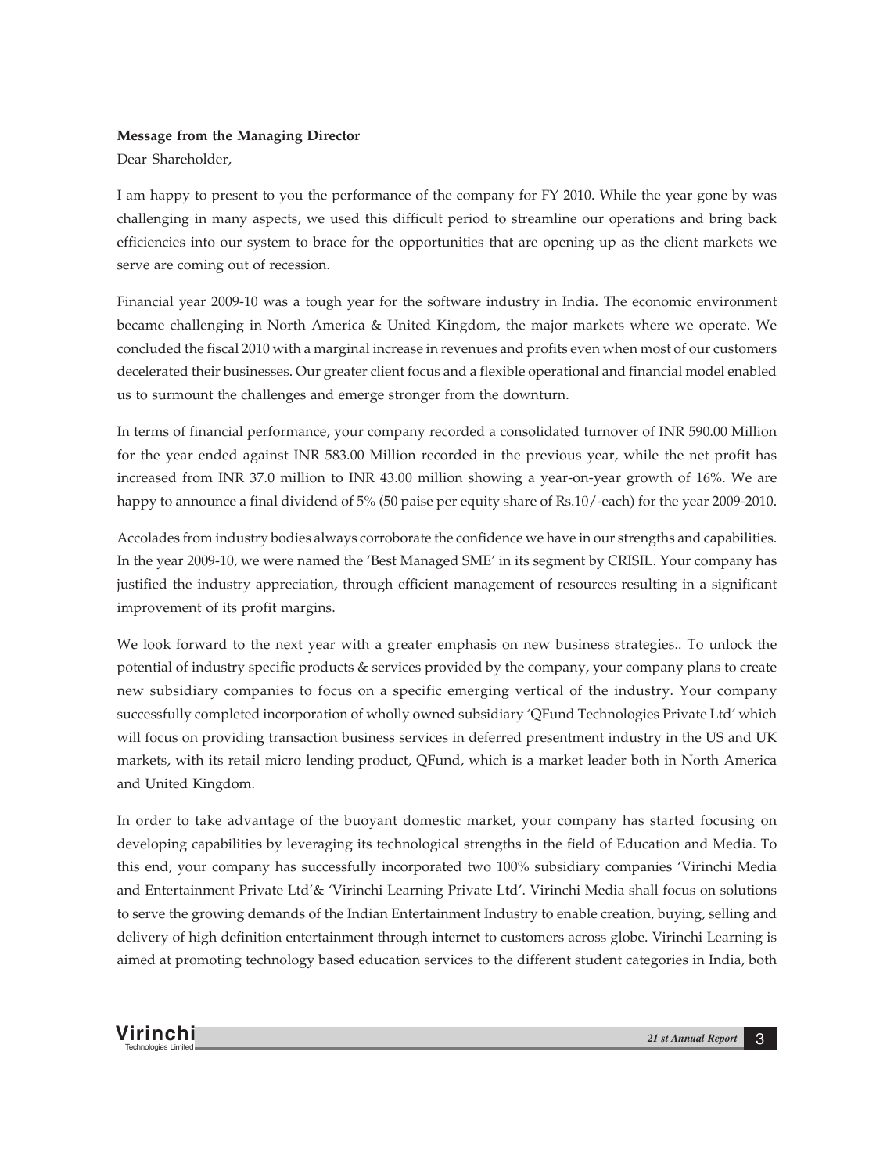# **Message from the Managing Director**

Dear Shareholder,

I am happy to present to you the performance of the company for FY 2010. While the year gone by was challenging in many aspects, we used this difficult period to streamline our operations and bring back efficiencies into our system to brace for the opportunities that are opening up as the client markets we serve are coming out of recession.

Financial year 2009-10 was a tough year for the software industry in India. The economic environment became challenging in North America & United Kingdom, the major markets where we operate. We concluded the fiscal 2010 with a marginal increase in revenues and profits even when most of our customers decelerated their businesses. Our greater client focus and a flexible operational and financial model enabled us to surmount the challenges and emerge stronger from the downturn.

In terms of financial performance, your company recorded a consolidated turnover of INR 590.00 Million for the year ended against INR 583.00 Million recorded in the previous year, while the net profit has increased from INR 37.0 million to INR 43.00 million showing a year-on-year growth of 16%. We are happy to announce a final dividend of 5% (50 paise per equity share of Rs.10/-each) for the year 2009-2010.

Accolades from industry bodies always corroborate the confidence we have in our strengths and capabilities. In the year 2009-10, we were named the 'Best Managed SME' in its segment by CRISIL. Your company has justified the industry appreciation, through efficient management of resources resulting in a significant improvement of its profit margins.

We look forward to the next year with a greater emphasis on new business strategies.. To unlock the potential of industry specific products & services provided by the company, your company plans to create new subsidiary companies to focus on a specific emerging vertical of the industry. Your company successfully completed incorporation of wholly owned subsidiary 'QFund Technologies Private Ltd' which will focus on providing transaction business services in deferred presentment industry in the US and UK markets, with its retail micro lending product, QFund, which is a market leader both in North America and United Kingdom.

In order to take advantage of the buoyant domestic market, your company has started focusing on developing capabilities by leveraging its technological strengths in the field of Education and Media. To this end, your company has successfully incorporated two 100% subsidiary companies 'Virinchi Media and Entertainment Private Ltd'& 'Virinchi Learning Private Ltd'. Virinchi Media shall focus on solutions to serve the growing demands of the Indian Entertainment Industry to enable creation, buying, selling and delivery of high definition entertainment through internet to customers across globe. Virinchi Learning is aimed at promoting technology based education services to the different student categories in India, both

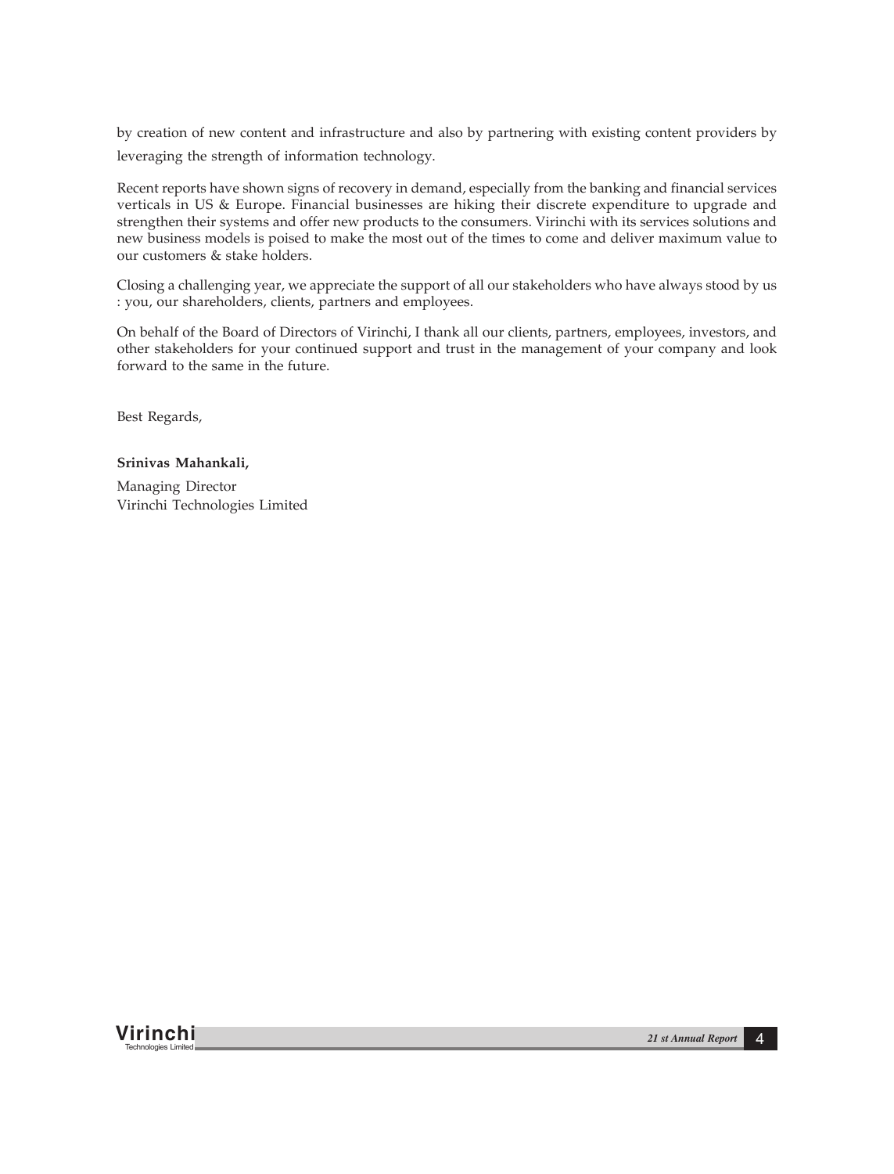by creation of new content and infrastructure and also by partnering with existing content providers by leveraging the strength of information technology.

Recent reports have shown signs of recovery in demand, especially from the banking and financial services verticals in US & Europe. Financial businesses are hiking their discrete expenditure to upgrade and strengthen their systems and offer new products to the consumers. Virinchi with its services solutions and new business models is poised to make the most out of the times to come and deliver maximum value to our customers & stake holders.

Closing a challenging year, we appreciate the support of all our stakeholders who have always stood by us : you, our shareholders, clients, partners and employees.

On behalf of the Board of Directors of Virinchi, I thank all our clients, partners, employees, investors, and other stakeholders for your continued support and trust in the management of your company and look forward to the same in the future.

Best Regards,

# **Srinivas Mahankali,**

Managing Director Virinchi Technologies Limited

**Virinchi** *21 st Annual Report* <sup>4</sup> Technologies Limited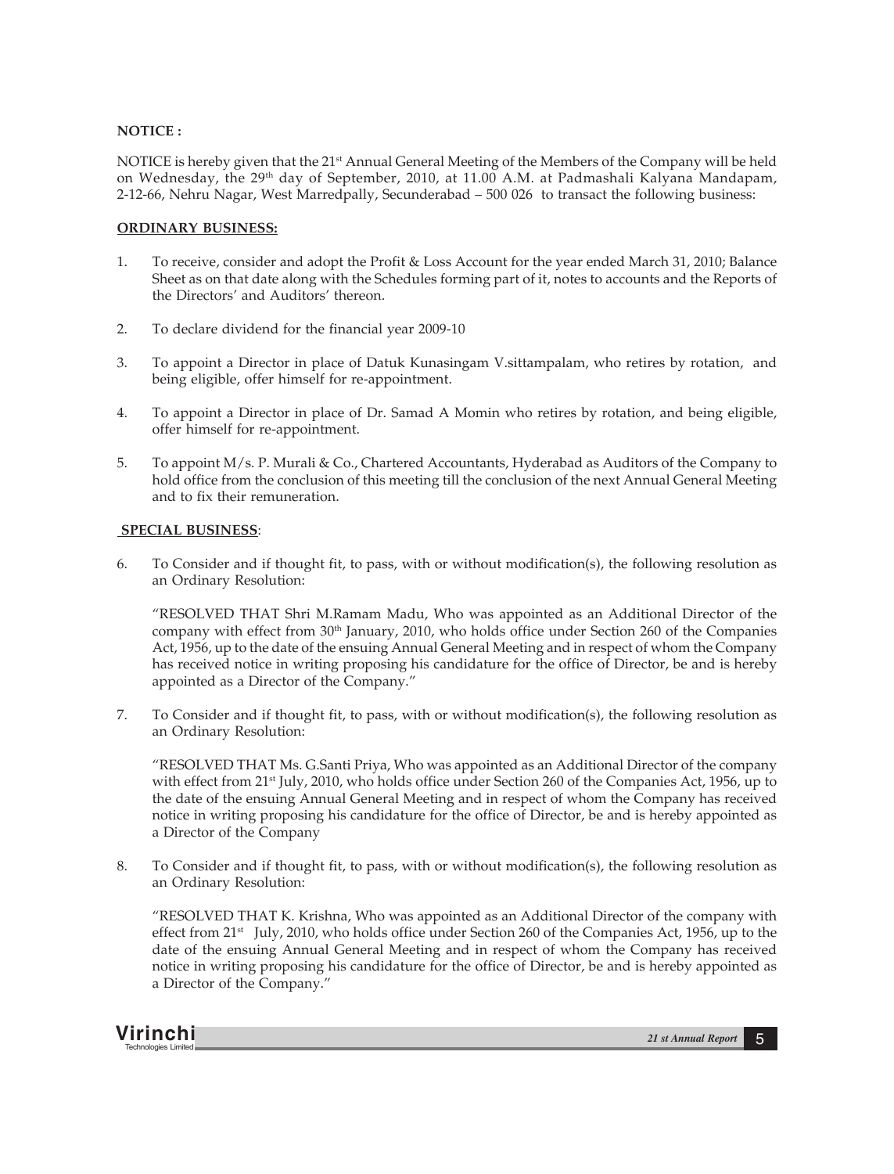### **NOTICE :**

NOTICE is hereby given that the 21<sup>st</sup> Annual General Meeting of the Members of the Company will be held on Wednesday, the 29<sup>th</sup> day of September, 2010, at 11.00 A.M. at Padmashali Kalyana Mandapam, 2-12-66, Nehru Nagar, West Marredpally, Secunderabad – 500 026 to transact the following business:

# **ORDINARY BUSINESS:**

- 1. To receive, consider and adopt the Profit & Loss Account for the year ended March 31, 2010; Balance Sheet as on that date along with the Schedules forming part of it, notes to accounts and the Reports of the Directors' and Auditors' thereon.
- 2. To declare dividend for the financial year 2009-10
- 3. To appoint a Director in place of Datuk Kunasingam V.sittampalam, who retires by rotation, and being eligible, offer himself for re-appointment.
- 4. To appoint a Director in place of Dr. Samad A Momin who retires by rotation, and being eligible, offer himself for re-appointment.
- 5. To appoint M/s. P. Murali & Co., Chartered Accountants, Hyderabad as Auditors of the Company to hold office from the conclusion of this meeting till the conclusion of the next Annual General Meeting and to fix their remuneration.

## **SPECIAL BUSINESS**:

6. To Consider and if thought fit, to pass, with or without modification(s), the following resolution as an Ordinary Resolution:

"RESOLVED THAT Shri M.Ramam Madu, Who was appointed as an Additional Director of the company with effect from 30<sup>th</sup> January, 2010, who holds office under Section 260 of the Companies Act, 1956, up to the date of the ensuing Annual General Meeting and in respect of whom the Company has received notice in writing proposing his candidature for the office of Director, be and is hereby appointed as a Director of the Company."

7. To Consider and if thought fit, to pass, with or without modification(s), the following resolution as an Ordinary Resolution:

"RESOLVED THAT Ms. G.Santi Priya, Who was appointed as an Additional Director of the company with effect from 21<sup>st</sup> July, 2010, who holds office under Section 260 of the Companies Act, 1956, up to the date of the ensuing Annual General Meeting and in respect of whom the Company has received notice in writing proposing his candidature for the office of Director, be and is hereby appointed as a Director of the Company

8. To Consider and if thought fit, to pass, with or without modification(s), the following resolution as an Ordinary Resolution:

"RESOLVED THAT K. Krishna, Who was appointed as an Additional Director of the company with effect from 21<sup>st</sup> July, 2010, who holds office under Section 260 of the Companies Act, 1956, up to the date of the ensuing Annual General Meeting and in respect of whom the Company has received notice in writing proposing his candidature for the office of Director, be and is hereby appointed as a Director of the Company."

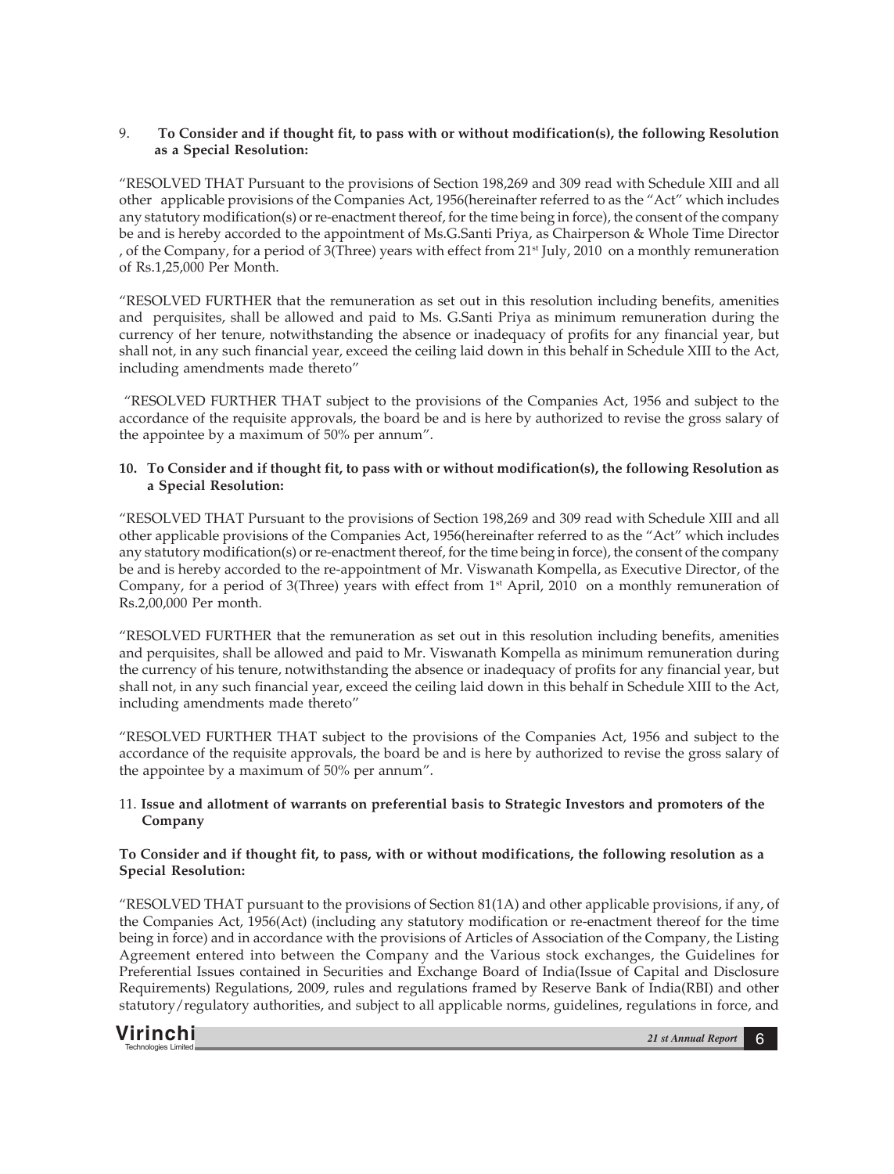# 9. **To Consider and if thought fit, to pass with or without modification(s), the following Resolution as a Special Resolution:**

"RESOLVED THAT Pursuant to the provisions of Section 198,269 and 309 read with Schedule XIII and all other applicable provisions of the Companies Act, 1956(hereinafter referred to as the "Act" which includes any statutory modification(s) or re-enactment thereof, for the time being in force), the consent of the company be and is hereby accorded to the appointment of Ms.G.Santi Priya, as Chairperson & Whole Time Director , of the Company, for a period of 3(Three) years with effect from  $21<sup>st</sup>$  July, 2010 on a monthly remuneration of Rs.1,25,000 Per Month.

"RESOLVED FURTHER that the remuneration as set out in this resolution including benefits, amenities and perquisites, shall be allowed and paid to Ms. G.Santi Priya as minimum remuneration during the currency of her tenure, notwithstanding the absence or inadequacy of profits for any financial year, but shall not, in any such financial year, exceed the ceiling laid down in this behalf in Schedule XIII to the Act, including amendments made thereto"

 "RESOLVED FURTHER THAT subject to the provisions of the Companies Act, 1956 and subject to the accordance of the requisite approvals, the board be and is here by authorized to revise the gross salary of the appointee by a maximum of 50% per annum".

# **10. To Consider and if thought fit, to pass with or without modification(s), the following Resolution as a Special Resolution:**

"RESOLVED THAT Pursuant to the provisions of Section 198,269 and 309 read with Schedule XIII and all other applicable provisions of the Companies Act, 1956(hereinafter referred to as the "Act" which includes any statutory modification(s) or re-enactment thereof, for the time being in force), the consent of the company be and is hereby accorded to the re-appointment of Mr. Viswanath Kompella, as Executive Director, of the Company, for a period of 3(Three) years with effect from  $1<sup>st</sup>$  April, 2010 on a monthly remuneration of Rs.2,00,000 Per month.

"RESOLVED FURTHER that the remuneration as set out in this resolution including benefits, amenities and perquisites, shall be allowed and paid to Mr. Viswanath Kompella as minimum remuneration during the currency of his tenure, notwithstanding the absence or inadequacy of profits for any financial year, but shall not, in any such financial year, exceed the ceiling laid down in this behalf in Schedule XIII to the Act, including amendments made thereto"

"RESOLVED FURTHER THAT subject to the provisions of the Companies Act, 1956 and subject to the accordance of the requisite approvals, the board be and is here by authorized to revise the gross salary of the appointee by a maximum of 50% per annum".

# 11. **Issue and allotment of warrants on preferential basis to Strategic Investors and promoters of the Company**

# **To Consider and if thought fit, to pass, with or without modifications, the following resolution as a Special Resolution:**

"RESOLVED THAT pursuant to the provisions of Section 81(1A) and other applicable provisions, if any, of the Companies Act, 1956(Act) (including any statutory modification or re-enactment thereof for the time being in force) and in accordance with the provisions of Articles of Association of the Company, the Listing Agreement entered into between the Company and the Various stock exchanges, the Guidelines for Preferential Issues contained in Securities and Exchange Board of India(Issue of Capital and Disclosure Requirements) Regulations, 2009, rules and regulations framed by Reserve Bank of India(RBI) and other statutory/regulatory authorities, and subject to all applicable norms, guidelines, regulations in force, and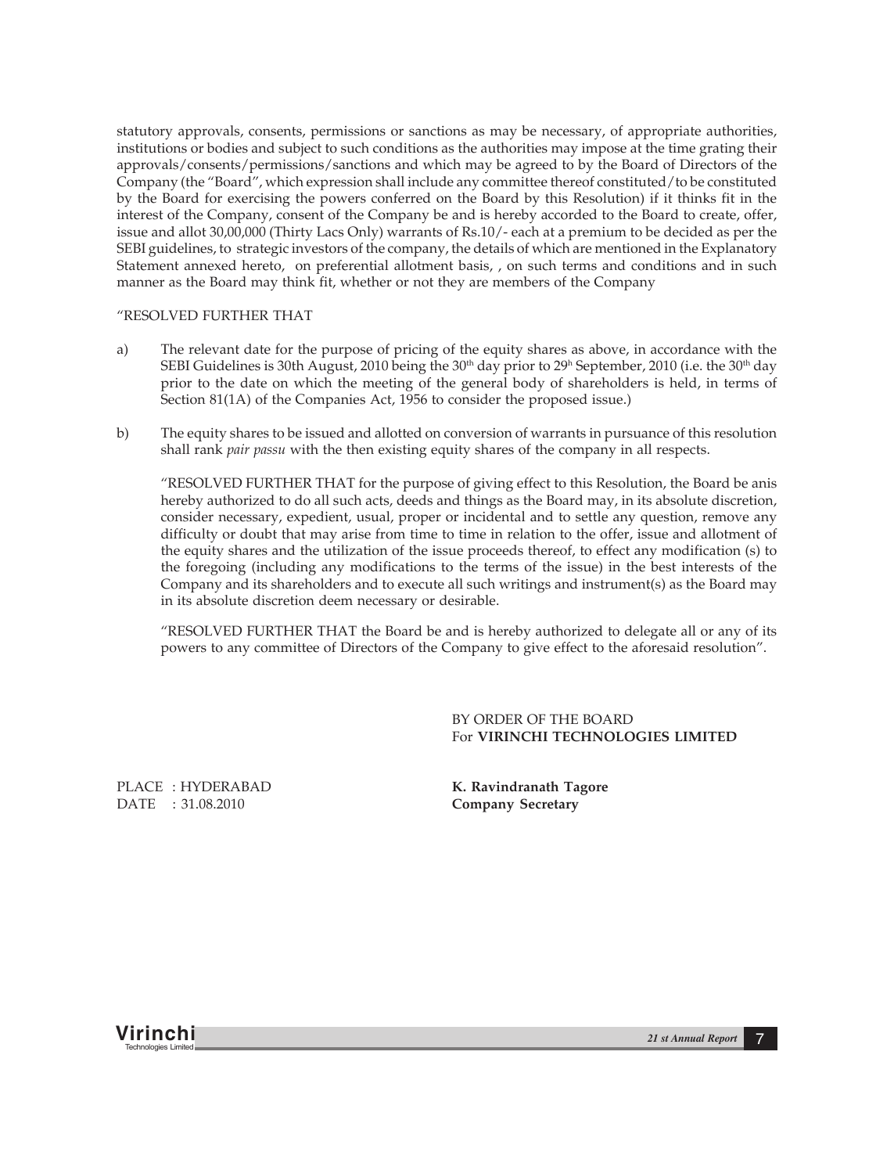statutory approvals, consents, permissions or sanctions as may be necessary, of appropriate authorities, institutions or bodies and subject to such conditions as the authorities may impose at the time grating their approvals/consents/permissions/sanctions and which may be agreed to by the Board of Directors of the Company (the "Board", which expression shall include any committee thereof constituted/to be constituted by the Board for exercising the powers conferred on the Board by this Resolution) if it thinks fit in the interest of the Company, consent of the Company be and is hereby accorded to the Board to create, offer, issue and allot 30,00,000 (Thirty Lacs Only) warrants of Rs.10/- each at a premium to be decided as per the SEBI guidelines, to strategic investors of the company, the details of which are mentioned in the Explanatory Statement annexed hereto, on preferential allotment basis, , on such terms and conditions and in such manner as the Board may think fit, whether or not they are members of the Company

### "RESOLVED FURTHER THAT

- a) The relevant date for the purpose of pricing of the equity shares as above, in accordance with the SEBI Guidelines is 30th August, 2010 being the 30<sup>th</sup> day prior to 29<sup>h</sup> September, 2010 (i.e. the 30<sup>th</sup> day prior to the date on which the meeting of the general body of shareholders is held, in terms of Section 81(1A) of the Companies Act, 1956 to consider the proposed issue.)
- b) The equity shares to be issued and allotted on conversion of warrants in pursuance of this resolution shall rank *pair passu* with the then existing equity shares of the company in all respects.

"RESOLVED FURTHER THAT for the purpose of giving effect to this Resolution, the Board be anis hereby authorized to do all such acts, deeds and things as the Board may, in its absolute discretion, consider necessary, expedient, usual, proper or incidental and to settle any question, remove any difficulty or doubt that may arise from time to time in relation to the offer, issue and allotment of the equity shares and the utilization of the issue proceeds thereof, to effect any modification (s) to the foregoing (including any modifications to the terms of the issue) in the best interests of the Company and its shareholders and to execute all such writings and instrument(s) as the Board may in its absolute discretion deem necessary or desirable.

"RESOLVED FURTHER THAT the Board be and is hereby authorized to delegate all or any of its powers to any committee of Directors of the Company to give effect to the aforesaid resolution".

> BY ORDER OF THE BOARD For **VIRINCHI TECHNOLOGIES LIMITED**

PLACE : HYDERABAD **K. Ravindranath Tagore** DATE : 31.08.2010 **Company Secretary**

**Virinchi** *21 st Annual Report* <sup>7</sup> Technologies Limited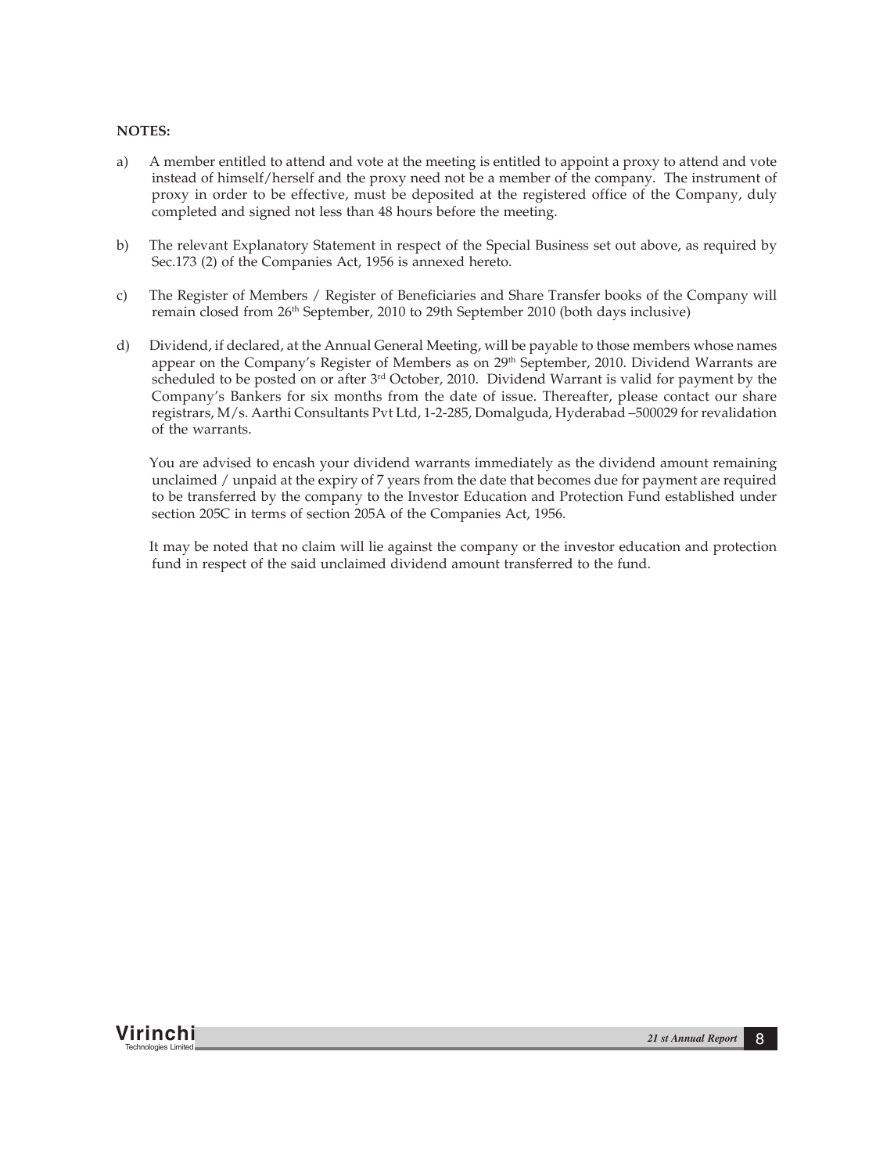# **NOTES:**

- a) A member entitled to attend and vote at the meeting is entitled to appoint a proxy to attend and vote instead of himself/herself and the proxy need not be a member of the company. The instrument of proxy in order to be effective, must be deposited at the registered office of the Company, duly completed and signed not less than 48 hours before the meeting.
- b) The relevant Explanatory Statement in respect of the Special Business set out above, as required by Sec.173 (2) of the Companies Act, 1956 is annexed hereto.
- c) The Register of Members / Register of Beneficiaries and Share Transfer books of the Company will remain closed from 26th September, 2010 to 29th September 2010 (both days inclusive)
- d) Dividend, if declared, at the Annual General Meeting, will be payable to those members whose names appear on the Company's Register of Members as on 29<sup>th</sup> September, 2010. Dividend Warrants are scheduled to be posted on or after 3<sup>rd</sup> October, 2010. Dividend Warrant is valid for payment by the Company's Bankers for six months from the date of issue. Thereafter, please contact our share registrars, M/s. Aarthi Consultants Pvt Ltd, 1-2-285, Domalguda, Hyderabad –500029 for revalidation of the warrants.

You are advised to encash your dividend warrants immediately as the dividend amount remaining unclaimed / unpaid at the expiry of 7 years from the date that becomes due for payment are required to be transferred by the company to the Investor Education and Protection Fund established under section 205C in terms of section 205A of the Companies Act, 1956.

It may be noted that no claim will lie against the company or the investor education and protection fund in respect of the said unclaimed dividend amount transferred to the fund.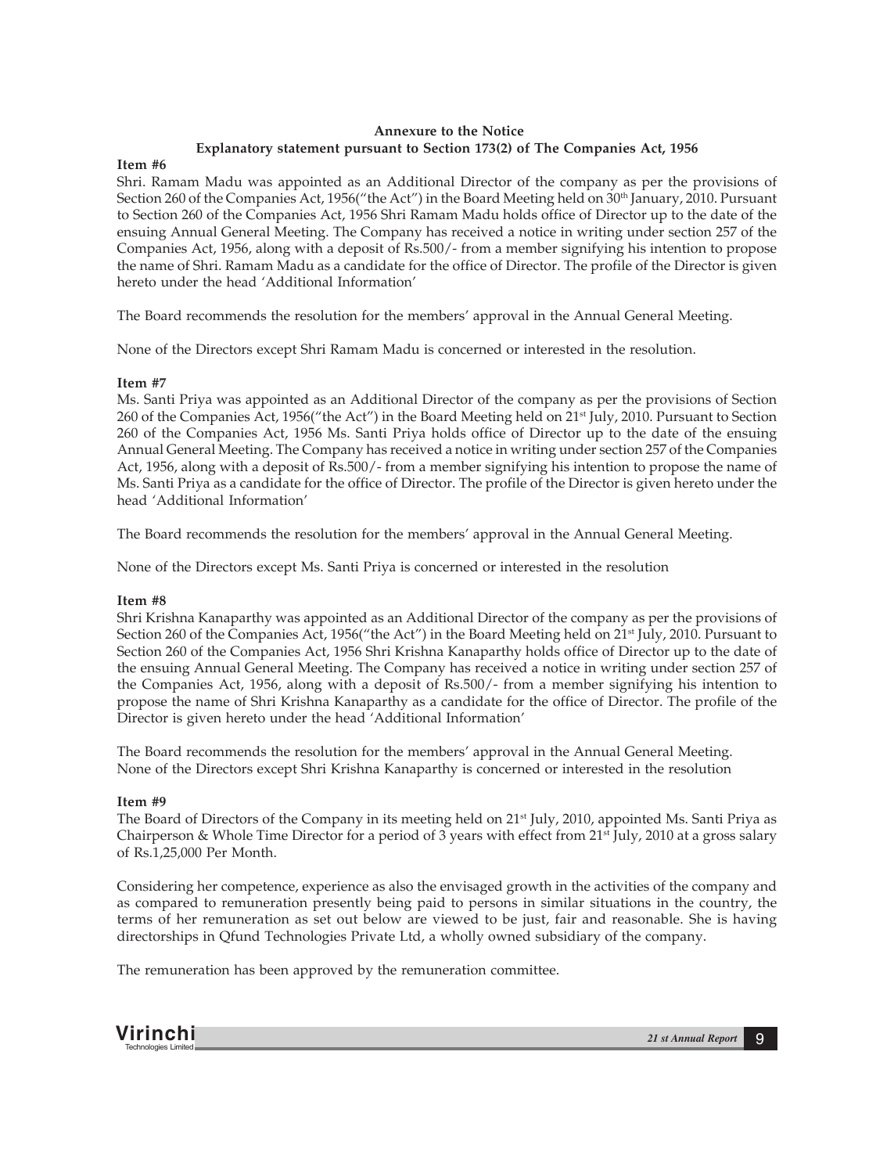# **Annexure to the Notice Explanatory statement pursuant to Section 173(2) of The Companies Act, 1956**

## **Item #6**

Shri. Ramam Madu was appointed as an Additional Director of the company as per the provisions of Section 260 of the Companies Act, 1956("the Act") in the Board Meeting held on 30<sup>th</sup> January, 2010. Pursuant to Section 260 of the Companies Act, 1956 Shri Ramam Madu holds office of Director up to the date of the ensuing Annual General Meeting. The Company has received a notice in writing under section 257 of the Companies Act, 1956, along with a deposit of Rs.500/- from a member signifying his intention to propose the name of Shri. Ramam Madu as a candidate for the office of Director. The profile of the Director is given hereto under the head 'Additional Information'

The Board recommends the resolution for the members' approval in the Annual General Meeting.

None of the Directors except Shri Ramam Madu is concerned or interested in the resolution.

# **Item #7**

Ms. Santi Priya was appointed as an Additional Director of the company as per the provisions of Section 260 of the Companies Act, 1956("the Act") in the Board Meeting held on 21<sup>st</sup> July, 2010. Pursuant to Section 260 of the Companies Act, 1956 Ms. Santi Priya holds office of Director up to the date of the ensuing Annual General Meeting. The Company has received a notice in writing under section 257 of the Companies Act, 1956, along with a deposit of Rs.500/- from a member signifying his intention to propose the name of Ms. Santi Priya as a candidate for the office of Director. The profile of the Director is given hereto under the head 'Additional Information'

The Board recommends the resolution for the members' approval in the Annual General Meeting.

None of the Directors except Ms. Santi Priya is concerned or interested in the resolution

# **Item #8**

Shri Krishna Kanaparthy was appointed as an Additional Director of the company as per the provisions of Section 260 of the Companies Act, 1956("the Act") in the Board Meeting held on 21<sup>st</sup> July, 2010. Pursuant to Section 260 of the Companies Act, 1956 Shri Krishna Kanaparthy holds office of Director up to the date of the ensuing Annual General Meeting. The Company has received a notice in writing under section 257 of the Companies Act, 1956, along with a deposit of Rs.500/- from a member signifying his intention to propose the name of Shri Krishna Kanaparthy as a candidate for the office of Director. The profile of the Director is given hereto under the head 'Additional Information'

The Board recommends the resolution for the members' approval in the Annual General Meeting. None of the Directors except Shri Krishna Kanaparthy is concerned or interested in the resolution

# **Item #9**

The Board of Directors of the Company in its meeting held on 21<sup>st</sup> July, 2010, appointed Ms. Santi Priya as Chairperson & Whole Time Director for a period of 3 years with effect from 21st July, 2010 at a gross salary of Rs.1,25,000 Per Month.

Considering her competence, experience as also the envisaged growth in the activities of the company and as compared to remuneration presently being paid to persons in similar situations in the country, the terms of her remuneration as set out below are viewed to be just, fair and reasonable. She is having directorships in Qfund Technologies Private Ltd, a wholly owned subsidiary of the company.

The remuneration has been approved by the remuneration committee.

**Virinchi** *21 st Annual Report* <sup>9</sup> Technologies Limited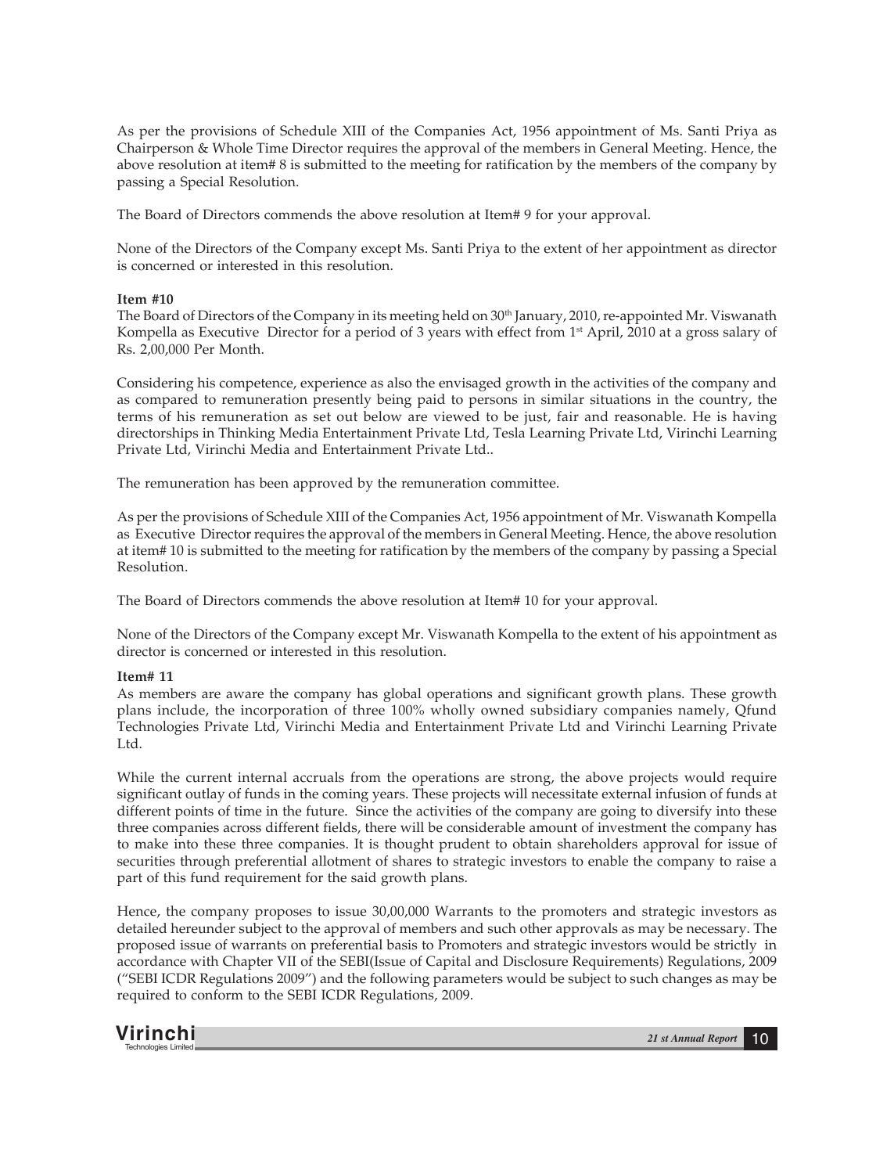As per the provisions of Schedule XIII of the Companies Act, 1956 appointment of Ms. Santi Priya as Chairperson & Whole Time Director requires the approval of the members in General Meeting. Hence, the above resolution at item# 8 is submitted to the meeting for ratification by the members of the company by passing a Special Resolution.

The Board of Directors commends the above resolution at Item# 9 for your approval.

None of the Directors of the Company except Ms. Santi Priya to the extent of her appointment as director is concerned or interested in this resolution.

#### **Item #10**

The Board of Directors of the Company in its meeting held on 30<sup>th</sup> January, 2010, re-appointed Mr. Viswanath Kompella as Executive Director for a period of 3 years with effect from 1<sup>st</sup> April, 2010 at a gross salary of Rs. 2,00,000 Per Month.

Considering his competence, experience as also the envisaged growth in the activities of the company and as compared to remuneration presently being paid to persons in similar situations in the country, the terms of his remuneration as set out below are viewed to be just, fair and reasonable. He is having directorships in Thinking Media Entertainment Private Ltd, Tesla Learning Private Ltd, Virinchi Learning Private Ltd, Virinchi Media and Entertainment Private Ltd..

The remuneration has been approved by the remuneration committee.

As per the provisions of Schedule XIII of the Companies Act, 1956 appointment of Mr. Viswanath Kompella as Executive Director requires the approval of the members in General Meeting. Hence, the above resolution at item# 10 is submitted to the meeting for ratification by the members of the company by passing a Special Resolution.

The Board of Directors commends the above resolution at Item# 10 for your approval.

None of the Directors of the Company except Mr. Viswanath Kompella to the extent of his appointment as director is concerned or interested in this resolution.

#### **Item# 11**

As members are aware the company has global operations and significant growth plans. These growth plans include, the incorporation of three 100% wholly owned subsidiary companies namely, Qfund Technologies Private Ltd, Virinchi Media and Entertainment Private Ltd and Virinchi Learning Private Ltd.

While the current internal accruals from the operations are strong, the above projects would require significant outlay of funds in the coming years. These projects will necessitate external infusion of funds at different points of time in the future. Since the activities of the company are going to diversify into these three companies across different fields, there will be considerable amount of investment the company has to make into these three companies. It is thought prudent to obtain shareholders approval for issue of securities through preferential allotment of shares to strategic investors to enable the company to raise a part of this fund requirement for the said growth plans.

Hence, the company proposes to issue 30,00,000 Warrants to the promoters and strategic investors as detailed hereunder subject to the approval of members and such other approvals as may be necessary. The proposed issue of warrants on preferential basis to Promoters and strategic investors would be strictly in accordance with Chapter VII of the SEBI(Issue of Capital and Disclosure Requirements) Regulations, 2009 ("SEBI ICDR Regulations 2009") and the following parameters would be subject to such changes as may be required to conform to the SEBI ICDR Regulations, 2009.

**Virinchi** *21 st Annual Report* <sup>10</sup> Technologies Limited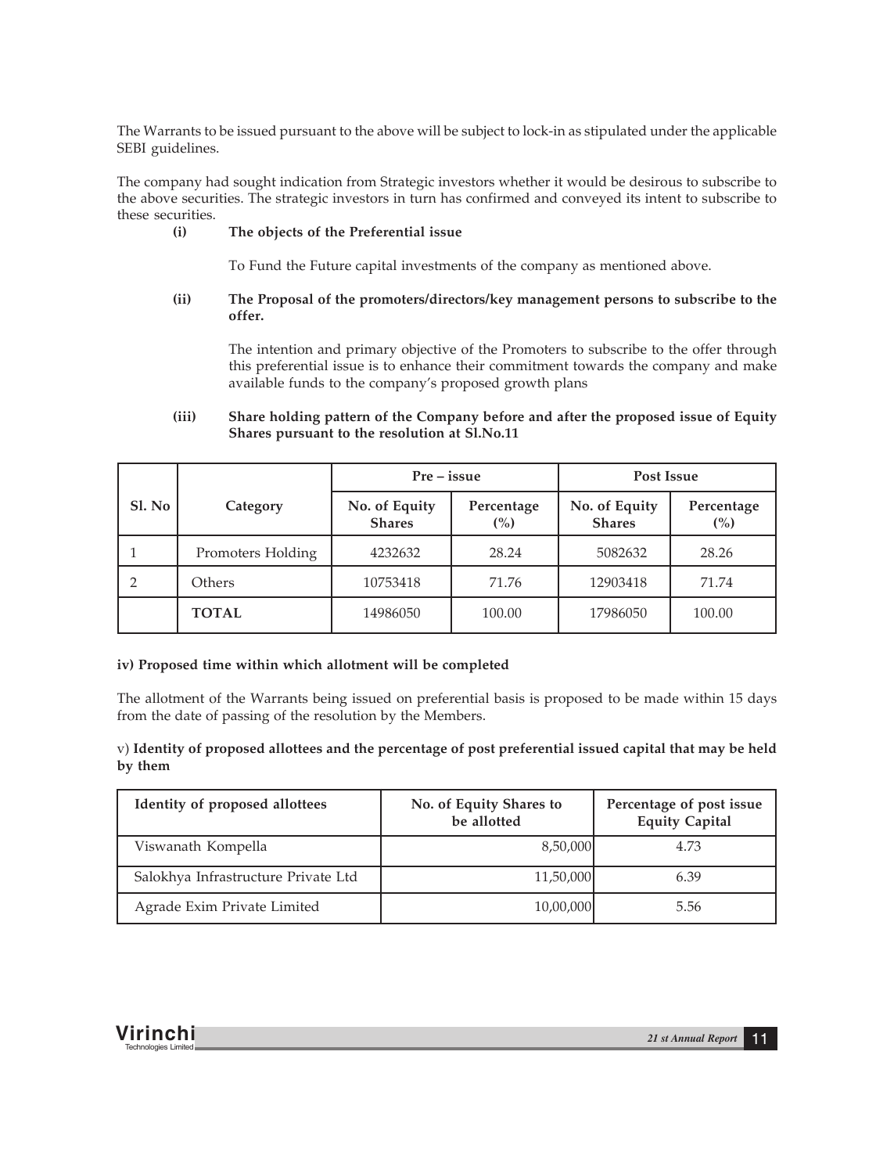The Warrants to be issued pursuant to the above will be subject to lock-in as stipulated under the applicable SEBI guidelines.

The company had sought indication from Strategic investors whether it would be desirous to subscribe to the above securities. The strategic investors in turn has confirmed and conveyed its intent to subscribe to these securities.

## **(i) The objects of the Preferential issue**

To Fund the Future capital investments of the company as mentioned above.

# **(ii) The Proposal of the promoters/directors/key management persons to subscribe to the offer.**

The intention and primary objective of the Promoters to subscribe to the offer through this preferential issue is to enhance their commitment towards the company and make available funds to the company's proposed growth plans

# **(iii) Share holding pattern of the Company before and after the proposed issue of Equity Shares pursuant to the resolution at Sl.No.11**

|        |                   | $Pre - issue$                  |                   | Post Issue                     |                   |  |
|--------|-------------------|--------------------------------|-------------------|--------------------------------|-------------------|--|
| SI. No | Category          | No. of Equity<br><b>Shares</b> | Percentage<br>(%) | No. of Equity<br><b>Shares</b> | Percentage<br>(%) |  |
|        | Promoters Holding | 4232632                        | 28.24             | 5082632                        | 28.26             |  |
|        | Others            | 10753418                       | 71.76             | 12903418                       | 71.74             |  |
|        | <b>TOTAL</b>      | 14986050                       | 100.00            | 17986050                       | 100.00            |  |

#### **iv) Proposed time within which allotment will be completed**

The allotment of the Warrants being issued on preferential basis is proposed to be made within 15 days from the date of passing of the resolution by the Members.

# v) **Identity of proposed allottees and the percentage of post preferential issued capital that may be held by them**

| Identity of proposed allottees      | No. of Equity Shares to<br>be allotted | Percentage of post issue<br><b>Equity Capital</b> |
|-------------------------------------|----------------------------------------|---------------------------------------------------|
| Viswanath Kompella                  | 8,50,000                               | 4.73                                              |
| Salokhya Infrastructure Private Ltd | 11,50,000                              | 6.39                                              |
| Agrade Exim Private Limited         | 10,00,000                              | 5.56                                              |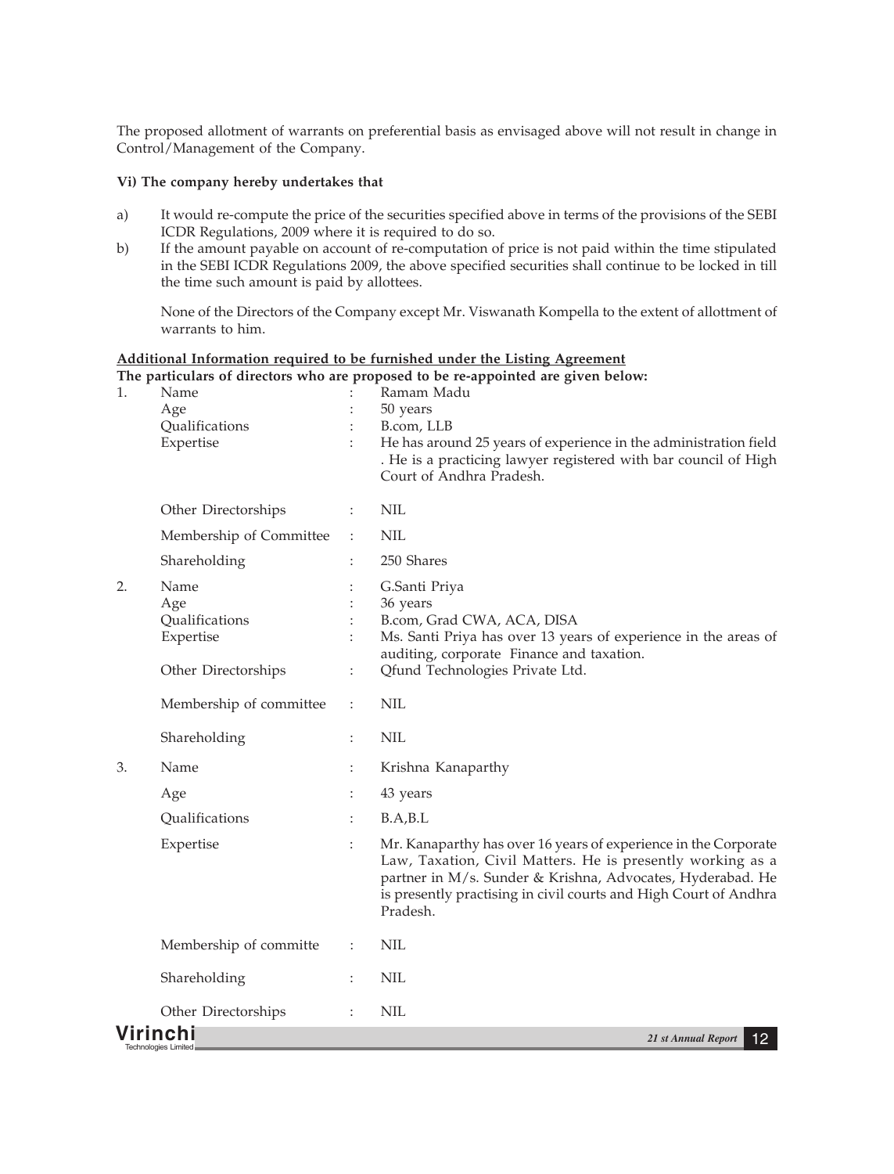The proposed allotment of warrants on preferential basis as envisaged above will not result in change in Control/Management of the Company.

#### **Vi) The company hereby undertakes that**

- a) It would re-compute the price of the securities specified above in terms of the provisions of the SEBI ICDR Regulations, 2009 where it is required to do so.
- b) If the amount payable on account of re-computation of price is not paid within the time stipulated in the SEBI ICDR Regulations 2009, the above specified securities shall continue to be locked in till the time such amount is paid by allottees.

None of the Directors of the Company except Mr. Viswanath Kompella to the extent of allottment of warrants to him.

# **Additional Information required to be furnished under the Listing Agreement The particulars of directors who are proposed to be re-appointed are given below:**

| 1. | Name<br>Age<br>Qualifications           | $\ddot{\cdot}$       | Ramam Madu<br>50 years<br>B.com, LLB                                                                                                                                                                                                                                        |
|----|-----------------------------------------|----------------------|-----------------------------------------------------------------------------------------------------------------------------------------------------------------------------------------------------------------------------------------------------------------------------|
|    | Expertise                               |                      | He has around 25 years of experience in the administration field<br>. He is a practicing lawyer registered with bar council of High<br>Court of Andhra Pradesh.                                                                                                             |
|    | Other Directorships                     | ÷                    | <b>NIL</b>                                                                                                                                                                                                                                                                  |
|    | Membership of Committee                 | ÷                    | <b>NIL</b>                                                                                                                                                                                                                                                                  |
|    | Shareholding                            | $\vdots$             | 250 Shares                                                                                                                                                                                                                                                                  |
| 2. | Name<br>Age                             |                      | G.Santi Priya<br>36 years                                                                                                                                                                                                                                                   |
|    | Qualifications                          |                      | B.com, Grad CWA, ACA, DISA                                                                                                                                                                                                                                                  |
|    | Expertise                               |                      | Ms. Santi Priya has over 13 years of experience in the areas of<br>auditing, corporate Finance and taxation.                                                                                                                                                                |
|    | Other Directorships                     | ÷                    | Qfund Technologies Private Ltd.                                                                                                                                                                                                                                             |
|    | Membership of committee                 | $\ddot{\cdot}$       | <b>NIL</b>                                                                                                                                                                                                                                                                  |
|    | Shareholding                            | $\ddot{\phantom{a}}$ | <b>NIL</b>                                                                                                                                                                                                                                                                  |
| 3. | Name                                    | $\ddot{\cdot}$       | Krishna Kanaparthy                                                                                                                                                                                                                                                          |
|    | Age                                     | $\ddot{\cdot}$       | 43 years                                                                                                                                                                                                                                                                    |
|    | Qualifications                          | $\ddot{\cdot}$       | B.A.B.L                                                                                                                                                                                                                                                                     |
|    | Expertise                               | ÷                    | Mr. Kanaparthy has over 16 years of experience in the Corporate<br>Law, Taxation, Civil Matters. He is presently working as a<br>partner in M/s. Sunder & Krishna, Advocates, Hyderabad. He<br>is presently practising in civil courts and High Court of Andhra<br>Pradesh. |
|    | Membership of committe                  | ÷                    | <b>NIL</b>                                                                                                                                                                                                                                                                  |
|    | Shareholding                            | $\ddot{\phantom{a}}$ | <b>NIL</b>                                                                                                                                                                                                                                                                  |
|    | Other Directorships                     | ÷                    | <b>NIL</b>                                                                                                                                                                                                                                                                  |
|    | Virinchi<br><b>Technologies Limited</b> |                      | 21 st Annual Report<br>12                                                                                                                                                                                                                                                   |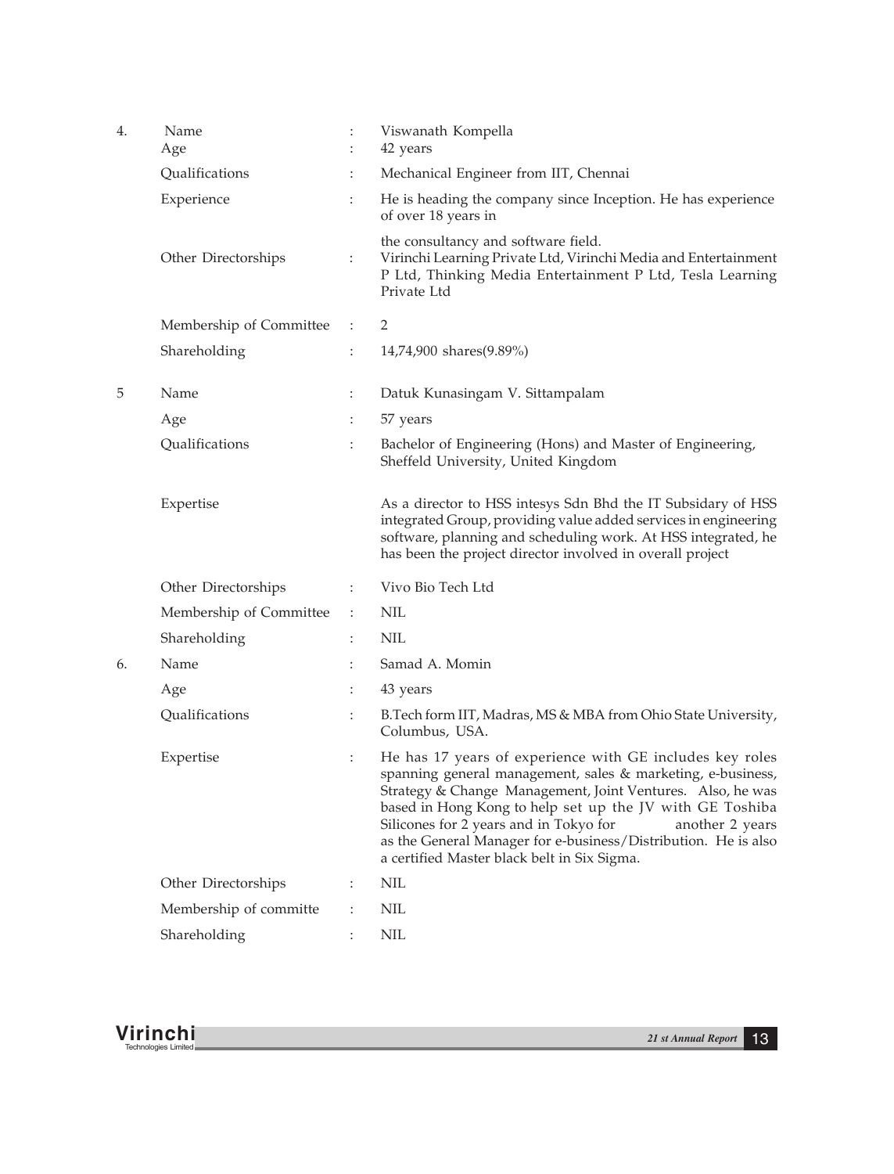| 4. | Name<br>Age             | $\ddot{\cdot}$       | Viswanath Kompella<br>42 years                                                                                                                                                                                                                                                                                                                                                                                                  |
|----|-------------------------|----------------------|---------------------------------------------------------------------------------------------------------------------------------------------------------------------------------------------------------------------------------------------------------------------------------------------------------------------------------------------------------------------------------------------------------------------------------|
|    | Qualifications          | ÷                    | Mechanical Engineer from IIT, Chennai                                                                                                                                                                                                                                                                                                                                                                                           |
|    | Experience              | ÷                    | He is heading the company since Inception. He has experience<br>of over 18 years in                                                                                                                                                                                                                                                                                                                                             |
|    | Other Directorships     | ÷                    | the consultancy and software field.<br>Virinchi Learning Private Ltd, Virinchi Media and Entertainment<br>P Ltd, Thinking Media Entertainment P Ltd, Tesla Learning<br>Private Ltd                                                                                                                                                                                                                                              |
|    | Membership of Committee | ÷                    | 2                                                                                                                                                                                                                                                                                                                                                                                                                               |
|    | Shareholding            | $\ddot{\phantom{a}}$ | 14,74,900 shares(9.89%)                                                                                                                                                                                                                                                                                                                                                                                                         |
| 5  | Name                    | ÷                    | Datuk Kunasingam V. Sittampalam                                                                                                                                                                                                                                                                                                                                                                                                 |
|    | Age                     | ÷                    | 57 years                                                                                                                                                                                                                                                                                                                                                                                                                        |
|    | Qualifications          | $\ddot{\cdot}$       | Bachelor of Engineering (Hons) and Master of Engineering,<br>Sheffeld University, United Kingdom                                                                                                                                                                                                                                                                                                                                |
|    | Expertise               |                      | As a director to HSS intesys Sdn Bhd the IT Subsidary of HSS<br>integrated Group, providing value added services in engineering<br>software, planning and scheduling work. At HSS integrated, he<br>has been the project director involved in overall project                                                                                                                                                                   |
|    | Other Directorships     | ÷                    | Vivo Bio Tech Ltd                                                                                                                                                                                                                                                                                                                                                                                                               |
|    | Membership of Committee | ÷                    | <b>NIL</b>                                                                                                                                                                                                                                                                                                                                                                                                                      |
|    | Shareholding            | $\ddot{\cdot}$       | <b>NIL</b>                                                                                                                                                                                                                                                                                                                                                                                                                      |
| 6. | Name                    | $\ddot{\phantom{a}}$ | Samad A. Momin                                                                                                                                                                                                                                                                                                                                                                                                                  |
|    | Age                     | $\ddot{\cdot}$       | 43 years                                                                                                                                                                                                                                                                                                                                                                                                                        |
|    | Qualifications          | $\ddot{\cdot}$       | B.Tech form IIT, Madras, MS & MBA from Ohio State University,<br>Columbus, USA.                                                                                                                                                                                                                                                                                                                                                 |
|    | Expertise               | Φ.                   | He has 17 years of experience with GE includes key roles<br>spanning general management, sales & marketing, e-business,<br>Strategy & Change Management, Joint Ventures. Also, he was<br>based in Hong Kong to help set up the JV with GE Toshiba<br>Silicones for 2 years and in Tokyo for<br>another 2 years<br>as the General Manager for e-business/Distribution. He is also<br>a certified Master black belt in Six Sigma. |
|    | Other Directorships     | $\ddot{\cdot}$       | <b>NIL</b>                                                                                                                                                                                                                                                                                                                                                                                                                      |
|    | Membership of committe  | :                    | NIL                                                                                                                                                                                                                                                                                                                                                                                                                             |
|    | Shareholding            | $\ddot{\cdot}$       | <b>NIL</b>                                                                                                                                                                                                                                                                                                                                                                                                                      |

**Virinchi** *21 st Annual Report* <sup>13</sup> Technologies Limited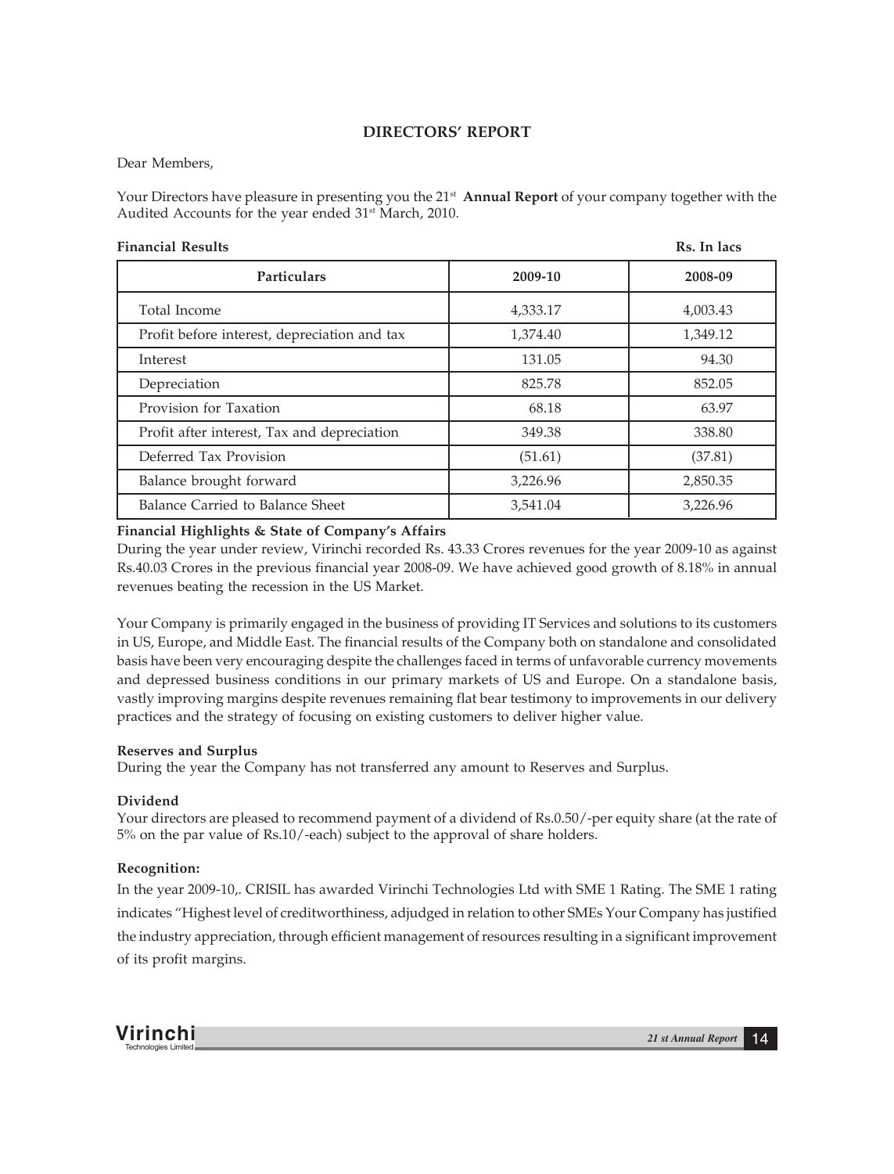# **DIRECTORS' REPORT**

# Dear Members,

Your Directors have pleasure in presenting you the 21st **Annual Report** of your company together with the Audited Accounts for the year ended 31<sup>st</sup> March, 2010.

| <b>Financial Results</b>                     |          | Rs. In lacs |
|----------------------------------------------|----------|-------------|
| Particulars                                  | 2009-10  | 2008-09     |
| Total Income                                 | 4,333.17 | 4,003.43    |
| Profit before interest, depreciation and tax | 1,374.40 | 1,349.12    |
| Interest                                     | 131.05   | 94.30       |
| Depreciation                                 | 825.78   | 852.05      |
| Provision for Taxation                       | 68.18    | 63.97       |
| Profit after interest, Tax and depreciation  | 349.38   | 338.80      |
| Deferred Tax Provision                       | (51.61)  | (37.81)     |
| Balance brought forward                      | 3,226.96 | 2,850.35    |
| Balance Carried to Balance Sheet             | 3,541.04 | 3,226.96    |

# **Financial Highlights & State of Company's Affairs**

During the year under review, Virinchi recorded Rs. 43.33 Crores revenues for the year 2009-10 as against Rs.40.03 Crores in the previous financial year 2008-09. We have achieved good growth of 8.18% in annual revenues beating the recession in the US Market.

Your Company is primarily engaged in the business of providing IT Services and solutions to its customers in US, Europe, and Middle East. The financial results of the Company both on standalone and consolidated basis have been very encouraging despite the challenges faced in terms of unfavorable currency movements and depressed business conditions in our primary markets of US and Europe. On a standalone basis, vastly improving margins despite revenues remaining flat bear testimony to improvements in our delivery practices and the strategy of focusing on existing customers to deliver higher value.

# **Reserves and Surplus**

During the year the Company has not transferred any amount to Reserves and Surplus.

# **Dividend**

Your directors are pleased to recommend payment of a dividend of Rs.0.50/-per equity share (at the rate of 5% on the par value of Rs.10/-each) subject to the approval of share holders.

# **Recognition:**

In the year 2009-10,. CRISIL has awarded Virinchi Technologies Ltd with SME 1 Rating. The SME 1 rating indicates "Highest level of creditworthiness, adjudged in relation to other SMEs Your Company has justified the industry appreciation, through efficient management of resources resulting in a significant improvement of its profit margins.

**Virinchi** *21 st Annual Report* <sup>14</sup> Technologies Limited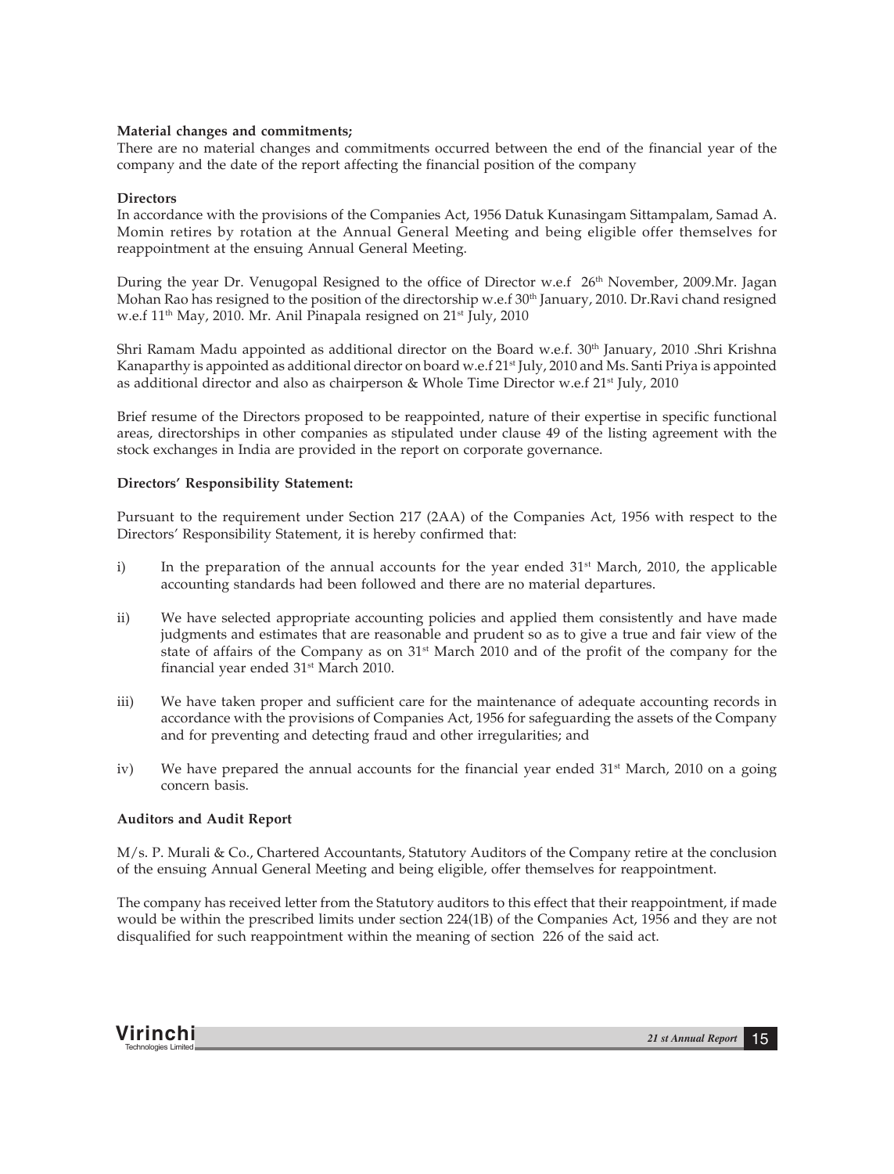### **Material changes and commitments;**

There are no material changes and commitments occurred between the end of the financial year of the company and the date of the report affecting the financial position of the company

### **Directors**

In accordance with the provisions of the Companies Act, 1956 Datuk Kunasingam Sittampalam, Samad A. Momin retires by rotation at the Annual General Meeting and being eligible offer themselves for reappointment at the ensuing Annual General Meeting.

During the year Dr. Venugopal Resigned to the office of Director w.e.f 26<sup>th</sup> November, 2009.Mr. Jagan Mohan Rao has resigned to the position of the directorship w.e.f 30<sup>th</sup> January, 2010. Dr.Ravi chand resigned w.e.f 11<sup>th</sup> May, 2010. Mr. Anil Pinapala resigned on 21<sup>st</sup> July, 2010

Shri Ramam Madu appointed as additional director on the Board w.e.f. 30<sup>th</sup> January, 2010 .Shri Krishna Kanaparthy is appointed as additional director on board w.e.f  $21^{\text{st}}$  July, 2010 and Ms. Santi Priya is appointed as additional director and also as chairperson & Whole Time Director w.e.f  $21^{st}$  July, 2010

Brief resume of the Directors proposed to be reappointed, nature of their expertise in specific functional areas, directorships in other companies as stipulated under clause 49 of the listing agreement with the stock exchanges in India are provided in the report on corporate governance.

## **Directors' Responsibility Statement:**

Pursuant to the requirement under Section 217 (2AA) of the Companies Act, 1956 with respect to the Directors' Responsibility Statement, it is hereby confirmed that:

- i) In the preparation of the annual accounts for the year ended  $31<sup>st</sup>$  March, 2010, the applicable accounting standards had been followed and there are no material departures.
- ii) We have selected appropriate accounting policies and applied them consistently and have made judgments and estimates that are reasonable and prudent so as to give a true and fair view of the state of affairs of the Company as on 31st March 2010 and of the profit of the company for the financial year ended 31<sup>st</sup> March 2010.
- iii) We have taken proper and sufficient care for the maintenance of adequate accounting records in accordance with the provisions of Companies Act, 1956 for safeguarding the assets of the Company and for preventing and detecting fraud and other irregularities; and
- iv) We have prepared the annual accounts for the financial year ended  $31<sup>st</sup>$  March, 2010 on a going concern basis.

# **Auditors and Audit Report**

M/s. P. Murali & Co., Chartered Accountants, Statutory Auditors of the Company retire at the conclusion of the ensuing Annual General Meeting and being eligible, offer themselves for reappointment.

The company has received letter from the Statutory auditors to this effect that their reappointment, if made would be within the prescribed limits under section 224(1B) of the Companies Act, 1956 and they are not disqualified for such reappointment within the meaning of section 226 of the said act.

**Virinchi** *21 st Annual Report* <sup>15</sup> Technologies Limited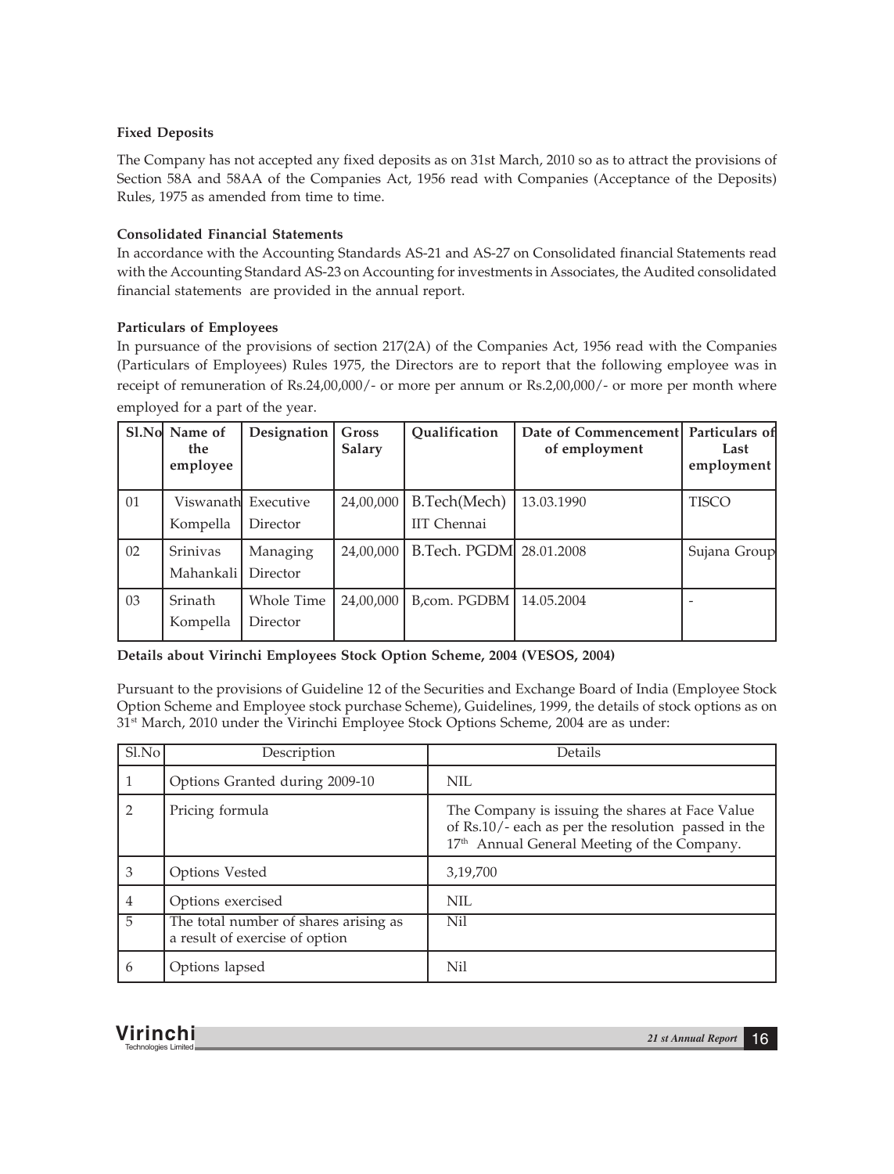# **Fixed Deposits**

The Company has not accepted any fixed deposits as on 31st March, 2010 so as to attract the provisions of Section 58A and 58AA of the Companies Act, 1956 read with Companies (Acceptance of the Deposits) Rules, 1975 as amended from time to time.

# **Consolidated Financial Statements**

In accordance with the Accounting Standards AS-21 and AS-27 on Consolidated financial Statements read with the Accounting Standard AS-23 on Accounting for investments in Associates, the Audited consolidated financial statements are provided in the annual report.

# **Particulars of Employees**

In pursuance of the provisions of section 217(2A) of the Companies Act, 1956 read with the Companies (Particulars of Employees) Rules 1975, the Directors are to report that the following employee was in receipt of remuneration of Rs.24,00,000/- or more per annum or Rs.2,00,000/- or more per month where employed for a part of the year.

|    | Sl.No Name of<br>the.<br>employee | Designation                      | <b>Gross</b><br>Salary | Oualification               | Date of Commencement Particulars of<br>of employment | Last<br>employment |
|----|-----------------------------------|----------------------------------|------------------------|-----------------------------|------------------------------------------------------|--------------------|
| 01 | Kompella                          | Viswanathl Executive<br>Director | 24,00,000              | B.Tech(Mech)<br>IIT Chennai | 13.03.1990                                           | <b>TISCO</b>       |
| 02 | Srinivas<br>Mahankali             | Managing<br>Director             | 24,00,000              | B.Tech. PGDM 28.01.2008     |                                                      | Sujana Group       |
| 03 | <b>Srinath</b><br>Kompella        | Whole Time<br>Director           | 24,00,000              | B,com. PGDBM   14.05.2004   |                                                      |                    |

**Details about Virinchi Employees Stock Option Scheme, 2004 (VESOS, 2004)**

Pursuant to the provisions of Guideline 12 of the Securities and Exchange Board of India (Employee Stock Option Scheme and Employee stock purchase Scheme), Guidelines, 1999, the details of stock options as on 31<sup>st</sup> March, 2010 under the Virinchi Employee Stock Options Scheme, 2004 are as under:

| $S1$ . No      | Description                                                             | Details                                                                                                                                                           |
|----------------|-------------------------------------------------------------------------|-------------------------------------------------------------------------------------------------------------------------------------------------------------------|
|                | Options Granted during 2009-10                                          | <b>NIL</b>                                                                                                                                                        |
| $\mathcal{D}$  | Pricing formula                                                         | The Company is issuing the shares at Face Value<br>of Rs.10/- each as per the resolution passed in the<br>17 <sup>th</sup> Annual General Meeting of the Company. |
| 3              | Options Vested                                                          | 3,19,700                                                                                                                                                          |
| 4              | Options exercised                                                       | <b>NIL</b>                                                                                                                                                        |
| $\overline{5}$ | The total number of shares arising as<br>a result of exercise of option | Nil                                                                                                                                                               |
| 6              | Options lapsed                                                          | Nil                                                                                                                                                               |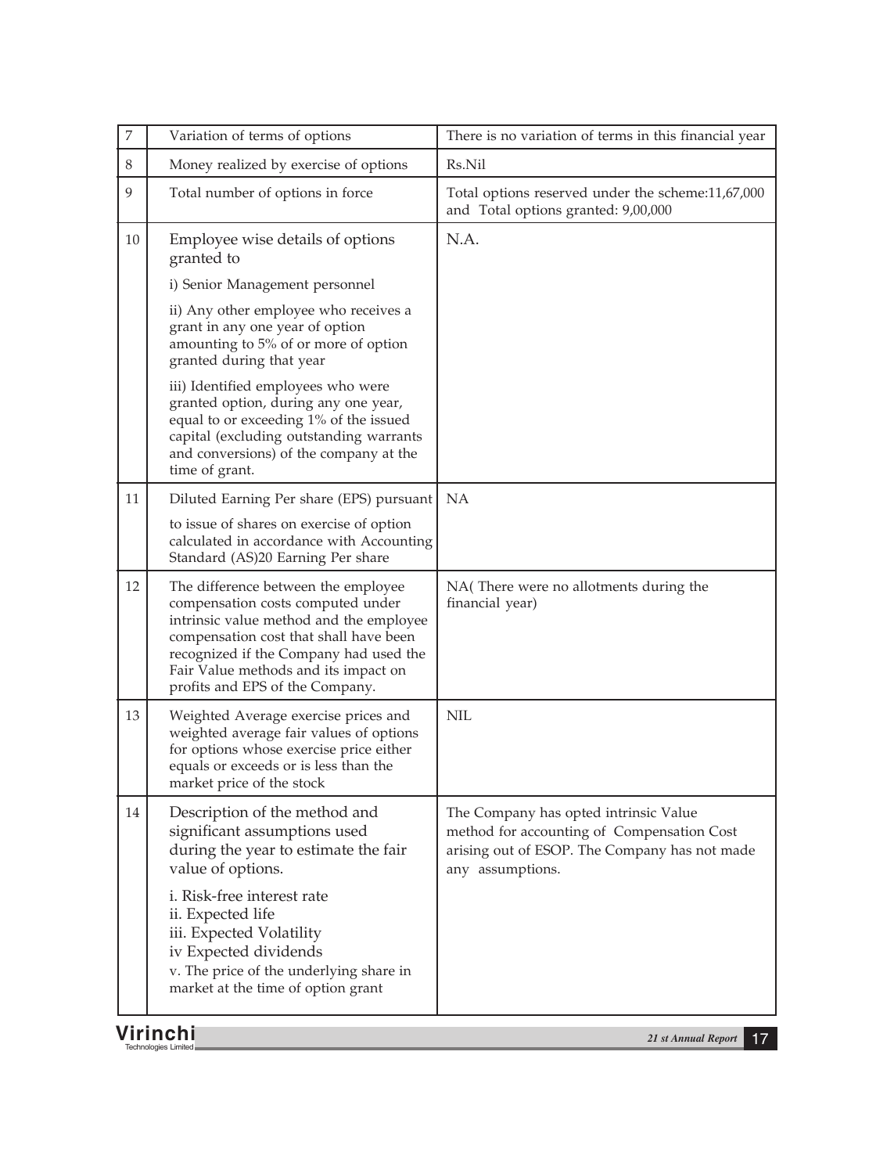| $\boldsymbol{7}$ | Variation of terms of options                                                                                                                                                                                                                                                      | There is no variation of terms in this financial year                                                                                                    |
|------------------|------------------------------------------------------------------------------------------------------------------------------------------------------------------------------------------------------------------------------------------------------------------------------------|----------------------------------------------------------------------------------------------------------------------------------------------------------|
| 8                | Money realized by exercise of options                                                                                                                                                                                                                                              | Rs.Nil                                                                                                                                                   |
| 9                | Total number of options in force                                                                                                                                                                                                                                                   | Total options reserved under the scheme:11,67,000<br>and Total options granted: 9,00,000                                                                 |
| 10               | Employee wise details of options<br>granted to                                                                                                                                                                                                                                     | N.A.                                                                                                                                                     |
|                  | i) Senior Management personnel                                                                                                                                                                                                                                                     |                                                                                                                                                          |
|                  | ii) Any other employee who receives a<br>grant in any one year of option<br>amounting to 5% of or more of option<br>granted during that year                                                                                                                                       |                                                                                                                                                          |
|                  | iii) Identified employees who were<br>granted option, during any one year,<br>equal to or exceeding 1% of the issued<br>capital (excluding outstanding warrants<br>and conversions) of the company at the<br>time of grant.                                                        |                                                                                                                                                          |
| 11               | Diluted Earning Per share (EPS) pursuant                                                                                                                                                                                                                                           | NA                                                                                                                                                       |
|                  | to issue of shares on exercise of option<br>calculated in accordance with Accounting<br>Standard (AS)20 Earning Per share                                                                                                                                                          |                                                                                                                                                          |
| 12               | The difference between the employee<br>compensation costs computed under<br>intrinsic value method and the employee<br>compensation cost that shall have been<br>recognized if the Company had used the<br>Fair Value methods and its impact on<br>profits and EPS of the Company. | NA(There were no allotments during the<br>financial year)                                                                                                |
| 13               | Weighted Average exercise prices and<br>weighted average fair values of options<br>for options whose exercise price either<br>equals or exceeds or is less than the<br>market price of the stock                                                                                   | <b>NIL</b>                                                                                                                                               |
| 14               | Description of the method and<br>significant assumptions used<br>during the year to estimate the fair<br>value of options.                                                                                                                                                         | The Company has opted intrinsic Value<br>method for accounting of Compensation Cost<br>arising out of ESOP. The Company has not made<br>any assumptions. |
|                  | i. Risk-free interest rate<br>ii. Expected life<br>iii. Expected Volatility<br>iv Expected dividends<br>v. The price of the underlying share in<br>market at the time of option grant                                                                                              |                                                                                                                                                          |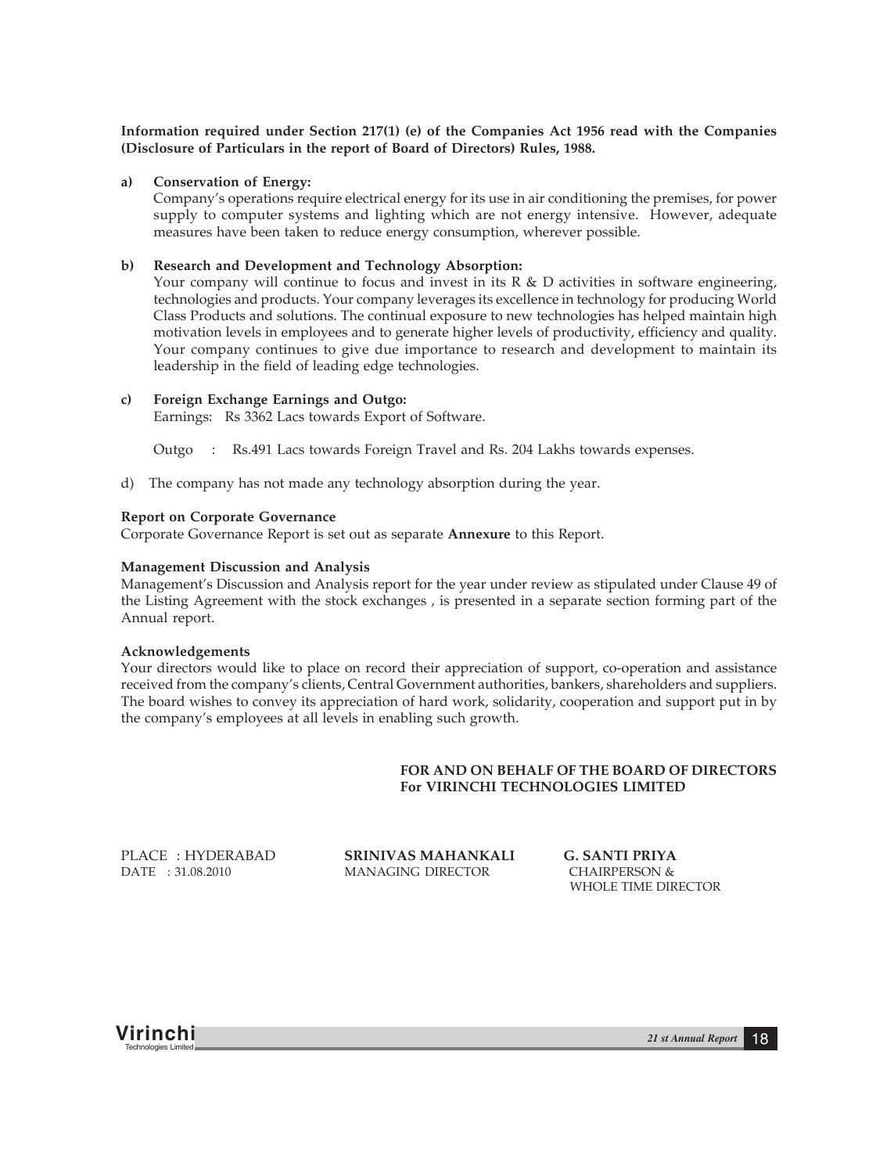**Information required under Section 217(1) (e) of the Companies Act 1956 read with the Companies (Disclosure of Particulars in the report of Board of Directors) Rules, 1988.**

#### **a) Conservation of Energy:**

Company's operations require electrical energy for its use in air conditioning the premises, for power supply to computer systems and lighting which are not energy intensive. However, adequate measures have been taken to reduce energy consumption, wherever possible.

#### **b) Research and Development and Technology Absorption:**

Your company will continue to focus and invest in its R & D activities in software engineering, technologies and products. Your company leverages its excellence in technology for producing World Class Products and solutions. The continual exposure to new technologies has helped maintain high motivation levels in employees and to generate higher levels of productivity, efficiency and quality. Your company continues to give due importance to research and development to maintain its leadership in the field of leading edge technologies.

#### **c) Foreign Exchange Earnings and Outgo:**

Earnings: Rs 3362 Lacs towards Export of Software.

Outgo : Rs.491 Lacs towards Foreign Travel and Rs. 204 Lakhs towards expenses.

d) The company has not made any technology absorption during the year.

#### **Report on Corporate Governance**

Corporate Governance Report is set out as separate **Annexure** to this Report.

#### **Management Discussion and Analysis**

Management's Discussion and Analysis report for the year under review as stipulated under Clause 49 of the Listing Agreement with the stock exchanges , is presented in a separate section forming part of the Annual report.

#### **Acknowledgements**

Your directors would like to place on record their appreciation of support, co-operation and assistance received from the company's clients, Central Government authorities, bankers, shareholders and suppliers. The board wishes to convey its appreciation of hard work, solidarity, cooperation and support put in by the company's employees at all levels in enabling such growth.

## **FOR AND ON BEHALF OF THE BOARD OF DIRECTORS For VIRINCHI TECHNOLOGIES LIMITED**

PLACE : HYDERABAD **SRINIVAS MAHANKALI G. SANTI PRIYA** DATE : 31.08.2010 MANAGING DIRECTOR CHAIRPERSON &

WHOLE TIME DIRECTOR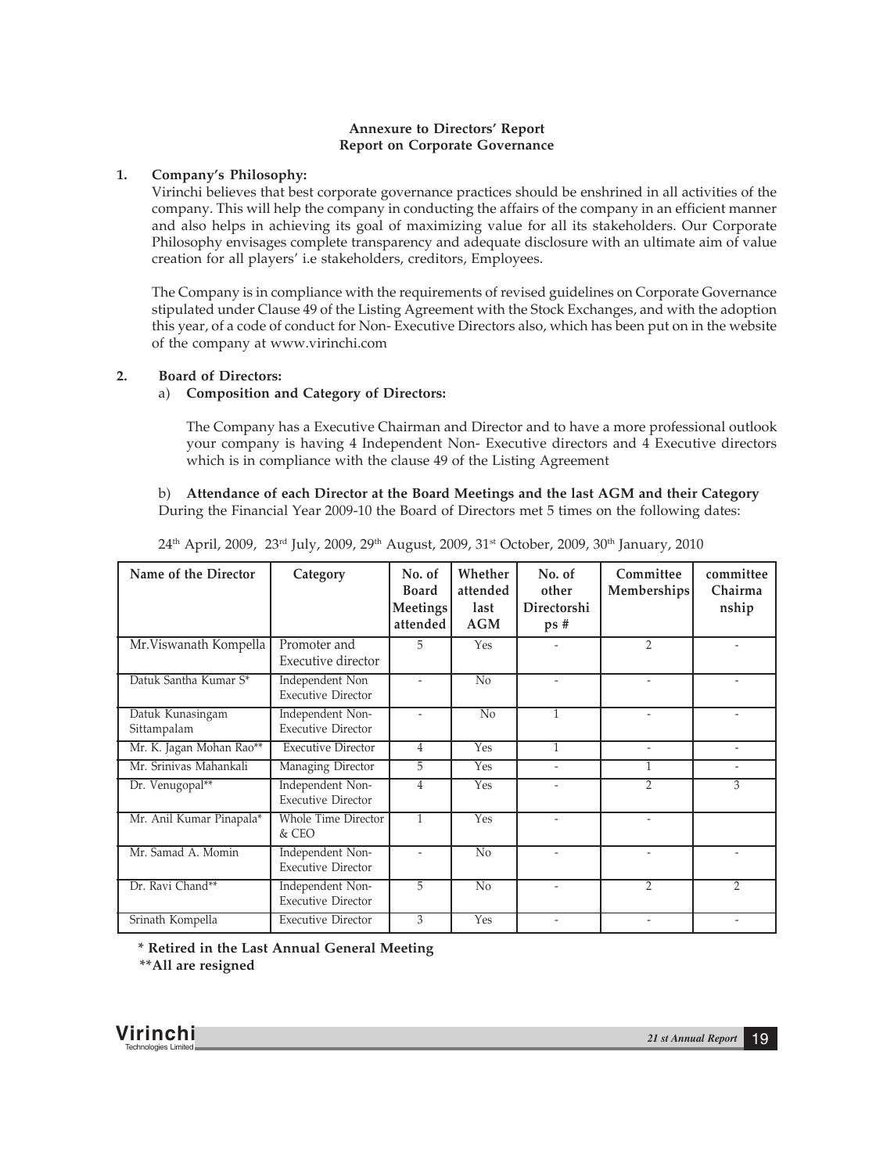# **Annexure to Directors' Report Report on Corporate Governance**

# **1. Company's Philosophy:**

Virinchi believes that best corporate governance practices should be enshrined in all activities of the company. This will help the company in conducting the affairs of the company in an efficient manner and also helps in achieving its goal of maximizing value for all its stakeholders. Our Corporate Philosophy envisages complete transparency and adequate disclosure with an ultimate aim of value creation for all players' i.e stakeholders, creditors, Employees.

The Company is in compliance with the requirements of revised guidelines on Corporate Governance stipulated under Clause 49 of the Listing Agreement with the Stock Exchanges, and with the adoption this year, of a code of conduct for Non- Executive Directors also, which has been put on in the website of the company at www.virinchi.com

# **2. Board of Directors:**

## a) **Composition and Category of Directors:**

The Company has a Executive Chairman and Director and to have a more professional outlook your company is having 4 Independent Non- Executive directors and 4 Executive directors which is in compliance with the clause 49 of the Listing Agreement

# b) **Attendance of each Director at the Board Meetings and the last AGM and their Category** During the Financial Year 2009-10 the Board of Directors met 5 times on the following dates:

| Name of the Director            | Category                                      | No. of<br><b>Board</b><br>Meetings<br>attended | Whether<br>attended<br>last<br>AGM | No. of<br>other<br>Directorshi<br>ps# | Committee<br>Memberships     | committee<br>Chairma<br>nship |
|---------------------------------|-----------------------------------------------|------------------------------------------------|------------------------------------|---------------------------------------|------------------------------|-------------------------------|
| Mr. Viswanath Kompella          | Promoter and<br>Executive director            | 5                                              | <b>Yes</b>                         |                                       | $\overline{2}$               |                               |
| Datuk Santha Kumar S*           | Independent Non<br><b>Executive Director</b>  | $\overline{\phantom{a}}$                       | No                                 |                                       | $\qquad \qquad \blacksquare$ |                               |
| Datuk Kunasingam<br>Sittampalam | Independent Non-<br><b>Executive Director</b> |                                                | No                                 | $\overline{1}$                        |                              |                               |
| Mr. K. Jagan Mohan Rao**        | <b>Executive Director</b>                     | 4                                              | Yes                                | 1                                     | $\overline{\phantom{0}}$     | $\overline{\phantom{0}}$      |
| Mr. Sriniyas Mahankali          | Managing Director                             | 5                                              | <b>Yes</b>                         |                                       | 1                            | $\overline{\phantom{a}}$      |
| Dr. Venugopal**                 | Independent Non-<br><b>Executive Director</b> | 4                                              | Yes                                |                                       | $\overline{2}$               |                               |
| Mr. Anil Kumar Pinapala*        | <b>Whole Time Director</b><br>$&$ CEO         | $\mathbf{1}$                                   | <b>Yes</b>                         |                                       | $\overline{a}$               |                               |
| Mr. Samad A. Momin              | Independent Non-<br><b>Executive Director</b> |                                                | N <sub>0</sub>                     |                                       | $\overline{a}$               |                               |
| Dr. Ravi Chand**                | Independent Non-<br><b>Executive Director</b> | 5                                              | $\overline{No}$                    |                                       | $\overline{2}$               | $\overline{2}$                |
| Srinath Kompella                | <b>Executive Director</b>                     | 3                                              | Yes                                |                                       | $\overline{\phantom{0}}$     |                               |

 $24<sup>th</sup>$  April, 2009, 23<sup>rd</sup> July, 2009, 29<sup>th</sup> August, 2009, 31<sup>st</sup> October, 2009, 30<sup>th</sup> January, 2010

 **\* Retired in the Last Annual General Meeting \*\*All are resigned**

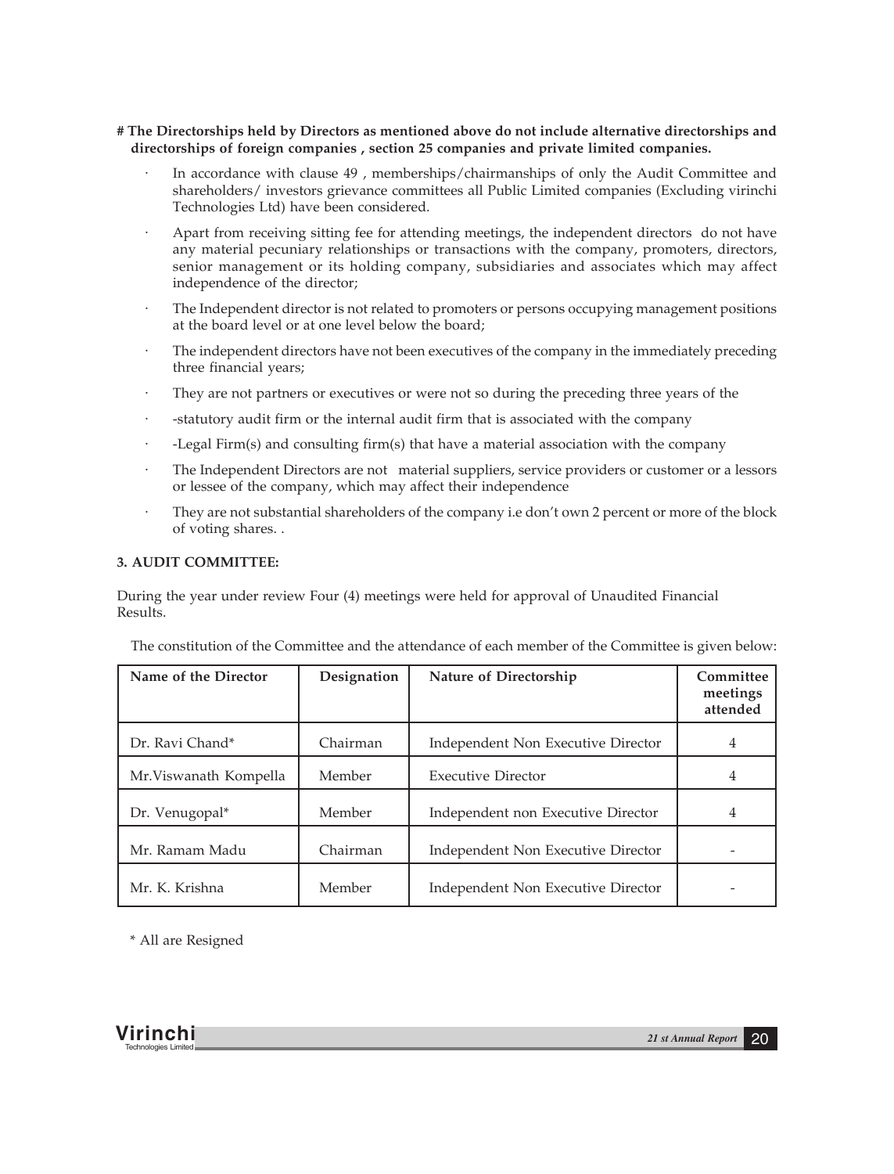# **# The Directorships held by Directors as mentioned above do not include alternative directorships and directorships of foreign companies , section 25 companies and private limited companies.**

- · In accordance with clause 49 , memberships/chairmanships of only the Audit Committee and shareholders/ investors grievance committees all Public Limited companies (Excluding virinchi Technologies Ltd) have been considered.
- Apart from receiving sitting fee for attending meetings, the independent directors do not have any material pecuniary relationships or transactions with the company, promoters, directors, senior management or its holding company, subsidiaries and associates which may affect independence of the director;
- The Independent director is not related to promoters or persons occupying management positions at the board level or at one level below the board;
- The independent directors have not been executives of the company in the immediately preceding three financial years;
- They are not partners or executives or were not so during the preceding three years of the
- · -statutory audit firm or the internal audit firm that is associated with the company
- · -Legal Firm(s) and consulting firm(s) that have a material association with the company
- The Independent Directors are not material suppliers, service providers or customer or a lessors or lessee of the company, which may affect their independence
- They are not substantial shareholders of the company i.e don't own 2 percent or more of the block of voting shares. .

#### **3. AUDIT COMMITTEE:**

During the year under review Four (4) meetings were held for approval of Unaudited Financial Results.

The constitution of the Committee and the attendance of each member of the Committee is given below:

| Name of the Director  | Designation | Nature of Directorship             | Committee<br>meetings<br>attended |
|-----------------------|-------------|------------------------------------|-----------------------------------|
| Dr. Ravi Chand*       | Chairman    | Independent Non Executive Director |                                   |
| Mr.Viswanath Kompella | Member      | <b>Executive Director</b>          |                                   |
| Dr. Venugopal*        | Member      | Independent non Executive Director |                                   |
| Mr. Ramam Madu        | Chairman    | Independent Non Executive Director |                                   |
| Mr. K. Krishna        | Member      | Independent Non Executive Director |                                   |

\* All are Resigned

**Virinchi** *21 st Annual Report* <sup>20</sup> Technologies Limited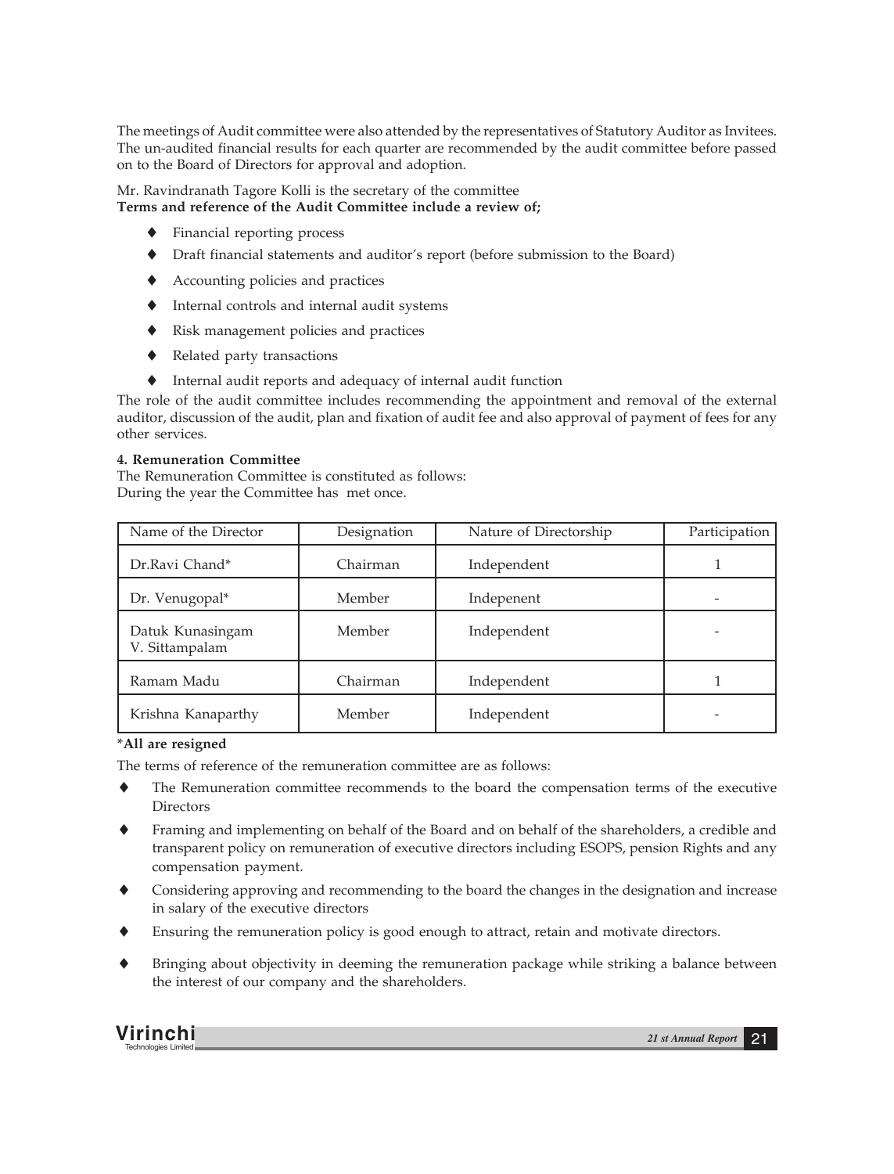The meetings of Audit committee were also attended by the representatives of Statutory Auditor as Invitees. The un-audited financial results for each quarter are recommended by the audit committee before passed on to the Board of Directors for approval and adoption.

Mr. Ravindranath Tagore Kolli is the secretary of the committee **Terms and reference of the Audit Committee include a review of;**

- Financial reporting process
- Draft financial statements and auditor's report (before submission to the Board)
- Accounting policies and practices
- Internal controls and internal audit systems
- Risk management policies and practices
- Related party transactions
- Internal audit reports and adequacy of internal audit function

The role of the audit committee includes recommending the appointment and removal of the external auditor, discussion of the audit, plan and fixation of audit fee and also approval of payment of fees for any other services.

# **4. Remuneration Committee**

The Remuneration Committee is constituted as follows: During the year the Committee has met once.

| Name of the Director               | Designation | Nature of Directorship | Participation |
|------------------------------------|-------------|------------------------|---------------|
| Dr.Ravi Chand*                     | Chairman    | Independent            |               |
| Dr. Venugopal*                     | Member      | Indepenent             |               |
| Datuk Kunasingam<br>V. Sittampalam | Member      | Independent            |               |
| Ramam Madu                         | Chairman    | Independent            |               |
| Krishna Kanaparthy                 | Member      | Independent            |               |

# **\*All are resigned**

The terms of reference of the remuneration committee are as follows:

- The Remuneration committee recommends to the board the compensation terms of the executive **Directors**
- Framing and implementing on behalf of the Board and on behalf of the shareholders, a credible and transparent policy on remuneration of executive directors including ESOPS, pension Rights and any compensation payment.
- Considering approving and recommending to the board the changes in the designation and increase in salary of the executive directors
- Ensuring the remuneration policy is good enough to attract, retain and motivate directors.
- Bringing about objectivity in deeming the remuneration package while striking a balance between the interest of our company and the shareholders.

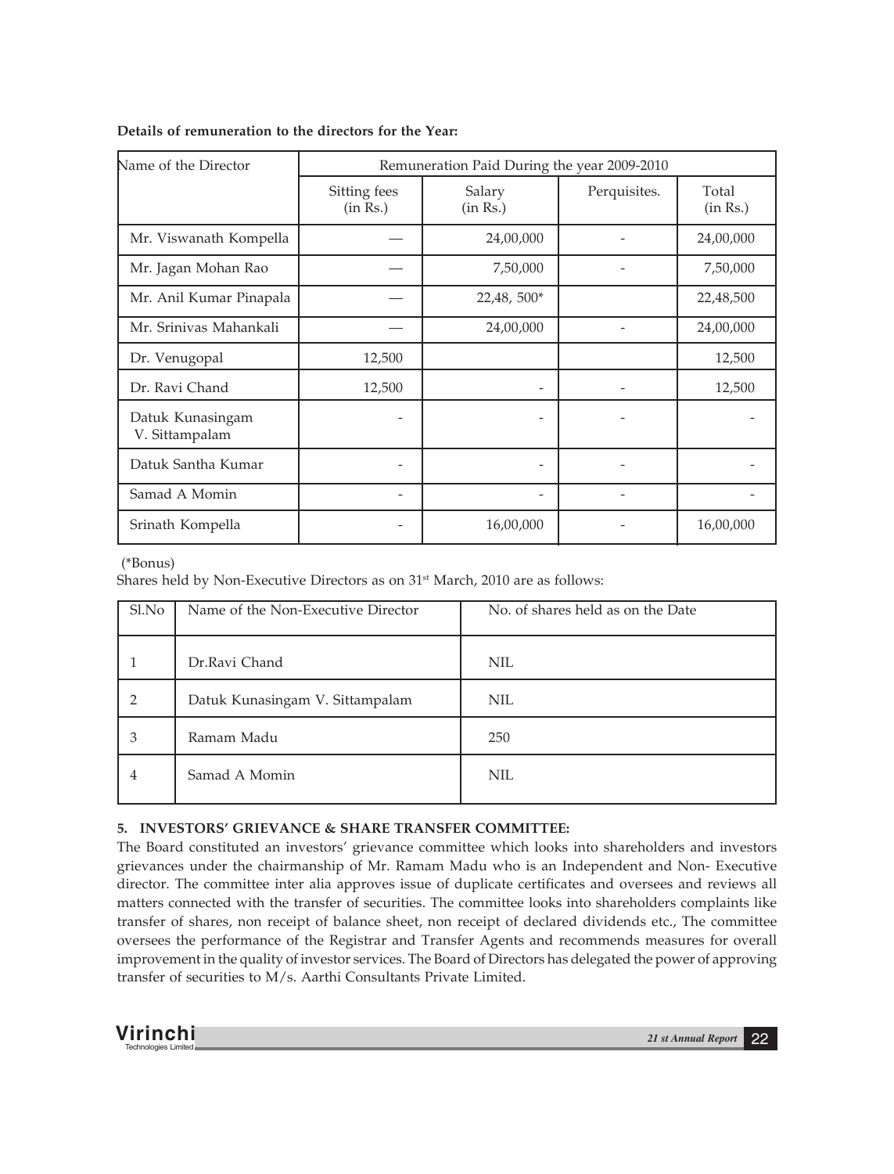| Name of the Director               | Remuneration Paid During the year 2009-2010 |                              |              |                   |
|------------------------------------|---------------------------------------------|------------------------------|--------------|-------------------|
|                                    | Sitting fees<br>(in Rs.)                    | Salary<br>(in Rs.)           | Perquisites. | Total<br>(in Rs.) |
| Mr. Viswanath Kompella             |                                             | 24,00,000                    |              | 24,00,000         |
| Mr. Jagan Mohan Rao                |                                             | 7,50,000                     |              | 7,50,000          |
| Mr. Anil Kumar Pinapala            |                                             | $22,48,500*$                 |              | 22,48,500         |
| Mr. Srinivas Mahankali             |                                             | 24,00,000                    |              | 24,00,000         |
| Dr. Venugopal                      | 12,500                                      |                              |              | 12,500            |
| Dr. Ravi Chand                     | 12,500                                      |                              |              | 12,500            |
| Datuk Kunasingam<br>V. Sittampalam |                                             |                              |              |                   |
| Datuk Santha Kumar                 |                                             | $\qquad \qquad \blacksquare$ |              |                   |
| Samad A Momin                      |                                             | $\overline{\phantom{a}}$     |              |                   |
| Srinath Kompella                   |                                             | 16,00,000                    |              | 16,00,000         |

# **Details of remuneration to the directors for the Year:**

(\*Bonus)

Shares held by Non-Executive Directors as on 31<sup>st</sup> March, 2010 are as follows:

| Sl.No          | Name of the Non-Executive Director | No. of shares held as on the Date |
|----------------|------------------------------------|-----------------------------------|
|                | Dr.Ravi Chand                      | <b>NIL</b>                        |
| $\overline{2}$ | Datuk Kunasingam V. Sittampalam    | <b>NIL</b>                        |
| 3              | Ramam Madu                         | 250                               |
| 4              | Samad A Momin                      | <b>NIL</b>                        |

# **5. INVESTORS' GRIEVANCE & SHARE TRANSFER COMMITTEE:**

The Board constituted an investors' grievance committee which looks into shareholders and investors grievances under the chairmanship of Mr. Ramam Madu who is an Independent and Non- Executive director. The committee inter alia approves issue of duplicate certificates and oversees and reviews all matters connected with the transfer of securities. The committee looks into shareholders complaints like transfer of shares, non receipt of balance sheet, non receipt of declared dividends etc., The committee oversees the performance of the Registrar and Transfer Agents and recommends measures for overall improvement in the quality of investor services. The Board of Directors has delegated the power of approving transfer of securities to M/s. Aarthi Consultants Private Limited.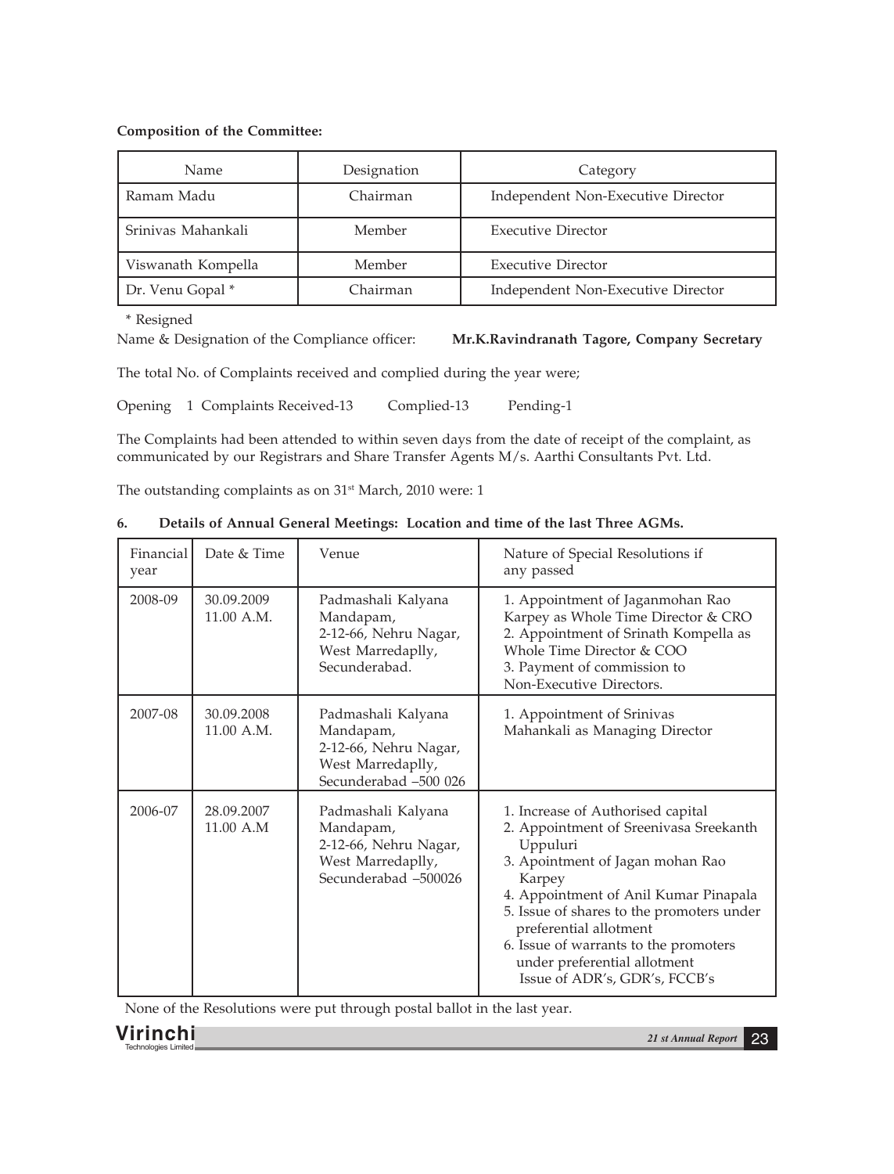# **Composition of the Committee:**

| Name.              | Designation | Category                           |
|--------------------|-------------|------------------------------------|
| Ramam Madu         | Chairman    | Independent Non-Executive Director |
| Srinivas Mahankali | Member      | <b>Executive Director</b>          |
| Viswanath Kompella | Member      | <b>Executive Director</b>          |
| Dr. Venu Gopal *   | Chairman    | Independent Non-Executive Director |

\* Resigned

Name & Designation of the Compliance officer: **Mr.K.Ravindranath Tagore, Company Secretary**

The total No. of Complaints received and complied during the year were;

Opening 1 Complaints Received-13 Complied-13 Pending-1

The Complaints had been attended to within seven days from the date of receipt of the complaint, as communicated by our Registrars and Share Transfer Agents M/s. Aarthi Consultants Pvt. Ltd.

The outstanding complaints as on 31<sup>st</sup> March, 2010 were: 1

| Financial<br>year | Date & Time              | Venue                                                                                                  | Nature of Special Resolutions if<br>any passed                                                                                                                                                                                                                                                                                                                  |
|-------------------|--------------------------|--------------------------------------------------------------------------------------------------------|-----------------------------------------------------------------------------------------------------------------------------------------------------------------------------------------------------------------------------------------------------------------------------------------------------------------------------------------------------------------|
| 2008-09           | 30.09.2009<br>11.00 A.M. | Padmashali Kalyana<br>Mandapam,<br>2-12-66, Nehru Nagar,<br>West Marredaplly,<br>Secunderabad.         | 1. Appointment of Jaganmohan Rao<br>Karpey as Whole Time Director & CRO<br>2. Appointment of Srinath Kompella as<br>Whole Time Director & COO<br>3. Payment of commission to<br>Non-Executive Directors.                                                                                                                                                        |
| 2007-08           | 30.09.2008<br>11.00 A.M. | Padmashali Kalyana<br>Mandapam,<br>2-12-66, Nehru Nagar,<br>West Marredaplly,<br>Secunderabad -500 026 | 1. Appointment of Srinivas<br>Mahankali as Managing Director                                                                                                                                                                                                                                                                                                    |
| 2006-07           | 28.09.2007<br>11.00 A.M  | Padmashali Kalyana<br>Mandapam,<br>2-12-66, Nehru Nagar,<br>West Marredaplly,<br>Secunderabad -500026  | 1. Increase of Authorised capital<br>2. Appointment of Sreenivasa Sreekanth<br>Uppuluri<br>3. Apointment of Jagan mohan Rao<br>Karpey<br>4. Appointment of Anil Kumar Pinapala<br>5. Issue of shares to the promoters under<br>preferential allotment<br>6. Issue of warrants to the promoters<br>under preferential allotment<br>Issue of ADR's, GDR's, FCCB's |

# **6. Details of Annual General Meetings: Location and time of the last Three AGMs.**

None of the Resolutions were put through postal ballot in the last year.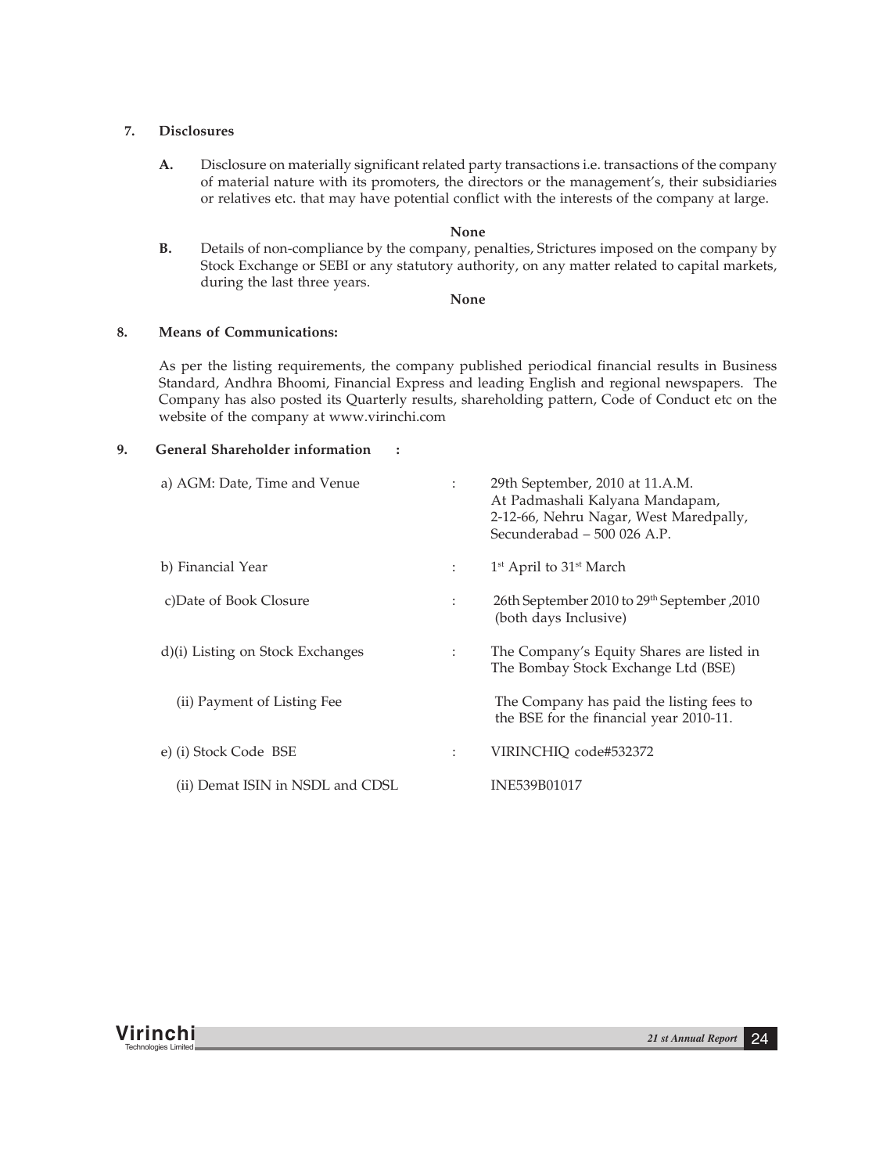# **7. Disclosures**

**A.** Disclosure on materially significant related party transactions i.e. transactions of the company of material nature with its promoters, the directors or the management's, their subsidiaries or relatives etc. that may have potential conflict with the interests of the company at large.

#### **None**

**B.** Details of non-compliance by the company, penalties, Strictures imposed on the company by Stock Exchange or SEBI or any statutory authority, on any matter related to capital markets, during the last three years.

#### **None**

#### **8. Means of Communications:**

As per the listing requirements, the company published periodical financial results in Business Standard, Andhra Bhoomi, Financial Express and leading English and regional newspapers. The Company has also posted its Quarterly results, shareholding pattern, Code of Conduct etc on the website of the company at www.virinchi.com

#### **9. General Shareholder information :**

| a) AGM: Date, Time and Venue     | $\ddot{\phantom{a}}$ | 29th September, 2010 at 11.A.M.<br>At Padmashali Kalyana Mandapam,<br>2-12-66, Nehru Nagar, West Maredpally,<br>Secunderabad - 500 026 A.P. |
|----------------------------------|----------------------|---------------------------------------------------------------------------------------------------------------------------------------------|
| b) Financial Year                | $1 - 1$              | $1st$ April to $31st$ March                                                                                                                 |
| c)Date of Book Closure           | ÷                    | 2010, September 2010 to 29th September<br>(both days Inclusive)                                                                             |
| d)(i) Listing on Stock Exchanges | $\ddot{\phantom{a}}$ | The Company's Equity Shares are listed in<br>The Bombay Stock Exchange Ltd (BSE)                                                            |
| (ii) Payment of Listing Fee      |                      | The Company has paid the listing fees to<br>the BSE for the financial year 2010-11.                                                         |
| e) (i) Stock Code BSE            | $\ddot{\phantom{a}}$ | VIRINCHIQ code#532372                                                                                                                       |
| (ii) Demat ISIN in NSDL and CDSL |                      | INE539B01017                                                                                                                                |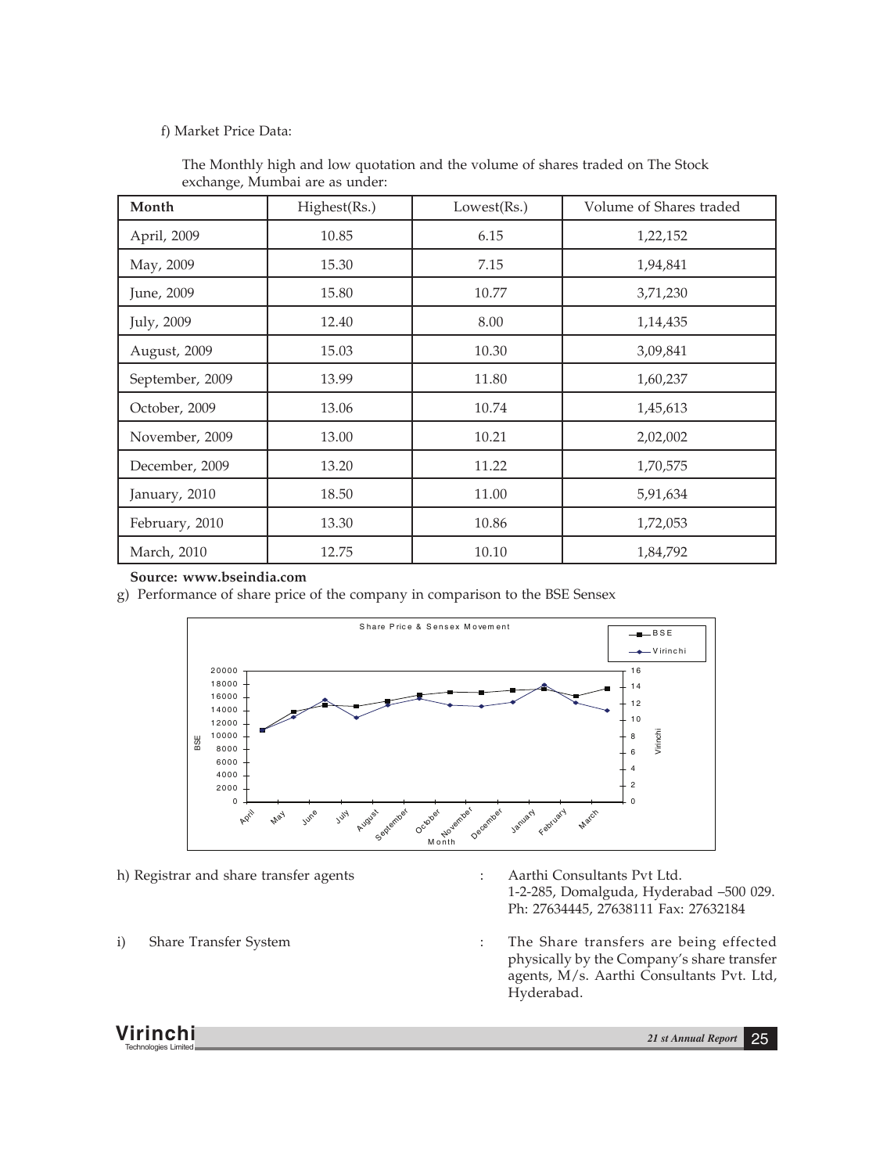# f) Market Price Data:

| Month           | Highest(Rs.) | Lowest(Rs.) | Volume of Shares traded |
|-----------------|--------------|-------------|-------------------------|
| April, 2009     | 10.85        | 6.15        | 1,22,152                |
| May, 2009       | 15.30        | 7.15        | 1,94,841                |
| June, 2009      | 15.80        | 10.77       | 3,71,230                |
| July, 2009      | 12.40        | 8.00        | 1,14,435                |
| August, 2009    | 15.03        | 10.30       | 3,09,841                |
| September, 2009 | 13.99        | 11.80       | 1,60,237                |
| October, 2009   | 13.06        | 10.74       | 1,45,613                |
| November, 2009  | 13.00        | 10.21       | 2,02,002                |
| December, 2009  | 13.20        | 11.22       | 1,70,575                |
| January, 2010   | 18.50        | 11.00       | 5,91,634                |
| February, 2010  | 13.30        | 10.86       | 1,72,053                |
| March, 2010     | 12.75        | 10.10       | 1,84,792                |

The Monthly high and low quotation and the volume of shares traded on The Stock exchange, Mumbai are as under:

# **Source: www.bseindia.com**

g) Performance of share price of the company in comparison to the BSE Sensex



h) Registrar and share transfer agents : Aarthi Consultants Pvt Ltd.

- 1-2-285, Domalguda, Hyderabad –500 029. Ph: 27634445, 27638111 Fax: 27632184
- i) Share Transfer System : The Share transfers are being effected physically by the Company's share transfer agents, M/s. Aarthi Consultants Pvt. Ltd, Hyderabad.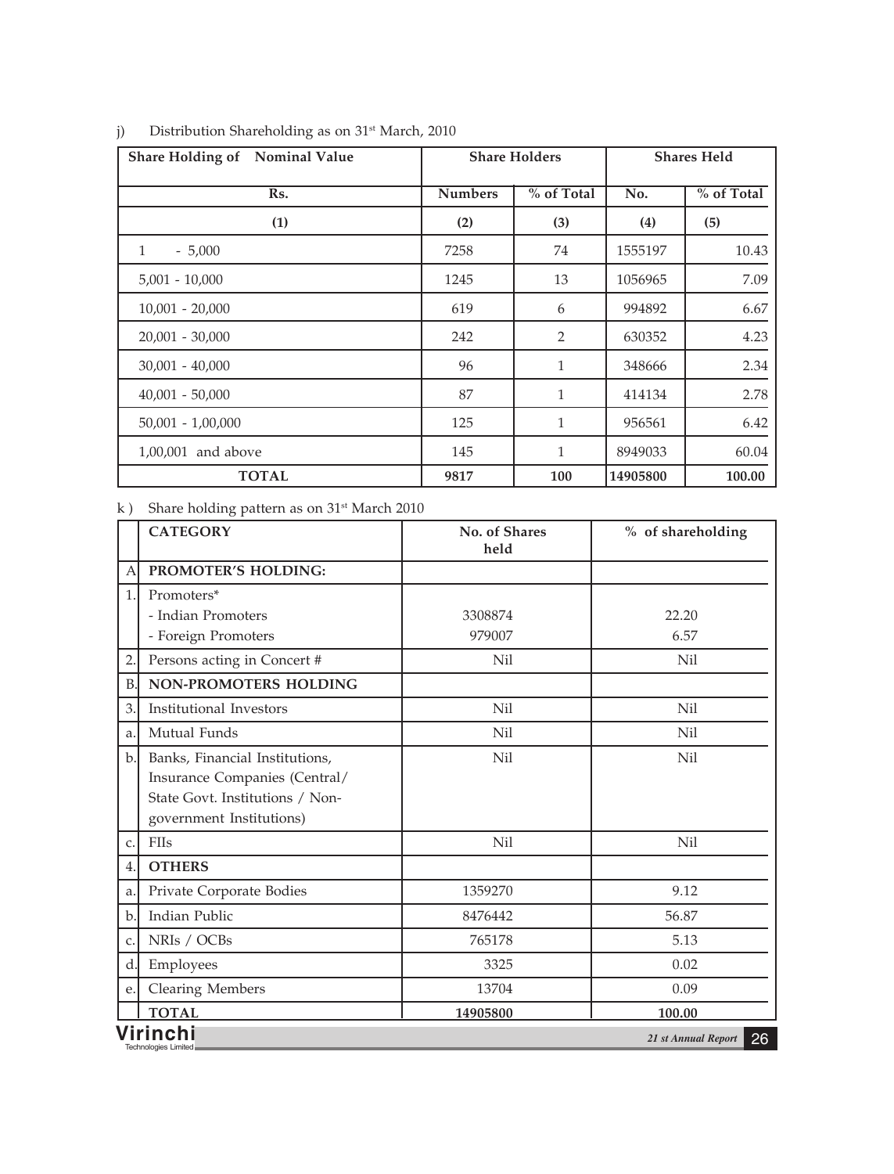| Share Holding of Nominal Value |                | <b>Share Holders</b> |          | <b>Shares Held</b> |
|--------------------------------|----------------|----------------------|----------|--------------------|
| Rs.                            | <b>Numbers</b> | % of Total           | No.      | % of Total         |
| (1)                            | (2)            | (3)                  | (4)      | (5)                |
| 1<br>$-5,000$                  | 7258           | 74                   | 1555197  | 10.43              |
| $5,001 - 10,000$               | 1245           | 13                   | 1056965  | 7.09               |
| $10,001 - 20,000$              | 619            | 6                    | 994892   | 6.67               |
| $20,001 - 30,000$              | 242            | 2                    | 630352   | 4.23               |
| $30,001 - 40,000$              | 96             | $\mathbf{1}$         | 348666   | 2.34               |
| $40,001 - 50,000$              | 87             | 1                    | 414134   | 2.78               |
| $50,001 - 1,00,000$            | 125            | $\mathbf{1}$         | 956561   | 6.42               |
| 1,00,001 and above             | 145            | $\mathbf{1}$         | 8949033  | 60.04              |
| <b>TOTAL</b>                   | 9817           | 100                  | 14905800 | 100.00             |

# j) Distribution Shareholding as on 31<sup>st</sup> March, 2010

k ) Share holding pattern as on 31<sup>st</sup> March 2010

|              | <b>CATEGORY</b>                                                                                                                | No. of Shares<br>held | % of shareholding         |
|--------------|--------------------------------------------------------------------------------------------------------------------------------|-----------------------|---------------------------|
| A            | PROMOTER'S HOLDING:                                                                                                            |                       |                           |
| 1.1          | Promoters*<br>- Indian Promoters<br>- Foreign Promoters                                                                        | 3308874<br>979007     | 22.20<br>6.57             |
| $\mathbf{2}$ | Persons acting in Concert #                                                                                                    | Nil                   | Nil                       |
| B            | NON-PROMOTERS HOLDING                                                                                                          |                       |                           |
| 3.           | Institutional Investors                                                                                                        | Nil                   | Nil                       |
| a.           | Mutual Funds                                                                                                                   | Nil                   | Nil                       |
| $b$ .        | Banks, Financial Institutions,<br>Insurance Companies (Central/<br>State Govt. Institutions / Non-<br>government Institutions) | Nil                   | Nil                       |
| c.           | <b>FIIs</b>                                                                                                                    | Nil                   | Nil                       |
| 4.           | <b>OTHERS</b>                                                                                                                  |                       |                           |
| a.           | Private Corporate Bodies                                                                                                       | 1359270               | 9.12                      |
| b.           | Indian Public                                                                                                                  | 8476442               | 56.87                     |
| C.           | NRIs / OCBs                                                                                                                    | 765178                | 5.13                      |
| d.           | Employees                                                                                                                      | 3325                  | 0.02                      |
| e.           | <b>Clearing Members</b>                                                                                                        | 13704                 | 0.09                      |
|              | <b>TOTAL</b>                                                                                                                   | 14905800              | 100.00                    |
|              | Virinchı<br>Technologies Limited                                                                                               |                       | 26<br>21 st Annual Report |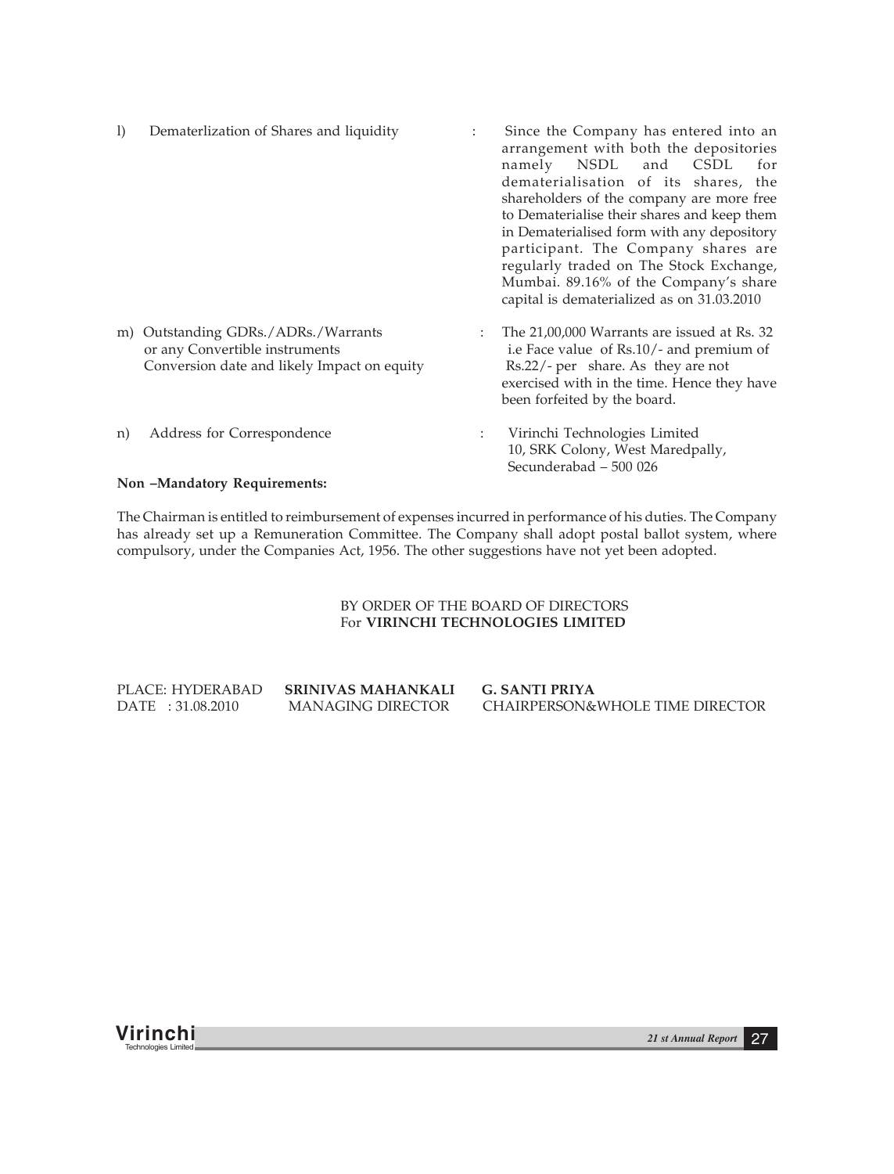| $\bf{I}$ | Dematerlization of Shares and liquidity                                                                              |   | Since the Company has entered into an<br>arrangement with both the depositories<br>namely NSDL and CSDL<br>for<br>dematerialisation of its shares, the<br>shareholders of the company are more free<br>to Dematerialise their shares and keep them<br>in Dematerialised form with any depository<br>participant. The Company shares are<br>regularly traded on The Stock Exchange,<br>Mumbai. 89.16% of the Company's share<br>capital is dematerialized as on 31.03.2010 |
|----------|----------------------------------------------------------------------------------------------------------------------|---|---------------------------------------------------------------------------------------------------------------------------------------------------------------------------------------------------------------------------------------------------------------------------------------------------------------------------------------------------------------------------------------------------------------------------------------------------------------------------|
|          | m) Outstanding GDRs./ADRs./Warrants<br>or any Convertible instruments<br>Conversion date and likely Impact on equity | ÷ | The 21,00,000 Warrants are issued at Rs. 32<br>i.e Face value of Rs.10/- and premium of<br>Rs.22/- per share. As they are not<br>exercised with in the time. Hence they have<br>been forfeited by the board.                                                                                                                                                                                                                                                              |
| n)       | Address for Correspondence                                                                                           |   | Virinchi Technologies Limited<br>10, SRK Colony, West Maredpally,<br>Secunderabad - 500 026                                                                                                                                                                                                                                                                                                                                                                               |

# **Non –Mandatory Requirements:**

The Chairman is entitled to reimbursement of expenses incurred in performance of his duties. The Company has already set up a Remuneration Committee. The Company shall adopt postal ballot system, where compulsory, under the Companies Act, 1956. The other suggestions have not yet been adopted.

# BY ORDER OF THE BOARD OF DIRECTORS For **VIRINCHI TECHNOLOGIES LIMITED**

| PLACE: HYDERABAD  | <b>SRINIVAS MAHANKALI</b> | G. SANTI PRIYA                  |
|-------------------|---------------------------|---------------------------------|
| DATE : 31.08.2010 | MANAGING DIRECTOR         | CHAIRPERSON&WHOLE TIME DIRECTOR |

**Virinchi** *21 st Annual Report* <sup>27</sup> Technologies Limited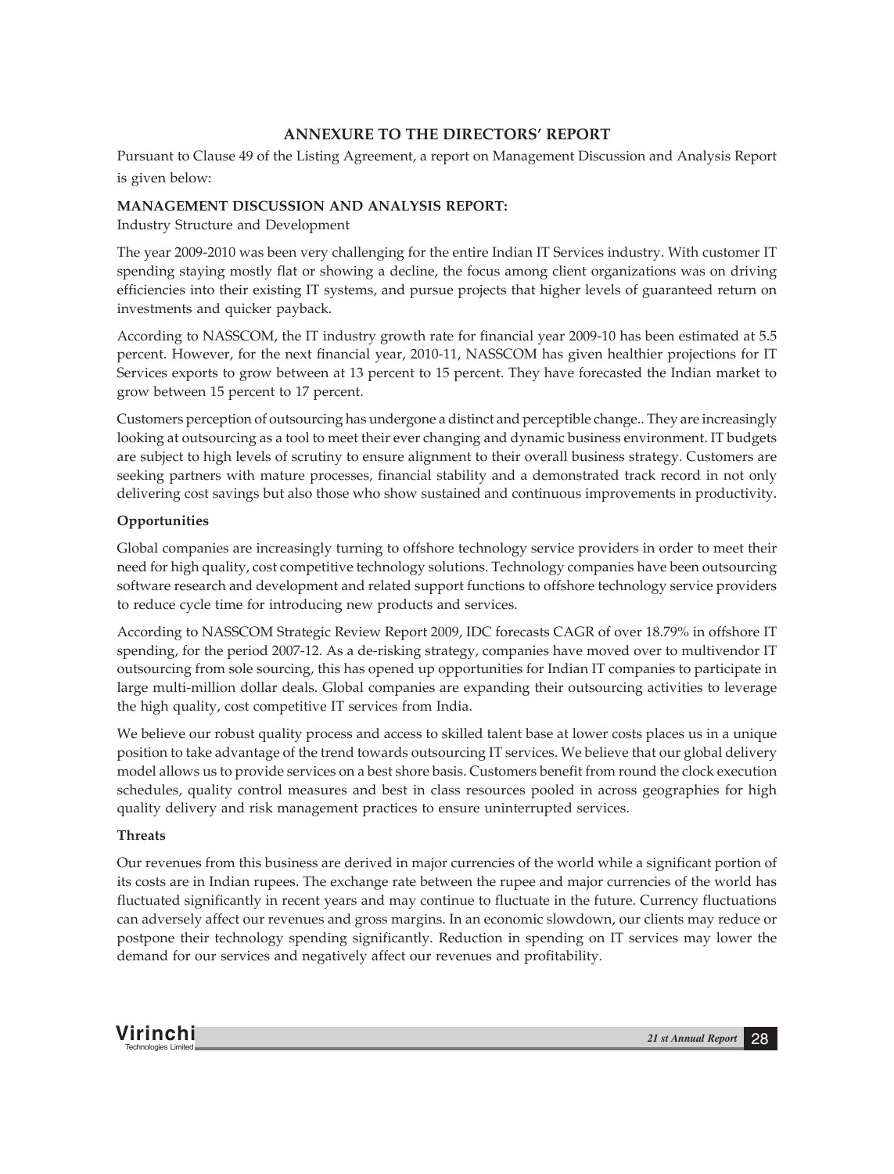# **ANNEXURE TO THE DIRECTORS' REPORT**

Pursuant to Clause 49 of the Listing Agreement, a report on Management Discussion and Analysis Report is given below:

# **MANAGEMENT DISCUSSION AND ANALYSIS REPORT:**

Industry Structure and Development

The year 2009-2010 was been very challenging for the entire Indian IT Services industry. With customer IT spending staying mostly flat or showing a decline, the focus among client organizations was on driving efficiencies into their existing IT systems, and pursue projects that higher levels of guaranteed return on investments and quicker payback.

According to NASSCOM, the IT industry growth rate for financial year 2009-10 has been estimated at 5.5 percent. However, for the next financial year, 2010-11, NASSCOM has given healthier projections for IT Services exports to grow between at 13 percent to 15 percent. They have forecasted the Indian market to grow between 15 percent to 17 percent.

Customers perception of outsourcing has undergone a distinct and perceptible change.. They are increasingly looking at outsourcing as a tool to meet their ever changing and dynamic business environment. IT budgets are subject to high levels of scrutiny to ensure alignment to their overall business strategy. Customers are seeking partners with mature processes, financial stability and a demonstrated track record in not only delivering cost savings but also those who show sustained and continuous improvements in productivity.

# **Opportunities**

Global companies are increasingly turning to offshore technology service providers in order to meet their need for high quality, cost competitive technology solutions. Technology companies have been outsourcing software research and development and related support functions to offshore technology service providers to reduce cycle time for introducing new products and services.

According to NASSCOM Strategic Review Report 2009, IDC forecasts CAGR of over 18.79% in offshore IT spending, for the period 2007-12. As a de-risking strategy, companies have moved over to multivendor IT outsourcing from sole sourcing, this has opened up opportunities for Indian IT companies to participate in large multi-million dollar deals. Global companies are expanding their outsourcing activities to leverage the high quality, cost competitive IT services from India.

We believe our robust quality process and access to skilled talent base at lower costs places us in a unique position to take advantage of the trend towards outsourcing IT services. We believe that our global delivery model allows us to provide services on a best shore basis. Customers benefit from round the clock execution schedules, quality control measures and best in class resources pooled in across geographies for high quality delivery and risk management practices to ensure uninterrupted services.

#### **Threats**

Our revenues from this business are derived in major currencies of the world while a significant portion of its costs are in Indian rupees. The exchange rate between the rupee and major currencies of the world has fluctuated significantly in recent years and may continue to fluctuate in the future. Currency fluctuations can adversely affect our revenues and gross margins. In an economic slowdown, our clients may reduce or postpone their technology spending significantly. Reduction in spending on IT services may lower the demand for our services and negatively affect our revenues and profitability.

**Virinchi** *21 st Annual Report* <sup>28</sup> Technologies Limited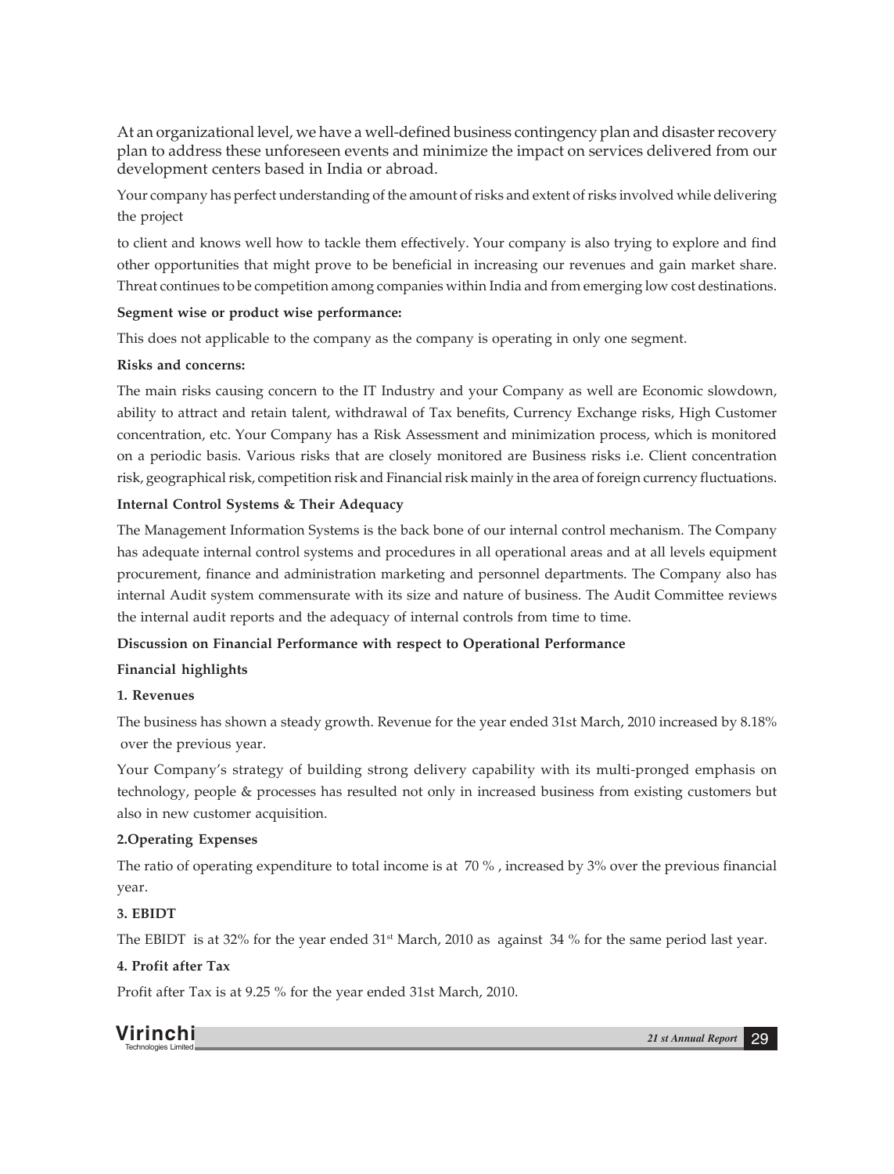At an organizational level, we have a well-defined business contingency plan and disaster recovery plan to address these unforeseen events and minimize the impact on services delivered from our development centers based in India or abroad.

Your company has perfect understanding of the amount of risks and extent of risks involved while delivering the project

to client and knows well how to tackle them effectively. Your company is also trying to explore and find other opportunities that might prove to be beneficial in increasing our revenues and gain market share. Threat continues to be competition among companies within India and from emerging low cost destinations.

# **Segment wise or product wise performance:**

This does not applicable to the company as the company is operating in only one segment.

## **Risks and concerns:**

The main risks causing concern to the IT Industry and your Company as well are Economic slowdown, ability to attract and retain talent, withdrawal of Tax benefits, Currency Exchange risks, High Customer concentration, etc. Your Company has a Risk Assessment and minimization process, which is monitored on a periodic basis. Various risks that are closely monitored are Business risks i.e. Client concentration risk, geographical risk, competition risk and Financial risk mainly in the area of foreign currency fluctuations.

# **Internal Control Systems & Their Adequacy**

The Management Information Systems is the back bone of our internal control mechanism. The Company has adequate internal control systems and procedures in all operational areas and at all levels equipment procurement, finance and administration marketing and personnel departments. The Company also has internal Audit system commensurate with its size and nature of business. The Audit Committee reviews the internal audit reports and the adequacy of internal controls from time to time.

# **Discussion on Financial Performance with respect to Operational Performance**

#### **Financial highlights**

# **1. Revenues**

The business has shown a steady growth. Revenue for the year ended 31st March, 2010 increased by 8.18% over the previous year.

Your Company's strategy of building strong delivery capability with its multi-pronged emphasis on technology, people & processes has resulted not only in increased business from existing customers but also in new customer acquisition.

# **2.Operating Expenses**

The ratio of operating expenditure to total income is at 70 % , increased by 3% over the previous financial year.

# **3. EBIDT**

The EBIDT is at 32% for the year ended  $31<sup>st</sup>$  March, 2010 as against 34 % for the same period last year.

# **4. Profit after Tax**

Profit after Tax is at 9.25 % for the year ended 31st March, 2010.

**Virinchi** *21 st Annual Report* <sup>29</sup> Technologies Limited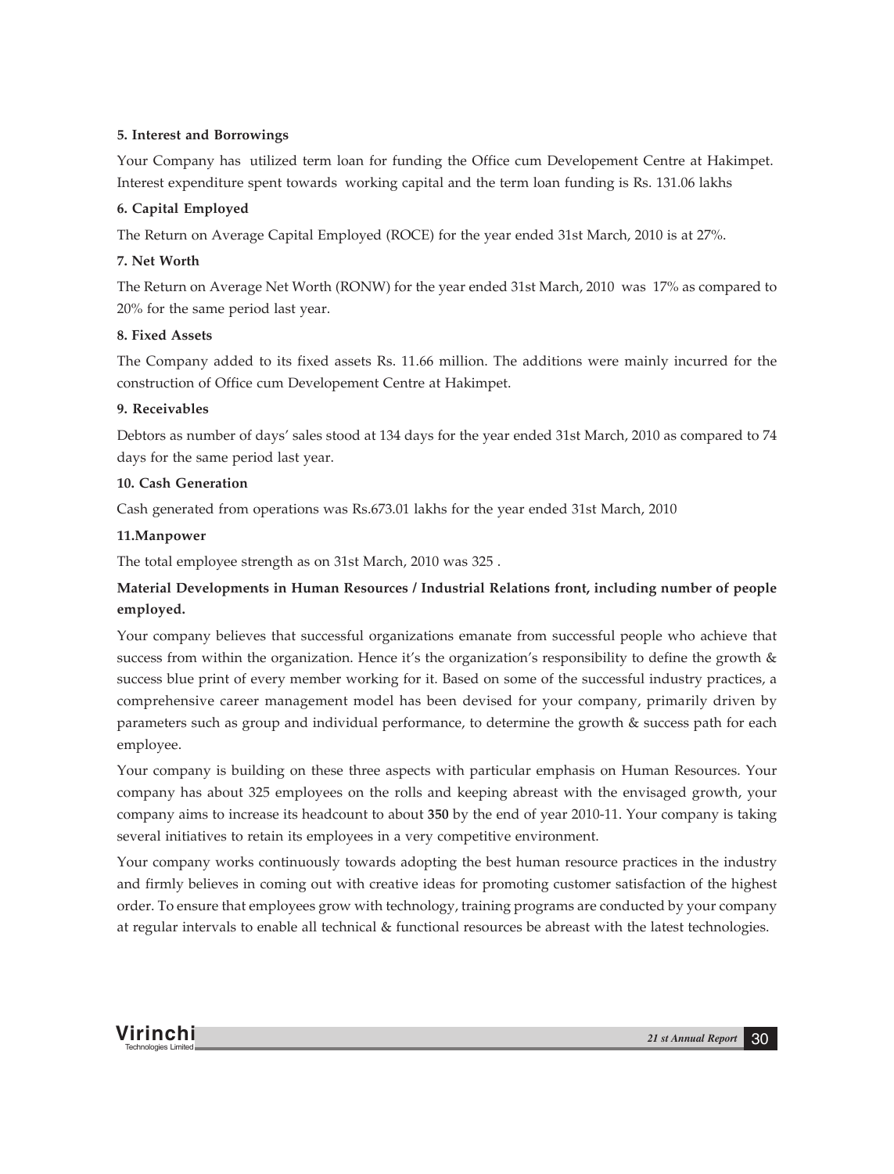# **5. Interest and Borrowings**

Your Company has utilized term loan for funding the Office cum Developement Centre at Hakimpet. Interest expenditure spent towards working capital and the term loan funding is Rs. 131.06 lakhs

# **6. Capital Employed**

The Return on Average Capital Employed (ROCE) for the year ended 31st March, 2010 is at 27%.

# **7. Net Worth**

The Return on Average Net Worth (RONW) for the year ended 31st March, 2010 was 17% as compared to 20% for the same period last year.

# **8. Fixed Assets**

The Company added to its fixed assets Rs. 11.66 million. The additions were mainly incurred for the construction of Office cum Developement Centre at Hakimpet.

# **9. Receivables**

Debtors as number of days' sales stood at 134 days for the year ended 31st March, 2010 as compared to 74 days for the same period last year.

# **10. Cash Generation**

Cash generated from operations was Rs.673.01 lakhs for the year ended 31st March, 2010

# **11.Manpower**

The total employee strength as on 31st March, 2010 was 325 .

# **Material Developments in Human Resources / Industrial Relations front, including number of people employed.**

Your company believes that successful organizations emanate from successful people who achieve that success from within the organization. Hence it's the organization's responsibility to define the growth  $\&$ success blue print of every member working for it. Based on some of the successful industry practices, a comprehensive career management model has been devised for your company, primarily driven by parameters such as group and individual performance, to determine the growth & success path for each employee.

Your company is building on these three aspects with particular emphasis on Human Resources. Your company has about 325 employees on the rolls and keeping abreast with the envisaged growth, your company aims to increase its headcount to about **350** by the end of year 2010-11. Your company is taking several initiatives to retain its employees in a very competitive environment.

Your company works continuously towards adopting the best human resource practices in the industry and firmly believes in coming out with creative ideas for promoting customer satisfaction of the highest order. To ensure that employees grow with technology, training programs are conducted by your company at regular intervals to enable all technical & functional resources be abreast with the latest technologies.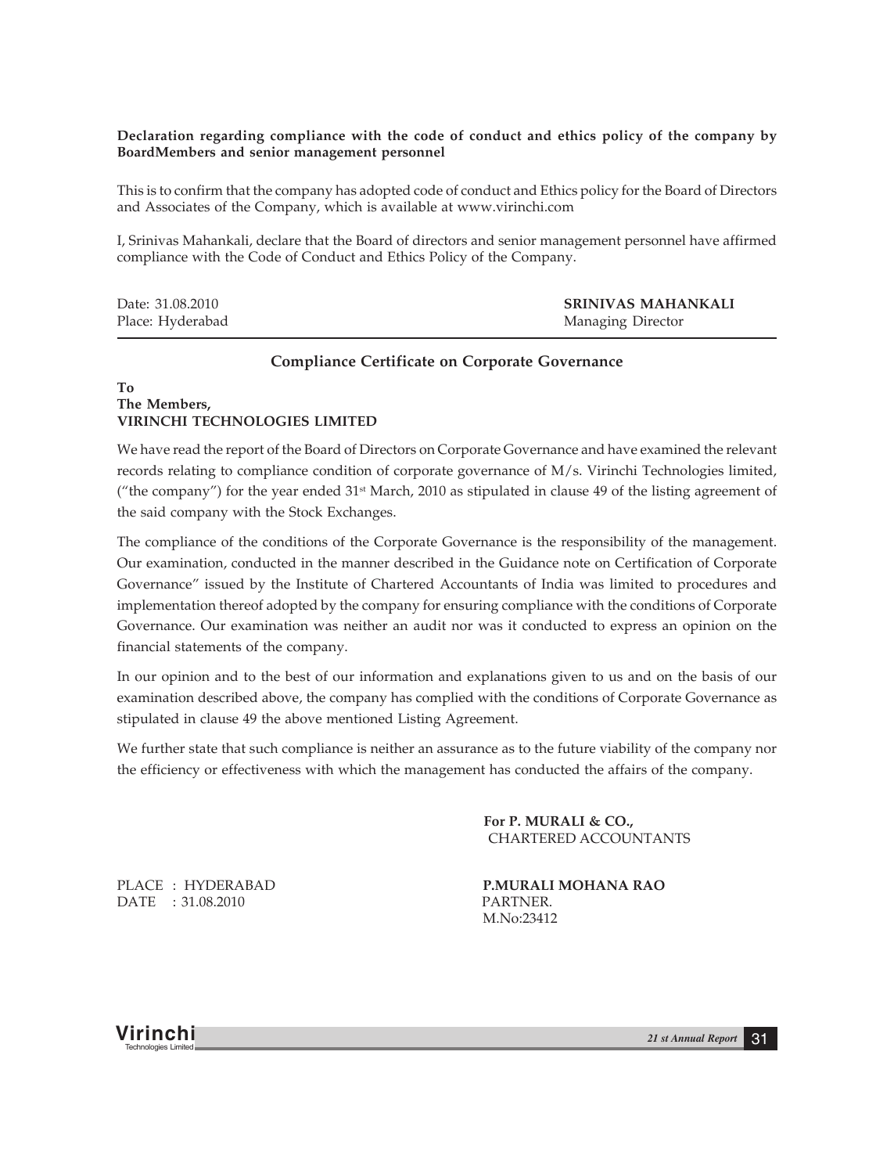# **Declaration regarding compliance with the code of conduct and ethics policy of the company by BoardMembers and senior management personnel**

This is to confirm that the company has adopted code of conduct and Ethics policy for the Board of Directors and Associates of the Company, which is available at www.virinchi.com

I, Srinivas Mahankali, declare that the Board of directors and senior management personnel have affirmed compliance with the Code of Conduct and Ethics Policy of the Company.

| Date: 31.08.2010 | SRINIVAS MAHANKALI |
|------------------|--------------------|
| Place: Hyderabad | Managing Director  |

## **Compliance Certificate on Corporate Governance**

# **To The Members, VIRINCHI TECHNOLOGIES LIMITED**

We have read the report of the Board of Directors on Corporate Governance and have examined the relevant records relating to compliance condition of corporate governance of M/s. Virinchi Technologies limited, ("the company") for the year ended 31<sup>st</sup> March, 2010 as stipulated in clause 49 of the listing agreement of the said company with the Stock Exchanges.

The compliance of the conditions of the Corporate Governance is the responsibility of the management. Our examination, conducted in the manner described in the Guidance note on Certification of Corporate Governance" issued by the Institute of Chartered Accountants of India was limited to procedures and implementation thereof adopted by the company for ensuring compliance with the conditions of Corporate Governance. Our examination was neither an audit nor was it conducted to express an opinion on the financial statements of the company.

In our opinion and to the best of our information and explanations given to us and on the basis of our examination described above, the company has complied with the conditions of Corporate Governance as stipulated in clause 49 the above mentioned Listing Agreement.

We further state that such compliance is neither an assurance as to the future viability of the company nor the efficiency or effectiveness with which the management has conducted the affairs of the company.

> **For P. MURALI & CO.,** CHARTERED ACCOUNTANTS

PLACE : HYDERABAD **P.MURALI MOHANA RAO** DATE : 31.08.2010 PARTNER.

M.No:23412

**Virinchi** *21 st Annual Report* <sup>31</sup> Technologies Limited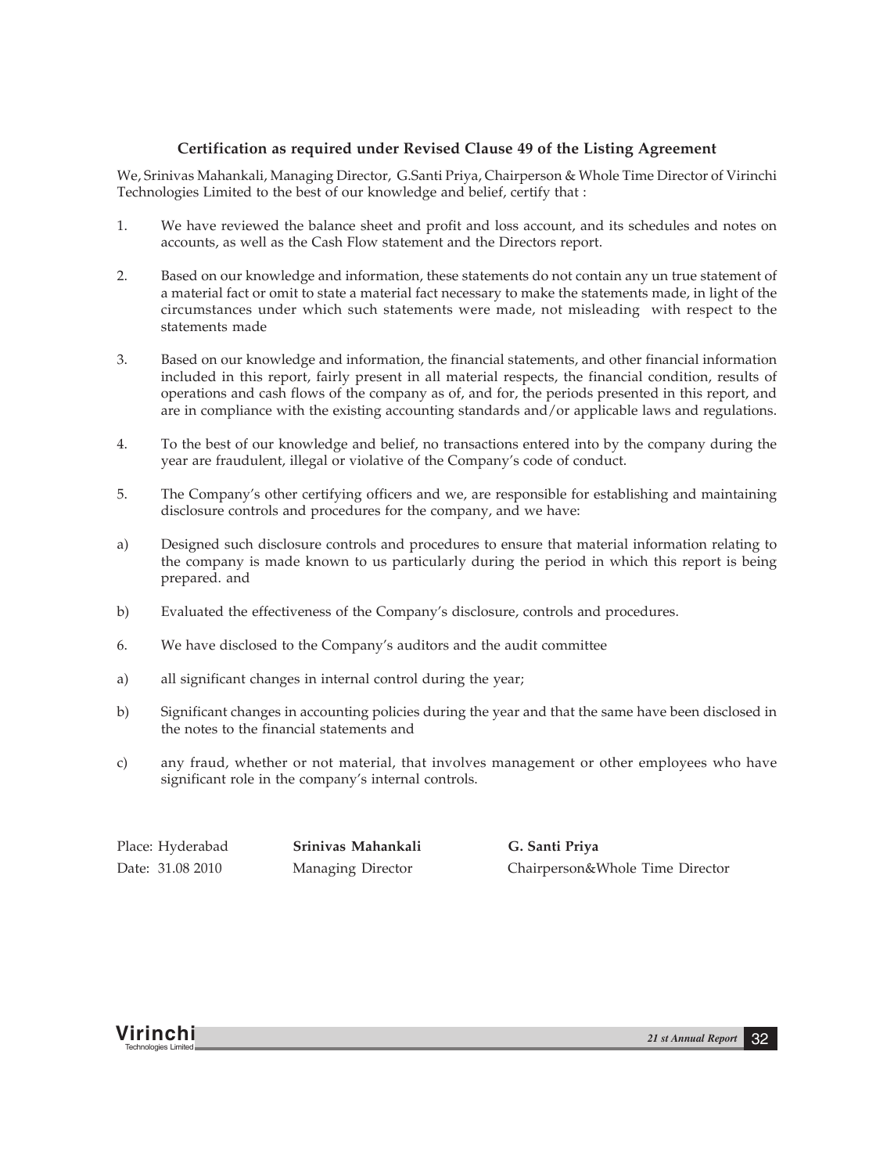# **Certification as required under Revised Clause 49 of the Listing Agreement**

We, Srinivas Mahankali, Managing Director, G.Santi Priya, Chairperson & Whole Time Director of Virinchi Technologies Limited to the best of our knowledge and belief, certify that :

- 1. We have reviewed the balance sheet and profit and loss account, and its schedules and notes on accounts, as well as the Cash Flow statement and the Directors report.
- 2. Based on our knowledge and information, these statements do not contain any un true statement of a material fact or omit to state a material fact necessary to make the statements made, in light of the circumstances under which such statements were made, not misleading with respect to the statements made
- 3. Based on our knowledge and information, the financial statements, and other financial information included in this report, fairly present in all material respects, the financial condition, results of operations and cash flows of the company as of, and for, the periods presented in this report, and are in compliance with the existing accounting standards and/or applicable laws and regulations.
- 4. To the best of our knowledge and belief, no transactions entered into by the company during the year are fraudulent, illegal or violative of the Company's code of conduct.
- 5. The Company's other certifying officers and we, are responsible for establishing and maintaining disclosure controls and procedures for the company, and we have:
- a) Designed such disclosure controls and procedures to ensure that material information relating to the company is made known to us particularly during the period in which this report is being prepared. and
- b) Evaluated the effectiveness of the Company's disclosure, controls and procedures.
- 6. We have disclosed to the Company's auditors and the audit committee
- a) all significant changes in internal control during the year;
- b) Significant changes in accounting policies during the year and that the same have been disclosed in the notes to the financial statements and
- c) any fraud, whether or not material, that involves management or other employees who have significant role in the company's internal controls.

Place: Hyderabad **Srinivas Mahankali G. Santi Priya**

Date: 31.08 2010 Managing Director Chairperson&Whole Time Director

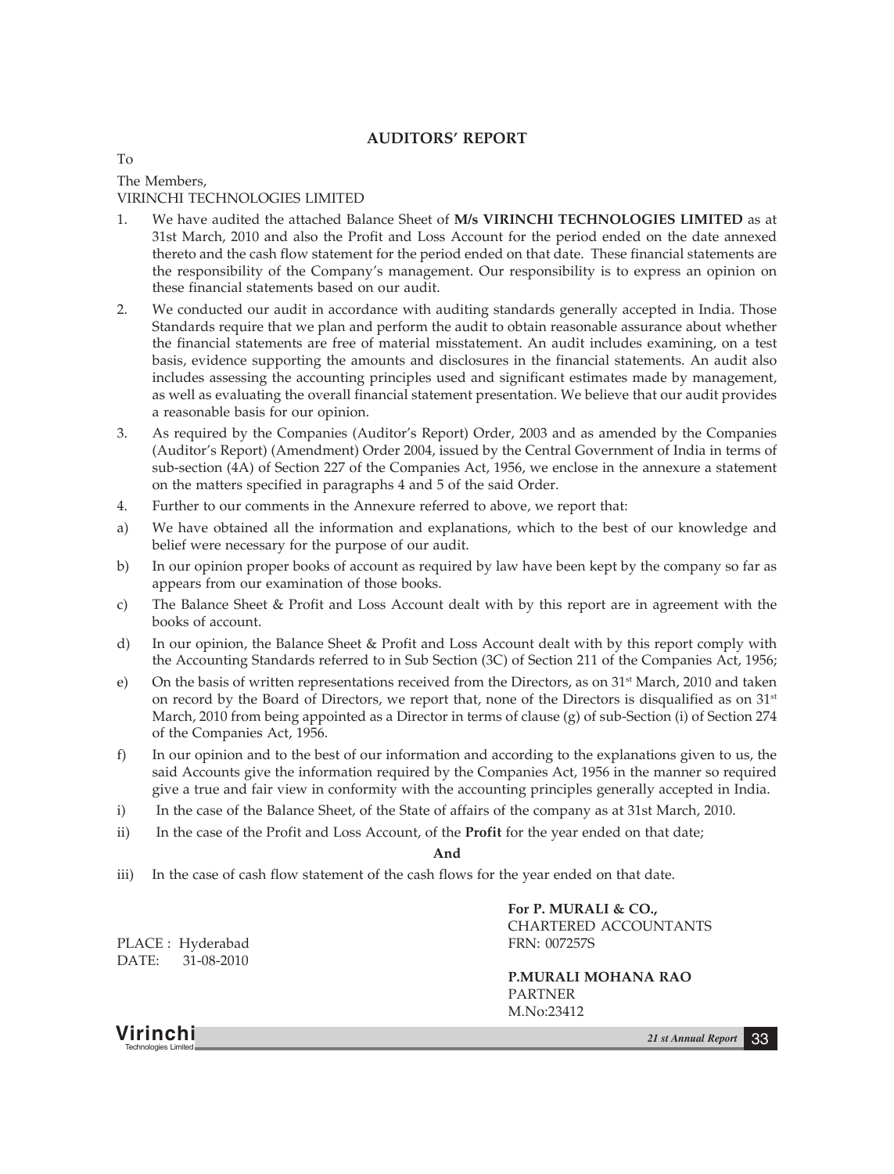# **AUDITORS' REPORT**

To The Members, VIRINCHI TECHNOLOGIES LIMITED

- 1. We have audited the attached Balance Sheet of **M/s VIRINCHI TECHNOLOGIES LIMITED** as at 31st March, 2010 and also the Profit and Loss Account for the period ended on the date annexed thereto and the cash flow statement for the period ended on that date. These financial statements are the responsibility of the Company's management. Our responsibility is to express an opinion on these financial statements based on our audit.
- 2. We conducted our audit in accordance with auditing standards generally accepted in India. Those Standards require that we plan and perform the audit to obtain reasonable assurance about whether the financial statements are free of material misstatement. An audit includes examining, on a test basis, evidence supporting the amounts and disclosures in the financial statements. An audit also includes assessing the accounting principles used and significant estimates made by management, as well as evaluating the overall financial statement presentation. We believe that our audit provides a reasonable basis for our opinion.
- 3. As required by the Companies (Auditor's Report) Order, 2003 and as amended by the Companies (Auditor's Report) (Amendment) Order 2004, issued by the Central Government of India in terms of sub-section (4A) of Section 227 of the Companies Act, 1956, we enclose in the annexure a statement on the matters specified in paragraphs 4 and 5 of the said Order.
- 4. Further to our comments in the Annexure referred to above, we report that:
- a) We have obtained all the information and explanations, which to the best of our knowledge and belief were necessary for the purpose of our audit.
- b) In our opinion proper books of account as required by law have been kept by the company so far as appears from our examination of those books.
- c) The Balance Sheet & Profit and Loss Account dealt with by this report are in agreement with the books of account.
- d) In our opinion, the Balance Sheet & Profit and Loss Account dealt with by this report comply with the Accounting Standards referred to in Sub Section (3C) of Section 211 of the Companies Act, 1956;
- e) On the basis of written representations received from the Directors, as on 31<sup>st</sup> March, 2010 and taken on record by the Board of Directors, we report that, none of the Directors is disqualified as on  $31<sup>st</sup>$ March, 2010 from being appointed as a Director in terms of clause (g) of sub-Section (i) of Section 274 of the Companies Act, 1956.
- f) In our opinion and to the best of our information and according to the explanations given to us, the said Accounts give the information required by the Companies Act, 1956 in the manner so required give a true and fair view in conformity with the accounting principles generally accepted in India.
- i) In the case of the Balance Sheet, of the State of affairs of the company as at 31st March, 2010.
- ii) In the case of the Profit and Loss Account, of the **Profit** for the year ended on that date;

#### **And**

iii) In the case of cash flow statement of the cash flows for the year ended on that date.

PLACE : Hyderabad FRN: 007257S DATE: 31-08-2010

**For P. MURALI & CO.,** CHARTERED ACCOUNTANTS

**P.MURALI MOHANA RAO** PARTNER M.No:23412

**Virinchi** *21 st Annual Report* <sup>33</sup> Technologies Limited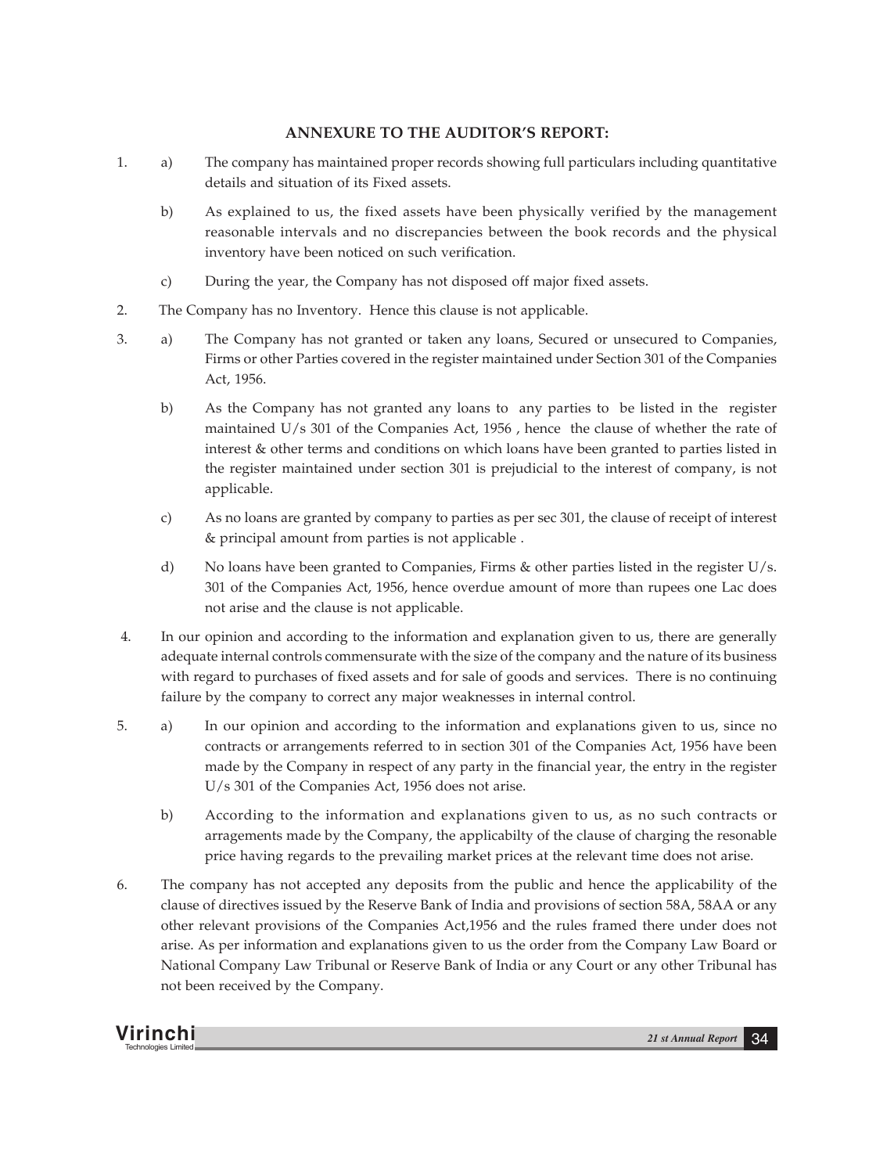# **ANNEXURE TO THE AUDITOR'S REPORT:**

- 1. a) The company has maintained proper records showing full particulars including quantitative details and situation of its Fixed assets.
	- b) As explained to us, the fixed assets have been physically verified by the management reasonable intervals and no discrepancies between the book records and the physical inventory have been noticed on such verification.
	- c) During the year, the Company has not disposed off major fixed assets.
- 2. The Company has no Inventory. Hence this clause is not applicable.
- 3. a) The Company has not granted or taken any loans, Secured or unsecured to Companies, Firms or other Parties covered in the register maintained under Section 301 of the Companies Act, 1956.
	- b) As the Company has not granted any loans to any parties to be listed in the register maintained U/s 301 of the Companies Act, 1956 , hence the clause of whether the rate of interest & other terms and conditions on which loans have been granted to parties listed in the register maintained under section 301 is prejudicial to the interest of company, is not applicable.
	- c) As no loans are granted by company to parties as per sec 301, the clause of receipt of interest & principal amount from parties is not applicable .
	- d) No loans have been granted to Companies, Firms & other parties listed in the register U/s. 301 of the Companies Act, 1956, hence overdue amount of more than rupees one Lac does not arise and the clause is not applicable.
- 4. In our opinion and according to the information and explanation given to us, there are generally adequate internal controls commensurate with the size of the company and the nature of its business with regard to purchases of fixed assets and for sale of goods and services. There is no continuing failure by the company to correct any major weaknesses in internal control.
- 5. a) In our opinion and according to the information and explanations given to us, since no contracts or arrangements referred to in section 301 of the Companies Act, 1956 have been made by the Company in respect of any party in the financial year, the entry in the register U/s 301 of the Companies Act, 1956 does not arise.
	- b) According to the information and explanations given to us, as no such contracts or arragements made by the Company, the applicabilty of the clause of charging the resonable price having regards to the prevailing market prices at the relevant time does not arise.
- 6. The company has not accepted any deposits from the public and hence the applicability of the clause of directives issued by the Reserve Bank of India and provisions of section 58A, 58AA or any other relevant provisions of the Companies Act,1956 and the rules framed there under does not arise. As per information and explanations given to us the order from the Company Law Board or National Company Law Tribunal or Reserve Bank of India or any Court or any other Tribunal has not been received by the Company.

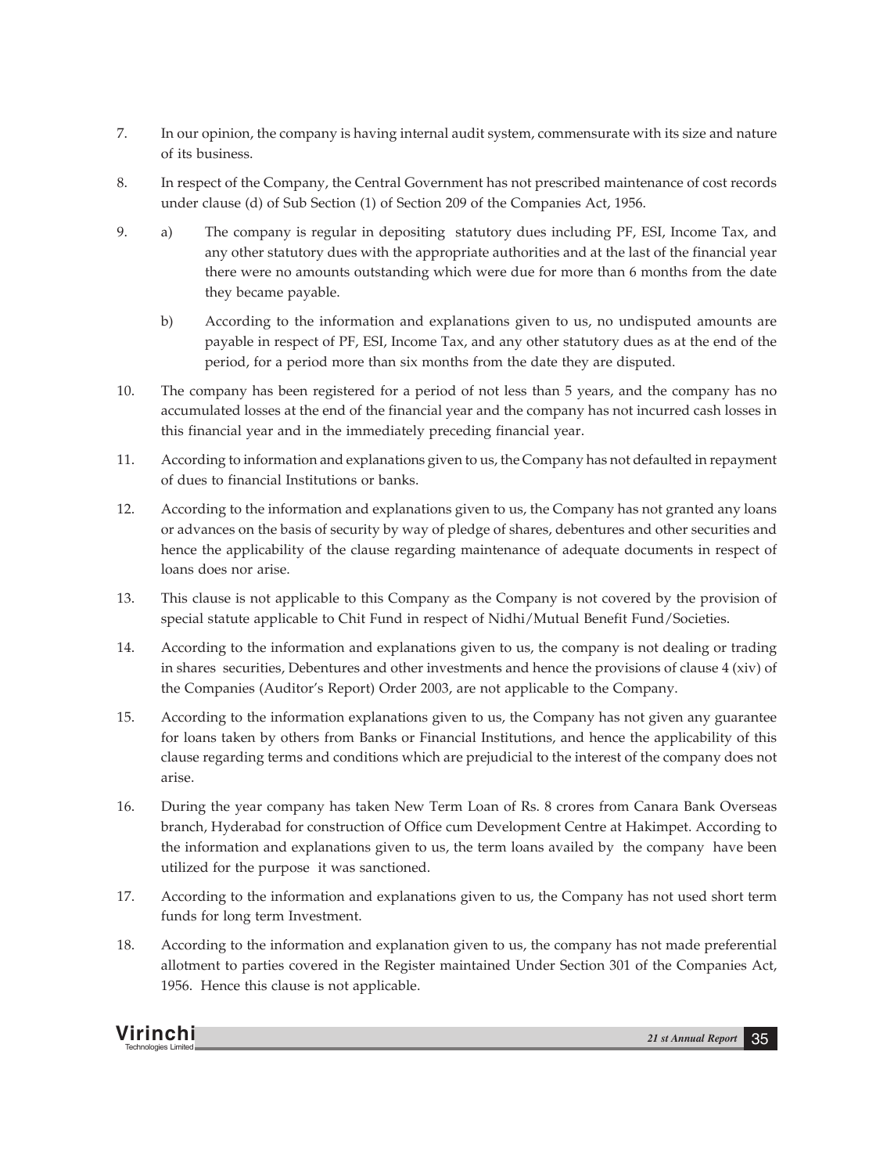- 7. In our opinion, the company is having internal audit system, commensurate with its size and nature of its business.
- 8. In respect of the Company, the Central Government has not prescribed maintenance of cost records under clause (d) of Sub Section (1) of Section 209 of the Companies Act, 1956.
- 9. a) The company is regular in depositing statutory dues including PF, ESI, Income Tax, and any other statutory dues with the appropriate authorities and at the last of the financial year there were no amounts outstanding which were due for more than 6 months from the date they became payable.
	- b) According to the information and explanations given to us, no undisputed amounts are payable in respect of PF, ESI, Income Tax, and any other statutory dues as at the end of the period, for a period more than six months from the date they are disputed.
- 10. The company has been registered for a period of not less than 5 years, and the company has no accumulated losses at the end of the financial year and the company has not incurred cash losses in this financial year and in the immediately preceding financial year.
- 11. According to information and explanations given to us, the Company has not defaulted in repayment of dues to financial Institutions or banks.
- 12. According to the information and explanations given to us, the Company has not granted any loans or advances on the basis of security by way of pledge of shares, debentures and other securities and hence the applicability of the clause regarding maintenance of adequate documents in respect of loans does nor arise.
- 13. This clause is not applicable to this Company as the Company is not covered by the provision of special statute applicable to Chit Fund in respect of Nidhi/Mutual Benefit Fund/Societies.
- 14. According to the information and explanations given to us, the company is not dealing or trading in shares securities, Debentures and other investments and hence the provisions of clause 4 (xiv) of the Companies (Auditor's Report) Order 2003, are not applicable to the Company.
- 15. According to the information explanations given to us, the Company has not given any guarantee for loans taken by others from Banks or Financial Institutions, and hence the applicability of this clause regarding terms and conditions which are prejudicial to the interest of the company does not arise.
- 16. During the year company has taken New Term Loan of Rs. 8 crores from Canara Bank Overseas branch, Hyderabad for construction of Office cum Development Centre at Hakimpet. According to the information and explanations given to us, the term loans availed by the company have been utilized for the purpose it was sanctioned.
- 17. According to the information and explanations given to us, the Company has not used short term funds for long term Investment.
- 18. According to the information and explanation given to us, the company has not made preferential allotment to parties covered in the Register maintained Under Section 301 of the Companies Act, 1956. Hence this clause is not applicable.

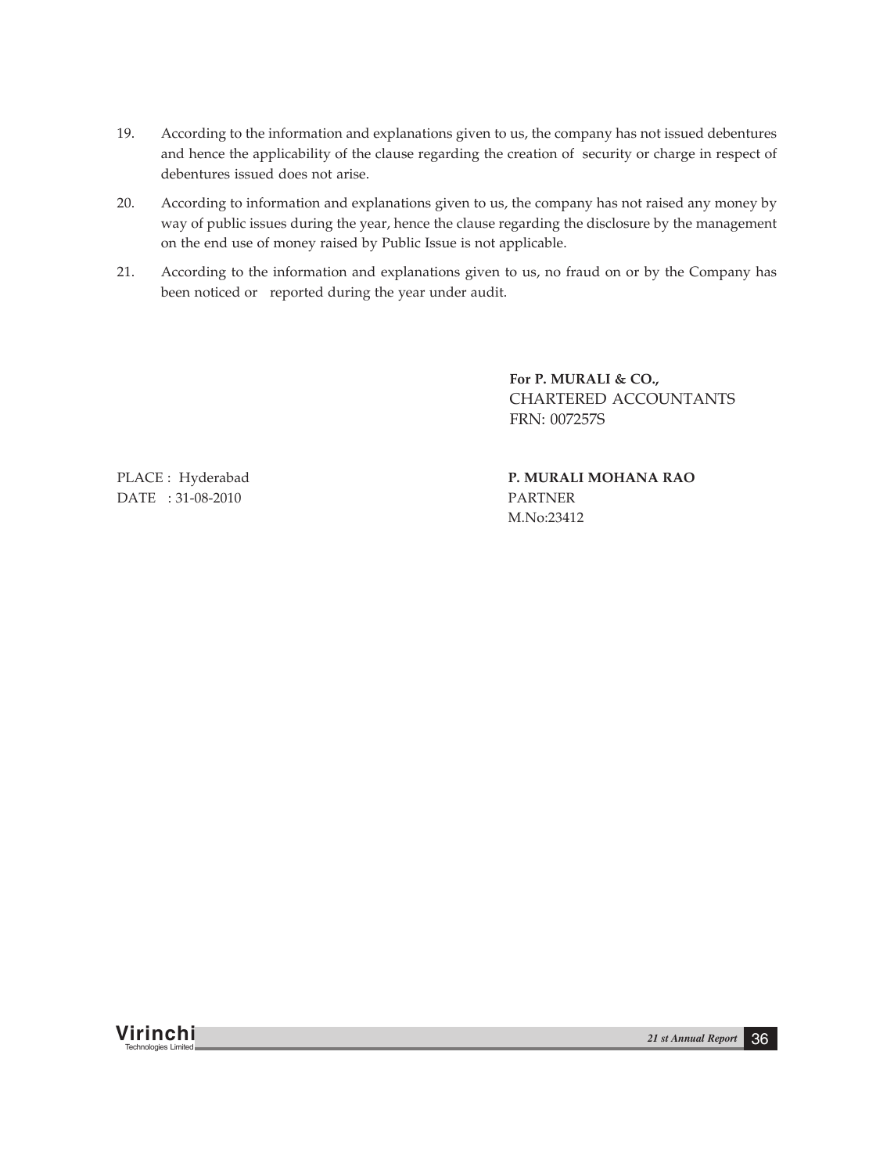- 19. According to the information and explanations given to us, the company has not issued debentures and hence the applicability of the clause regarding the creation of security or charge in respect of debentures issued does not arise.
- 20. According to information and explanations given to us, the company has not raised any money by way of public issues during the year, hence the clause regarding the disclosure by the management on the end use of money raised by Public Issue is not applicable.
- 21. According to the information and explanations given to us, no fraud on or by the Company has been noticed or reported during the year under audit.

**For P. MURALI & CO.,** CHARTERED ACCOUNTANTS FRN: 007257S

DATE : 31-08-2010 PARTNER

PLACE : Hyderabad **P. MURALI MOHANA RAO** M.No:23412

**Virinchi** *21 st Annual Report* <sup>36</sup> Technologies Limited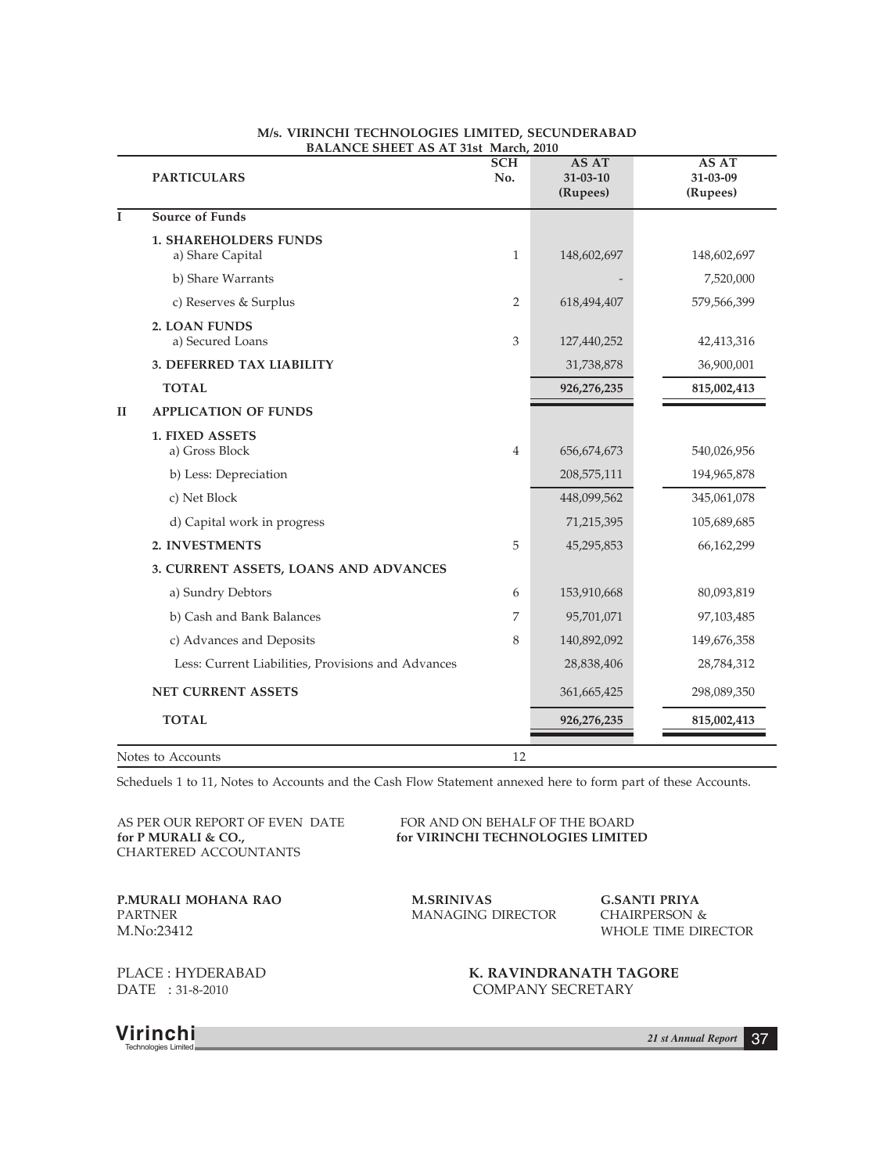|              | <b>PARTICULARS</b>                                 | SCH<br>No.     | <b>AS AT</b><br>$31 - 03 - 10$<br>(Rupees) | <b>AS AT</b><br>31-03-09<br>(Rupees) |
|--------------|----------------------------------------------------|----------------|--------------------------------------------|--------------------------------------|
| $\mathbf{I}$ | Source of Funds                                    |                |                                            |                                      |
|              | <b>1. SHAREHOLDERS FUNDS</b><br>a) Share Capital   | $\mathbf{1}$   | 148,602,697                                | 148,602,697                          |
|              | b) Share Warrants                                  |                |                                            | 7,520,000                            |
|              | c) Reserves & Surplus                              | $\overline{2}$ | 618,494,407                                | 579,566,399                          |
|              | 2. LOAN FUNDS<br>a) Secured Loans                  | 3              | 127,440,252                                | 42,413,316                           |
|              | 3. DEFERRED TAX LIABILITY                          |                | 31,738,878                                 | 36,900,001                           |
|              | <b>TOTAL</b>                                       |                | 926,276,235                                | 815,002,413                          |
| II           | <b>APPLICATION OF FUNDS</b>                        |                |                                            |                                      |
|              | <b>1. FIXED ASSETS</b><br>a) Gross Block           | $\overline{4}$ | 656, 674, 673                              | 540,026,956                          |
|              | b) Less: Depreciation                              |                | 208,575,111                                | 194,965,878                          |
|              | c) Net Block                                       |                | 448,099,562                                | 345,061,078                          |
|              | d) Capital work in progress                        |                | 71,215,395                                 | 105,689,685                          |
|              | 2. INVESTMENTS                                     | 5              | 45,295,853                                 | 66,162,299                           |
|              | 3. CURRENT ASSETS, LOANS AND ADVANCES              |                |                                            |                                      |
|              | a) Sundry Debtors                                  | 6              | 153,910,668                                | 80,093,819                           |
|              | b) Cash and Bank Balances                          | 7              | 95,701,071                                 | 97,103,485                           |
|              | c) Advances and Deposits                           | 8              | 140,892,092                                | 149,676,358                          |
|              | Less: Current Liabilities, Provisions and Advances |                | 28,838,406                                 | 28,784,312                           |
|              | <b>NET CURRENT ASSETS</b>                          |                | 361,665,425                                | 298,089,350                          |
|              | <b>TOTAL</b>                                       |                | 926,276,235                                | 815,002,413                          |
|              | Notes to Accounts                                  | 12             |                                            |                                      |

#### **M/s. VIRINCHI TECHNOLOGIES LIMITED, SECUNDERABAD BALANCE SHEET AS AT 31st March, 2010**

Scheduels 1 to 11, Notes to Accounts and the Cash Flow Statement annexed here to form part of these Accounts.

AS PER OUR REPORT OF EVEN DATE FOR AND ON BEHALF OF THE BOARD CHARTERED ACCOUNTANTS

**for P MURALI & CO., for VIRINCHI TECHNOLOGIES LIMITED**

**P.MURALI MOHANA RAO M.SRINIVAS G.SANTI PRIYA** M.No:23412 WHOLE TIME DIRECTOR

MANAGING DIRECTOR

PLACE : HYDERABAD **K. RAVINDRANATH TAGORE** DATE : 31-8-2010 COMPANY SECRETARY

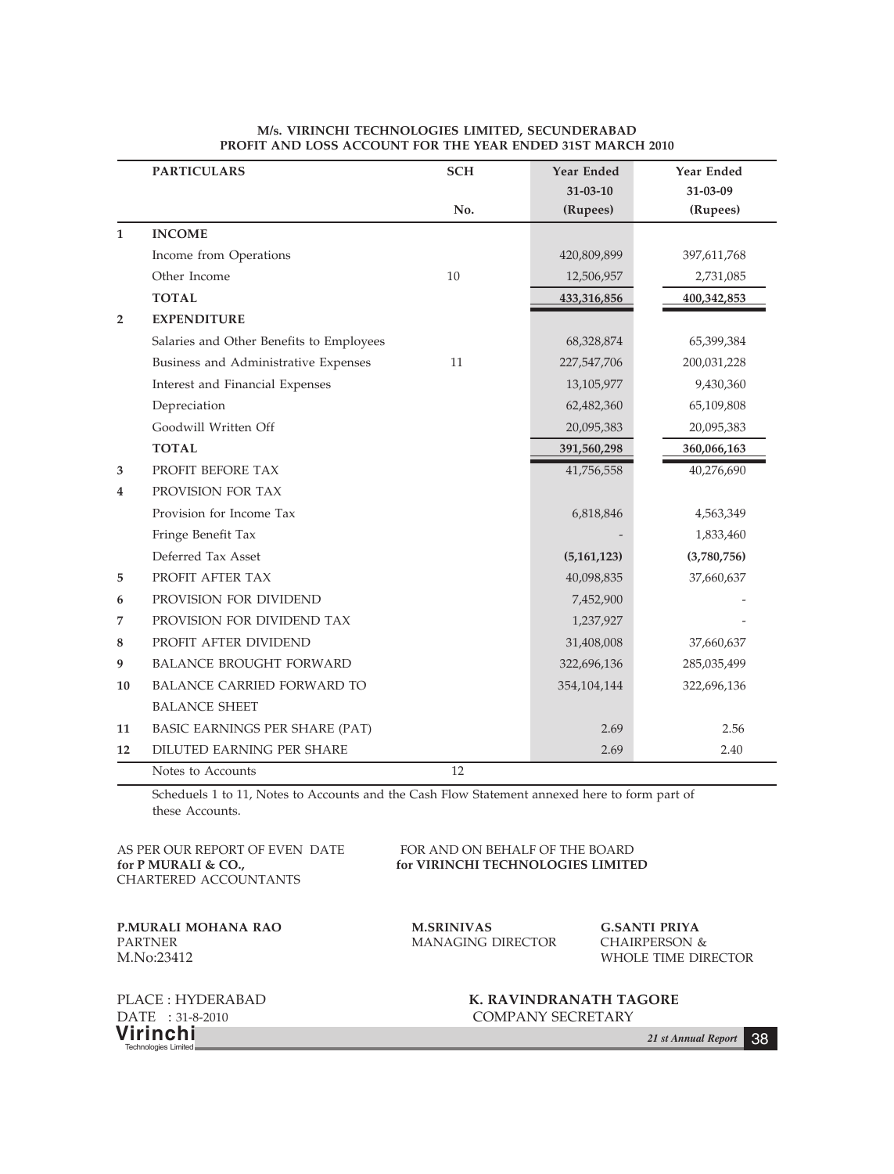|                         | <b>PARTICULARS</b>                       | <b>SCH</b> | Year Ended     | Year Ended  |
|-------------------------|------------------------------------------|------------|----------------|-------------|
|                         |                                          |            | $31 - 03 - 10$ | 31-03-09    |
|                         |                                          | No.        | (Rupees)       | (Rupees)    |
| 1                       | <b>INCOME</b>                            |            |                |             |
|                         | Income from Operations                   |            | 420,809,899    | 397,611,768 |
|                         | Other Income                             | 10         | 12,506,957     | 2,731,085   |
|                         | <b>TOTAL</b>                             |            | 433,316,856    | 400,342,853 |
| $\overline{\mathbf{2}}$ | <b>EXPENDITURE</b>                       |            |                |             |
|                         | Salaries and Other Benefits to Employees |            | 68,328,874     | 65,399,384  |
|                         | Business and Administrative Expenses     | 11         | 227,547,706    | 200,031,228 |
|                         | Interest and Financial Expenses          |            | 13,105,977     | 9,430,360   |
|                         | Depreciation                             |            | 62,482,360     | 65,109,808  |
|                         | Goodwill Written Off                     |            | 20,095,383     | 20,095,383  |
|                         | <b>TOTAL</b>                             |            | 391,560,298    | 360,066,163 |
| 3                       | PROFIT BEFORE TAX                        |            | 41,756,558     | 40,276,690  |
| 4                       | PROVISION FOR TAX                        |            |                |             |
|                         | Provision for Income Tax                 |            | 6,818,846      | 4,563,349   |
|                         | Fringe Benefit Tax                       |            |                | 1,833,460   |
|                         | Deferred Tax Asset                       |            | (5, 161, 123)  | (3,780,756) |
| 5                       | PROFIT AFTER TAX                         |            | 40,098,835     | 37,660,637  |
| 6                       | PROVISION FOR DIVIDEND                   |            | 7,452,900      |             |
| 7                       | PROVISION FOR DIVIDEND TAX               |            | 1,237,927      |             |
| 8                       | PROFIT AFTER DIVIDEND                    |            | 31,408,008     | 37,660,637  |
| 9                       | <b>BALANCE BROUGHT FORWARD</b>           |            | 322,696,136    | 285,035,499 |
| 10                      | BALANCE CARRIED FORWARD TO               |            | 354, 104, 144  | 322,696,136 |
|                         | <b>BALANCE SHEET</b>                     |            |                |             |
| 11                      | BASIC EARNINGS PER SHARE (PAT)           |            | 2.69           | 2.56        |
| 12                      | DILUTED EARNING PER SHARE                |            | 2.69           | 2.40        |
|                         | Notes to Accounts                        | 12         |                |             |

**M/s. VIRINCHI TECHNOLOGIES LIMITED, SECUNDERABAD PROFIT AND LOSS ACCOUNT FOR THE YEAR ENDED 31ST MARCH 2010**

Scheduels 1 to 11, Notes to Accounts and the Cash Flow Statement annexed here to form part of these Accounts.

CHARTERED ACCOUNTANTS

AS PER OUR REPORT OF EVEN DATE FOR AND ON BEHALF OF THE BOARD<br>for P MURALI & CO., for VIRINCHI TECHNOLOGIES LIMITE for VIRINCHI TECHNOLOGIES LIMITED

**P.MURALI MOHANA RAO M.SRINIVAS G.SANTI PRIYA** PARTNER **MANAGING** DIRECTOR CHAIRPERSON & M.No:23412 WHOLE TIME DIRECTOR

MANAGING DIRECTOR CHAIRPERSON &

**Virinchi** *21 st Annual Report* <sup>38</sup> Technologies Limited

PLACE : HYDERABAD **K. RAVINDRANATH TAGORE**<br>DATE : 31-8-2010 **COMPANY SECRETARY** COMPANY SECRETARY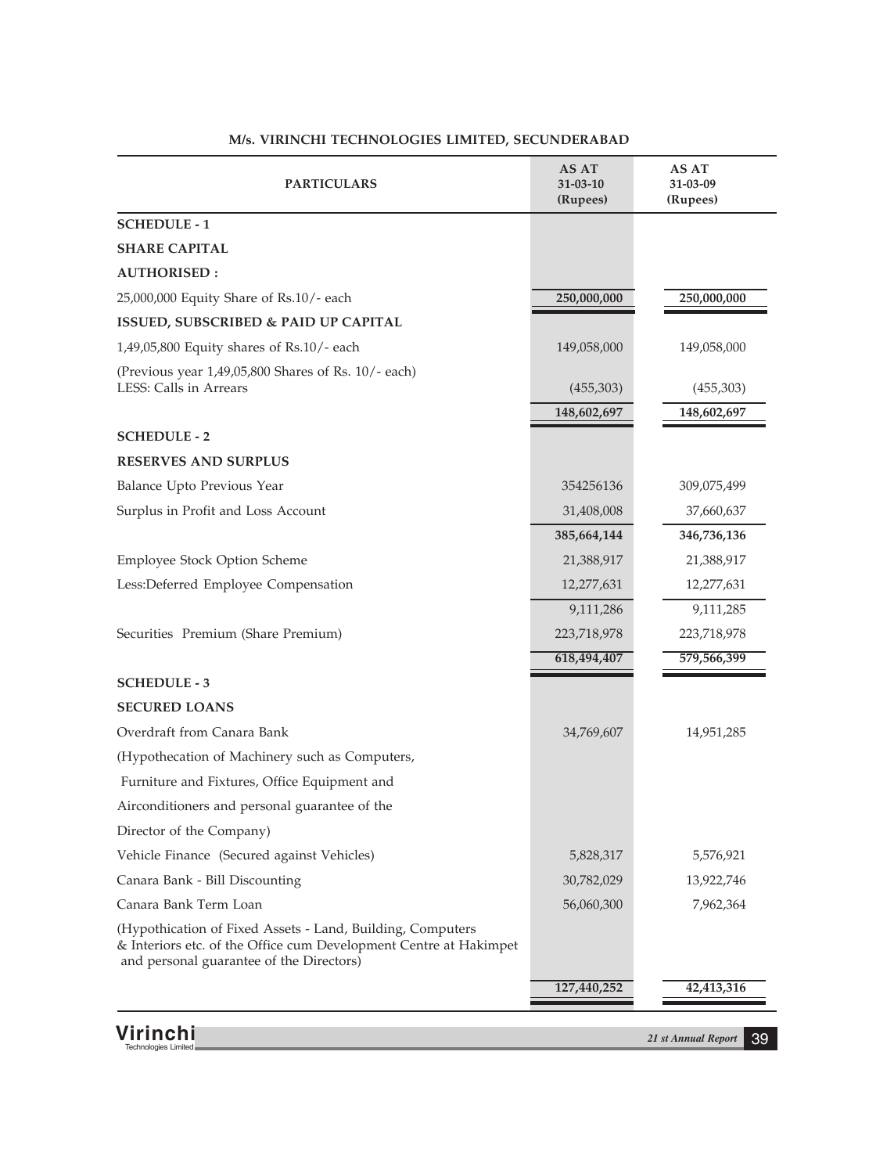| <b>PARTICULARS</b>                                                                                                                                                          | AS AT<br>31-03-10<br>(Rupees) | AS AT<br>31-03-09<br>(Rupees) |
|-----------------------------------------------------------------------------------------------------------------------------------------------------------------------------|-------------------------------|-------------------------------|
| <b>SCHEDULE - 1</b>                                                                                                                                                         |                               |                               |
| <b>SHARE CAPITAL</b>                                                                                                                                                        |                               |                               |
| <b>AUTHORISED:</b>                                                                                                                                                          |                               |                               |
| 25,000,000 Equity Share of Rs.10/- each                                                                                                                                     | 250,000,000                   | 250,000,000                   |
| <b>ISSUED, SUBSCRIBED &amp; PAID UP CAPITAL</b>                                                                                                                             |                               |                               |
| 1,49,05,800 Equity shares of Rs.10/- each                                                                                                                                   | 149,058,000                   | 149,058,000                   |
| (Previous year 1,49,05,800 Shares of Rs. 10/- each)<br>LESS: Calls in Arrears                                                                                               | (455,303)                     | (455,303)                     |
|                                                                                                                                                                             | 148,602,697                   | 148,602,697                   |
| <b>SCHEDULE - 2</b>                                                                                                                                                         |                               |                               |
| <b>RESERVES AND SURPLUS</b>                                                                                                                                                 |                               |                               |
| Balance Upto Previous Year                                                                                                                                                  | 354256136                     | 309,075,499                   |
| Surplus in Profit and Loss Account                                                                                                                                          | 31,408,008                    | 37,660,637                    |
|                                                                                                                                                                             | 385,664,144                   | 346,736,136                   |
| Employee Stock Option Scheme                                                                                                                                                | 21,388,917                    | 21,388,917                    |
| Less:Deferred Employee Compensation                                                                                                                                         | 12,277,631                    | 12,277,631                    |
|                                                                                                                                                                             | 9,111,286                     | 9,111,285                     |
| Securities Premium (Share Premium)                                                                                                                                          | 223,718,978                   | 223,718,978                   |
|                                                                                                                                                                             | 618,494,407                   | 579,566,399                   |
| <b>SCHEDULE - 3</b>                                                                                                                                                         |                               |                               |
| <b>SECURED LOANS</b>                                                                                                                                                        |                               |                               |
| Overdraft from Canara Bank                                                                                                                                                  | 34,769,607                    | 14,951,285                    |
| (Hypothecation of Machinery such as Computers,                                                                                                                              |                               |                               |
| Furniture and Fixtures, Office Equipment and                                                                                                                                |                               |                               |
| Airconditioners and personal guarantee of the                                                                                                                               |                               |                               |
| Director of the Company)                                                                                                                                                    |                               |                               |
| Vehicle Finance (Secured against Vehicles)                                                                                                                                  | 5,828,317                     | 5,576,921                     |
| Canara Bank - Bill Discounting                                                                                                                                              | 30,782,029                    | 13,922,746                    |
| Canara Bank Term Loan                                                                                                                                                       | 56,060,300                    | 7,962,364                     |
| (Hypothication of Fixed Assets - Land, Building, Computers<br>& Interiors etc. of the Office cum Development Centre at Hakimpet<br>and personal guarantee of the Directors) |                               |                               |
|                                                                                                                                                                             | 127,440,252                   | 42,413,316                    |

### **M/s. VIRINCHI TECHNOLOGIES LIMITED, SECUNDERABAD**

**Virinchi** *21 st Annual Report* <sup>39</sup> Technologies Limited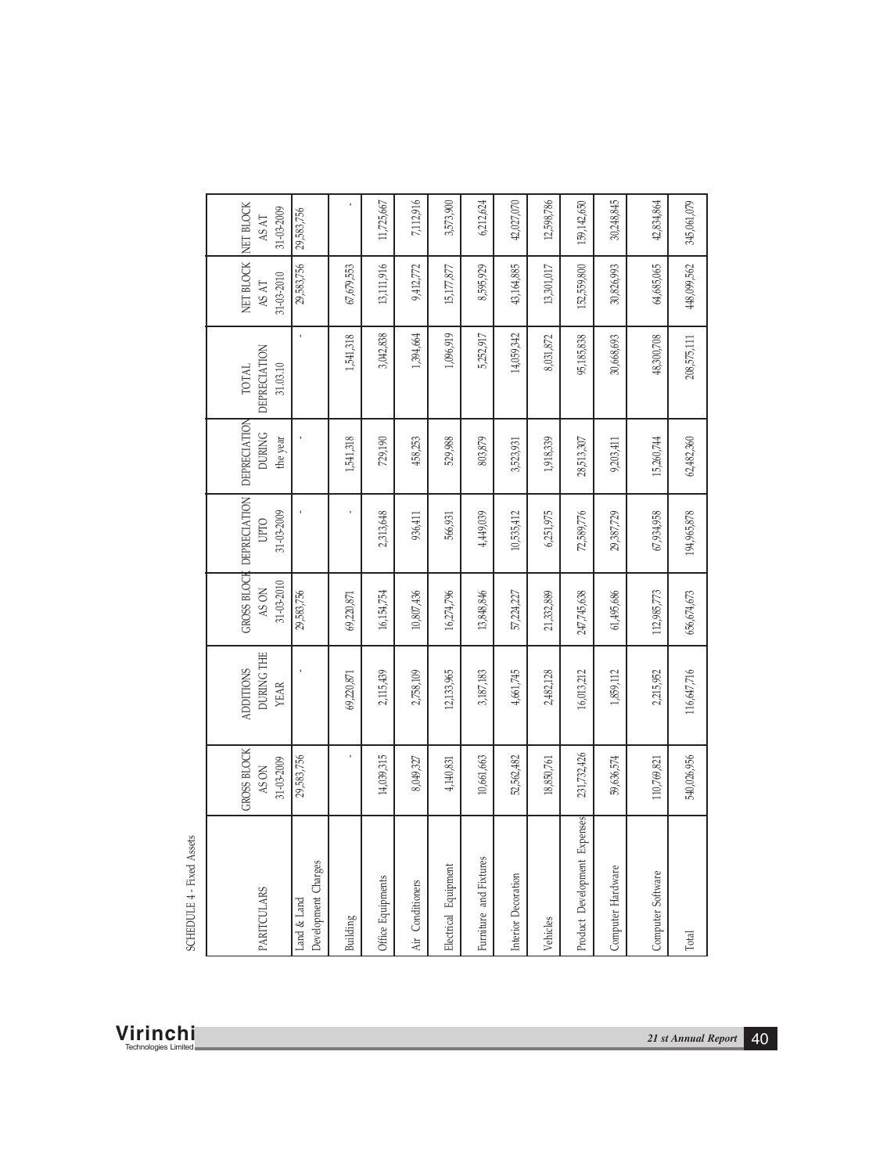| <b>PARITCULARS</b>                                  | Charges<br>Land & Land<br>Development | $\mathsf{Building}$ | Office Equipments | Air Conditioners | uipment<br>Еqu<br>Electrical | Fixtures<br>Furniture and | Interior Decoration | Vehicles   | Development Expenses<br>Product | rdware<br>Computer Ha | Computer Software | Total       |
|-----------------------------------------------------|---------------------------------------|---------------------|-------------------|------------------|------------------------------|---------------------------|---------------------|------------|---------------------------------|-----------------------|-------------------|-------------|
| GROSS BLOCK<br>31-03-2009<br>AS ON                  | 29,583,756                            |                     | 14,039,315        | 8,049,327        | 4,140,831                    | 10,661,663                | 52,562,482          | 18,850,761 | 231,732,426                     | 59,636,574            | 110,769,821       | 540,026,956 |
| DURING THE<br><b>ADDITIONS</b><br><b>YEAR</b>       |                                       | 69,220,871          | 2,115,439         | 2,758,109        | 12,133,965                   | 3,187,183                 | $4,661,745$         | 2,482,128  | 16,013,212                      | 1,859,112             | 2,215,952         | 116,647,716 |
| GROSS BLOCK<br>$31 - 03 - 2010$<br>AS ON            | 29,583,756                            | 69,220,871          | 16,154,754        | 10,807,436       | 16,274,796                   | 13,848,846                | 57,224,227          | 21,332,889 | 247,745,638                     | 61,495,686            | 112,985,773       | 656,674,673 |
| <b>DEPRECIATION</b><br>31-03-2009<br><b>UPTO</b>    |                                       |                     | 2,313,648         | 936,411          | 566,931                      | 4,449,039                 | 10,535,412          | 6,251,975  | 72,589,776                      | 29,387,729            | 67,934,958        | 194,965,878 |
| DEPRECIATION<br><b>DURING</b><br>the year           |                                       | 1,541,318           | 729,190           | 458,253          | 529,988                      | 803,879                   | 3,523,931           | 1,918,339  | 28,513,307                      | 9,203,411             | 15,260,744        | 62,482,360  |
| <b>DEPRECIATION</b><br>$31.03.10\,$<br><b>TOTAL</b> |                                       | 1,541,318           | 3,042,838         | 1,394,664        | 1,096,919                    | 5,252,917                 | 14,059,342          | 8,031,872  | 95,185,838                      | 30,668,693            | 48,300,708        | 208,575,111 |
| NET BLOCK<br>31-03-2010<br>AS AT                    | 29,583,756                            | 67,679,553          | 13,111,916        | 9,412,772        | 15,177,877                   | 8,595,929                 | 43,164,885          | 13,301,017 | 152,559,800                     | 30,826,993            | 64,685,065        | 448,099,562 |
| NET BLOCK<br>31-03-2009<br>AS AT                    | 29,583,756                            |                     | 11,725,667        | 7,112,916        | 3,573,900                    | 6,212,624                 | 42,027,070          | 12,598,786 | 159,142,650                     | 30,248,845            | 42,834,864        | 345,061,079 |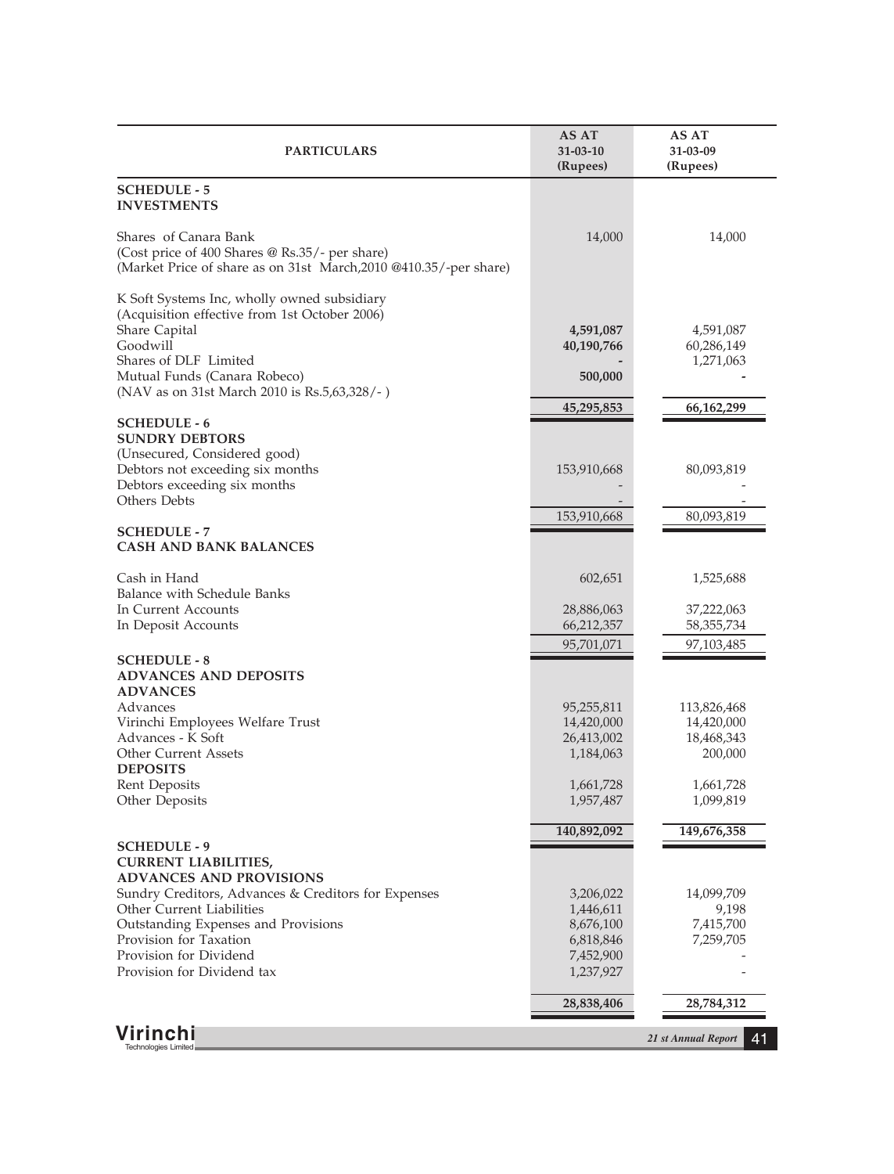| <b>PARTICULARS</b>                                                                                                                                                                                                                 | AS AT<br>31-03-10<br>(Rupees)                    | AS AT<br>31-03-09<br>(Rupees)                      |
|------------------------------------------------------------------------------------------------------------------------------------------------------------------------------------------------------------------------------------|--------------------------------------------------|----------------------------------------------------|
| <b>SCHEDULE - 5</b><br><b>INVESTMENTS</b>                                                                                                                                                                                          |                                                  |                                                    |
| Shares of Canara Bank<br>(Cost price of 400 Shares @ Rs.35/- per share)<br>(Market Price of share as on 31st March, 2010 @410.35/-per share)                                                                                       | 14,000                                           | 14,000                                             |
| K Soft Systems Inc, wholly owned subsidiary<br>(Acquisition effective from 1st October 2006)<br>Share Capital<br>Goodwill<br>Shares of DLF Limited<br>Mutual Funds (Canara Robeco)<br>(NAV as on 31st March 2010 is Rs.5,63,328/-) | 4,591,087<br>40,190,766<br>500,000<br>45,295,853 | 4,591,087<br>60,286,149<br>1,271,063<br>66,162,299 |
| <b>SCHEDULE - 6</b><br><b>SUNDRY DEBTORS</b>                                                                                                                                                                                       |                                                  |                                                    |
| (Unsecured, Considered good)<br>Debtors not exceeding six months<br>Debtors exceeding six months<br>Others Debts                                                                                                                   | 153,910,668                                      | 80,093,819                                         |
|                                                                                                                                                                                                                                    | 153,910,668                                      | 80,093,819                                         |
| <b>SCHEDULE - 7</b><br><b>CASH AND BANK BALANCES</b>                                                                                                                                                                               |                                                  |                                                    |
| Cash in Hand                                                                                                                                                                                                                       | 602,651                                          | 1,525,688                                          |
| Balance with Schedule Banks<br>In Current Accounts<br>In Deposit Accounts                                                                                                                                                          | 28,886,063<br>66,212,357                         | 37,222,063<br>58, 355, 734                         |
| <b>SCHEDULE - 8</b>                                                                                                                                                                                                                | 95,701,071                                       | 97,103,485                                         |
| <b>ADVANCES AND DEPOSITS</b><br><b>ADVANCES</b>                                                                                                                                                                                    |                                                  |                                                    |
| Advances<br>Virinchi Employees Welfare Trust                                                                                                                                                                                       | 95,255,811<br>14,420,000                         | 113,826,468<br>14,420,000                          |
| Advances - K Soft<br><b>Other Current Assets</b>                                                                                                                                                                                   | 26,413,002<br>1,184,063                          | 18,468,343<br>200,000                              |
| <b>DEPOSITS</b>                                                                                                                                                                                                                    |                                                  |                                                    |
| Rent Deposits<br>Other Deposits                                                                                                                                                                                                    | 1,661,728<br>1,957,487                           | 1,661,728<br>1,099,819                             |
|                                                                                                                                                                                                                                    | 140,892,092                                      | 149,676,358                                        |
| <b>SCHEDULE - 9</b><br><b>CURRENT LIABILITIES,</b>                                                                                                                                                                                 |                                                  |                                                    |
| <b>ADVANCES AND PROVISIONS</b><br>Sundry Creditors, Advances & Creditors for Expenses                                                                                                                                              | 3,206,022                                        | 14,099,709                                         |
| <b>Other Current Liabilities</b>                                                                                                                                                                                                   | 1,446,611                                        | 9,198                                              |
| Outstanding Expenses and Provisions<br>Provision for Taxation                                                                                                                                                                      | 8,676,100<br>6,818,846                           | 7,415,700<br>7,259,705                             |
| Provision for Dividend                                                                                                                                                                                                             | 7,452,900                                        |                                                    |
| Provision for Dividend tax                                                                                                                                                                                                         | 1,237,927                                        |                                                    |
|                                                                                                                                                                                                                                    | 28,838,406                                       | 28,784,312                                         |
| Virinchi<br>Technologies Limited                                                                                                                                                                                                   |                                                  | 21 st Annual Report<br>41                          |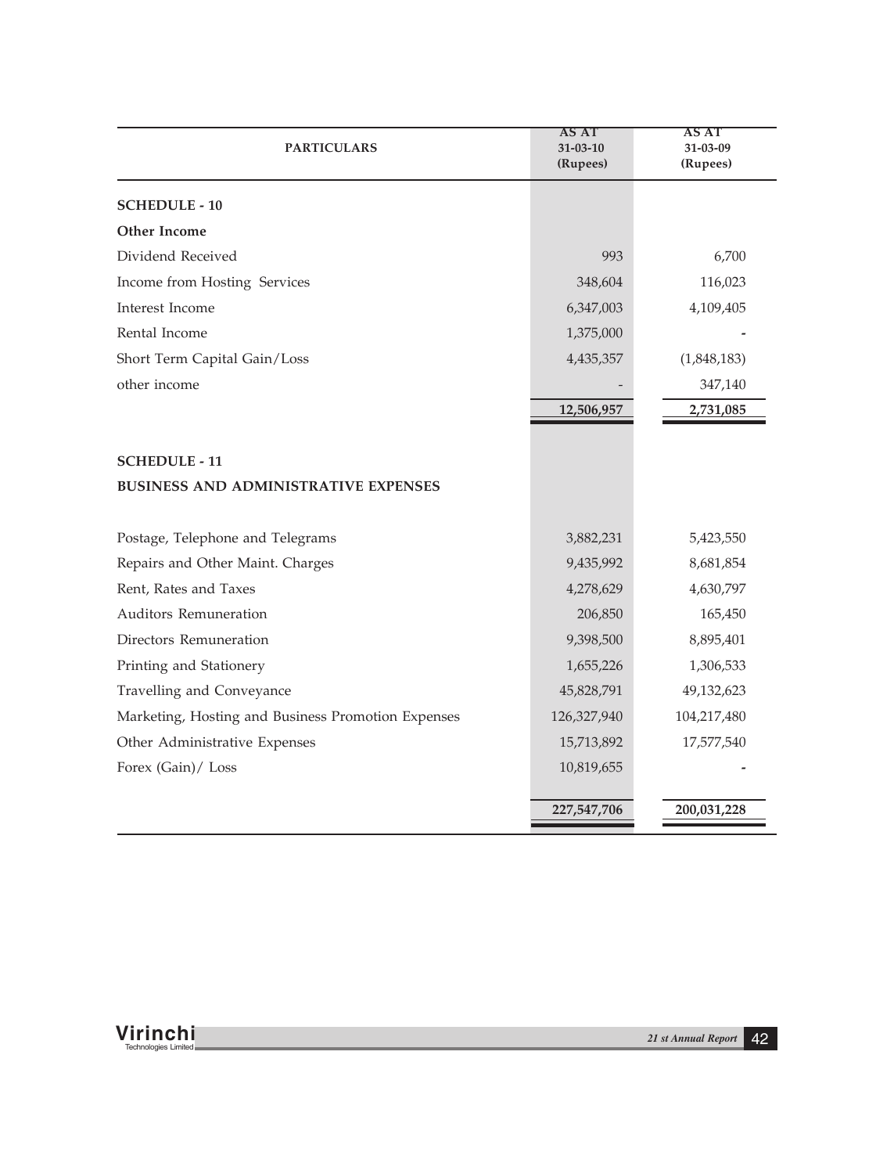| <b>PARTICULARS</b>                                 | AS AT<br>31-03-10<br>(Rupees) | AS AT<br>31-03-09<br>(Rupees) |
|----------------------------------------------------|-------------------------------|-------------------------------|
| <b>SCHEDULE - 10</b>                               |                               |                               |
| Other Income                                       |                               |                               |
| Dividend Received                                  | 993                           | 6,700                         |
| Income from Hosting Services                       | 348,604                       | 116,023                       |
| Interest Income                                    | 6,347,003                     | 4,109,405                     |
| Rental Income                                      | 1,375,000                     |                               |
| Short Term Capital Gain/Loss                       | 4,435,357                     | (1,848,183)                   |
| other income                                       |                               | 347,140                       |
|                                                    | 12,506,957                    | 2,731,085                     |
|                                                    |                               |                               |
| <b>SCHEDULE - 11</b>                               |                               |                               |
| <b>BUSINESS AND ADMINISTRATIVE EXPENSES</b>        |                               |                               |
| Postage, Telephone and Telegrams                   | 3,882,231                     | 5,423,550                     |
| Repairs and Other Maint. Charges                   | 9,435,992                     | 8,681,854                     |
| Rent, Rates and Taxes                              | 4,278,629                     | 4,630,797                     |
| Auditors Remuneration                              | 206,850                       | 165,450                       |
| Directors Remuneration                             | 9,398,500                     | 8,895,401                     |
| Printing and Stationery                            | 1,655,226                     | 1,306,533                     |
| Travelling and Conveyance                          | 45,828,791                    | 49,132,623                    |
| Marketing, Hosting and Business Promotion Expenses | 126,327,940                   | 104,217,480                   |
| Other Administrative Expenses                      | 15,713,892                    | 17,577,540                    |
| Forex (Gain)/ Loss                                 | 10,819,655                    |                               |
|                                                    | 227,547,706                   | 200,031,228                   |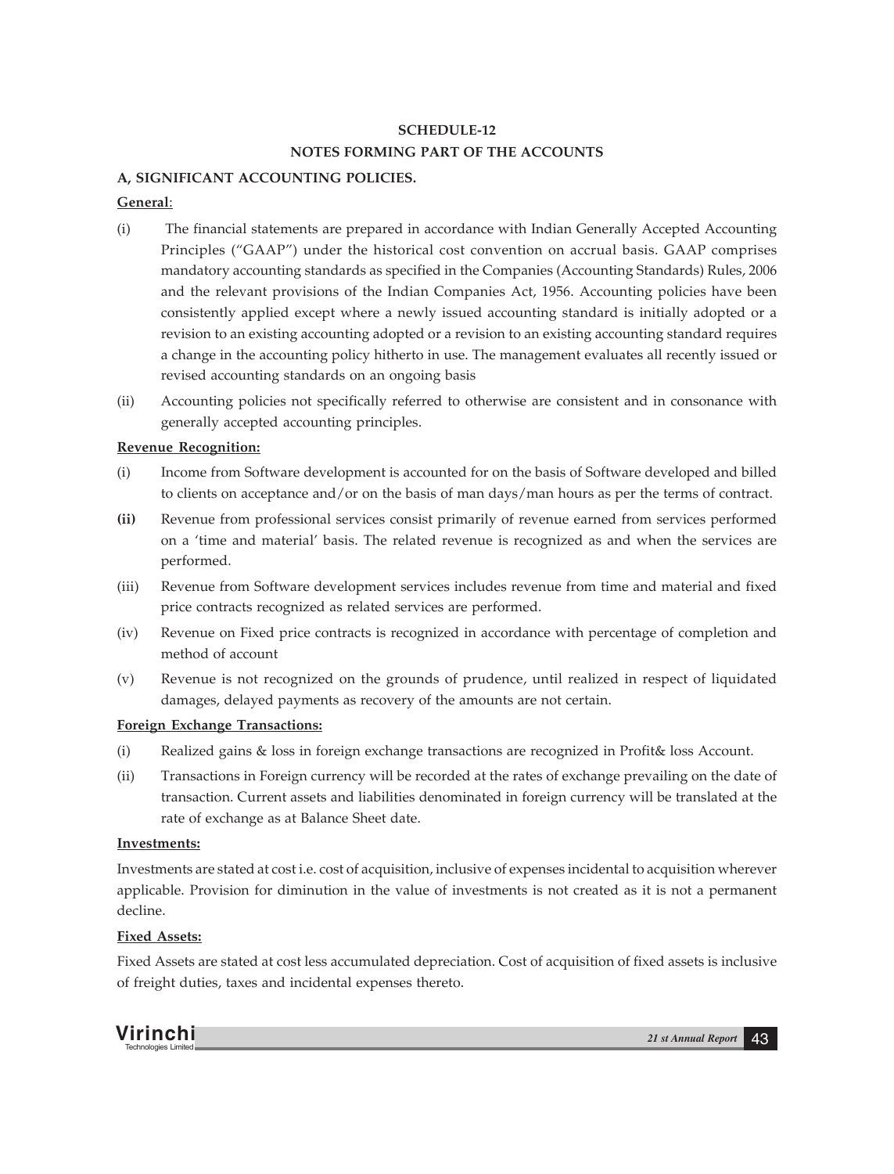# **SCHEDULE-12 NOTES FORMING PART OF THE ACCOUNTS**

# **A, SIGNIFICANT ACCOUNTING POLICIES.**

# **General**:

- (i) The financial statements are prepared in accordance with Indian Generally Accepted Accounting Principles ("GAAP") under the historical cost convention on accrual basis. GAAP comprises mandatory accounting standards as specified in the Companies (Accounting Standards) Rules, 2006 and the relevant provisions of the Indian Companies Act, 1956. Accounting policies have been consistently applied except where a newly issued accounting standard is initially adopted or a revision to an existing accounting adopted or a revision to an existing accounting standard requires a change in the accounting policy hitherto in use. The management evaluates all recently issued or revised accounting standards on an ongoing basis
- (ii) Accounting policies not specifically referred to otherwise are consistent and in consonance with generally accepted accounting principles.

# **Revenue Recognition:**

- (i) Income from Software development is accounted for on the basis of Software developed and billed to clients on acceptance and/or on the basis of man days/man hours as per the terms of contract.
- **(ii)** Revenue from professional services consist primarily of revenue earned from services performed on a 'time and material' basis. The related revenue is recognized as and when the services are performed.
- (iii) Revenue from Software development services includes revenue from time and material and fixed price contracts recognized as related services are performed.
- (iv) Revenue on Fixed price contracts is recognized in accordance with percentage of completion and method of account
- (v) Revenue is not recognized on the grounds of prudence, until realized in respect of liquidated damages, delayed payments as recovery of the amounts are not certain.

# **Foreign Exchange Transactions:**

- (i) Realized gains & loss in foreign exchange transactions are recognized in Profit& loss Account.
- (ii) Transactions in Foreign currency will be recorded at the rates of exchange prevailing on the date of transaction. Current assets and liabilities denominated in foreign currency will be translated at the rate of exchange as at Balance Sheet date.

# **Investments:**

Investments are stated at cost i.e. cost of acquisition, inclusive of expenses incidental to acquisition wherever applicable. Provision for diminution in the value of investments is not created as it is not a permanent decline.

# **Fixed Assets:**

Fixed Assets are stated at cost less accumulated depreciation. Cost of acquisition of fixed assets is inclusive of freight duties, taxes and incidental expenses thereto.

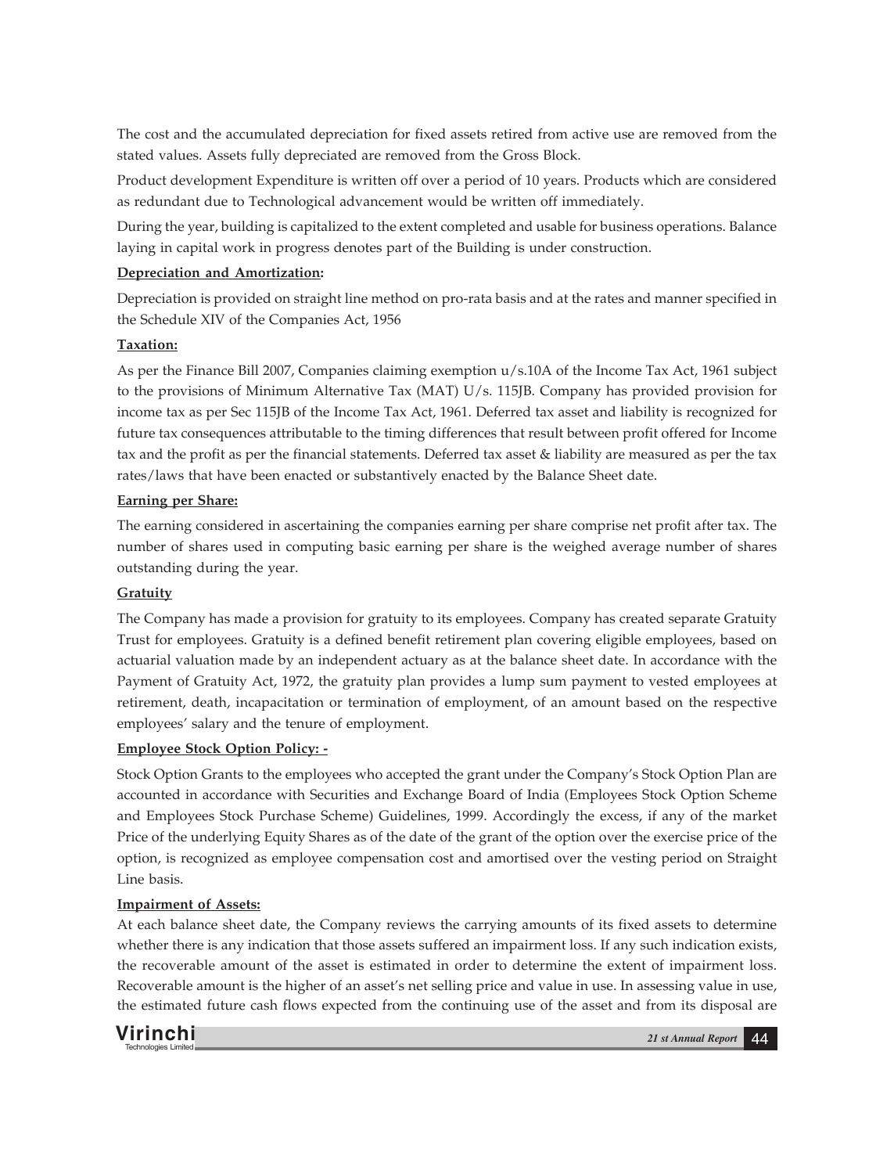The cost and the accumulated depreciation for fixed assets retired from active use are removed from the stated values. Assets fully depreciated are removed from the Gross Block.

Product development Expenditure is written off over a period of 10 years. Products which are considered as redundant due to Technological advancement would be written off immediately.

During the year, building is capitalized to the extent completed and usable for business operations. Balance laying in capital work in progress denotes part of the Building is under construction.

# **Depreciation and Amortization:**

Depreciation is provided on straight line method on pro-rata basis and at the rates and manner specified in the Schedule XIV of the Companies Act, 1956

# **Taxation:**

As per the Finance Bill 2007, Companies claiming exemption u/s.10A of the Income Tax Act, 1961 subject to the provisions of Minimum Alternative Tax (MAT) U/s. 115JB. Company has provided provision for income tax as per Sec 115JB of the Income Tax Act, 1961. Deferred tax asset and liability is recognized for future tax consequences attributable to the timing differences that result between profit offered for Income tax and the profit as per the financial statements. Deferred tax asset & liability are measured as per the tax rates/laws that have been enacted or substantively enacted by the Balance Sheet date.

# **Earning per Share:**

The earning considered in ascertaining the companies earning per share comprise net profit after tax. The number of shares used in computing basic earning per share is the weighed average number of shares outstanding during the year.

# **Gratuity**

The Company has made a provision for gratuity to its employees. Company has created separate Gratuity Trust for employees. Gratuity is a defined benefit retirement plan covering eligible employees, based on actuarial valuation made by an independent actuary as at the balance sheet date. In accordance with the Payment of Gratuity Act, 1972, the gratuity plan provides a lump sum payment to vested employees at retirement, death, incapacitation or termination of employment, of an amount based on the respective employees' salary and the tenure of employment.

# **Employee Stock Option Policy: -**

Stock Option Grants to the employees who accepted the grant under the Company's Stock Option Plan are accounted in accordance with Securities and Exchange Board of India (Employees Stock Option Scheme and Employees Stock Purchase Scheme) Guidelines, 1999. Accordingly the excess, if any of the market Price of the underlying Equity Shares as of the date of the grant of the option over the exercise price of the option, is recognized as employee compensation cost and amortised over the vesting period on Straight Line basis.

# **Impairment of Assets:**

At each balance sheet date, the Company reviews the carrying amounts of its fixed assets to determine whether there is any indication that those assets suffered an impairment loss. If any such indication exists, the recoverable amount of the asset is estimated in order to determine the extent of impairment loss. Recoverable amount is the higher of an asset's net selling price and value in use. In assessing value in use, the estimated future cash flows expected from the continuing use of the asset and from its disposal are

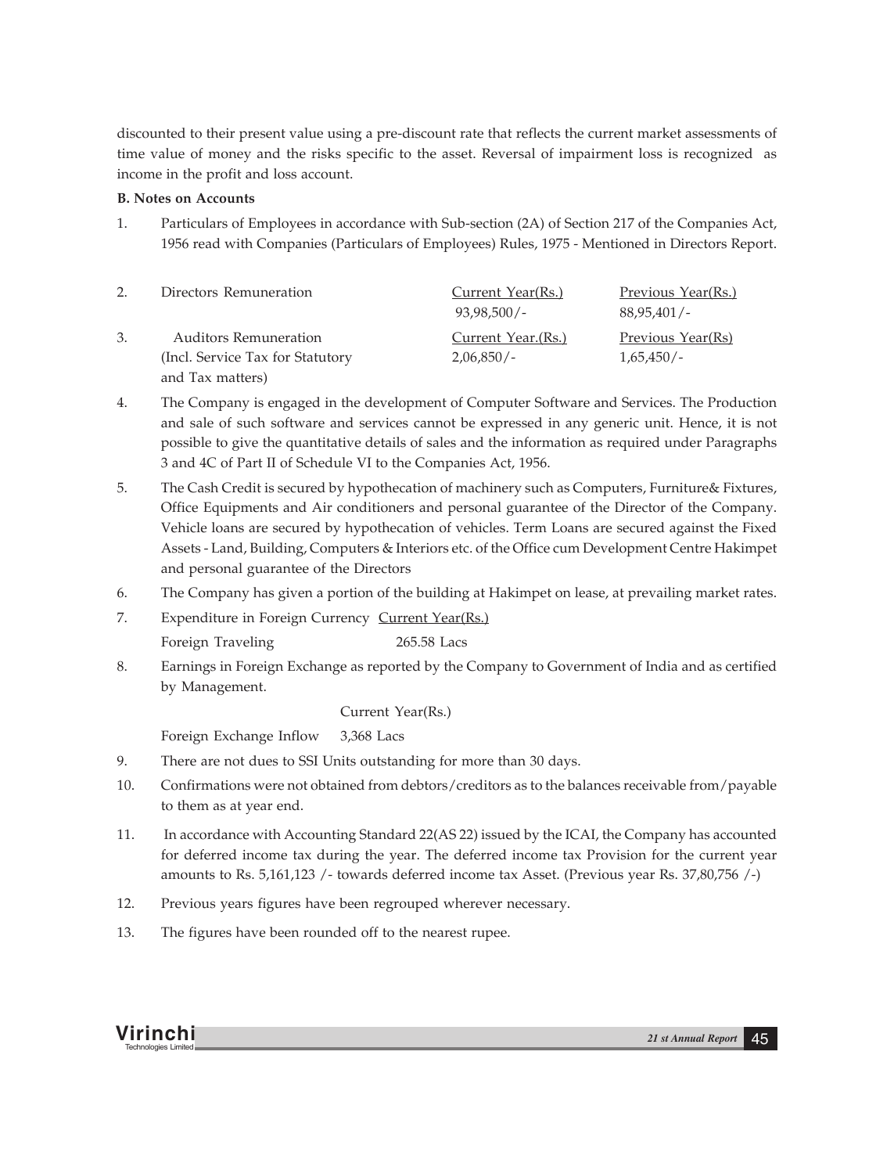discounted to their present value using a pre-discount rate that reflects the current market assessments of time value of money and the risks specific to the asset. Reversal of impairment loss is recognized as income in the profit and loss account.

# **B. Notes on Accounts**

1. Particulars of Employees in accordance with Sub-section (2A) of Section 217 of the Companies Act, 1956 read with Companies (Particulars of Employees) Rules, 1975 - Mentioned in Directors Report.

| Directors Remuneration            | Current Year(Rs.)  | Previous Year(Rs.) |
|-----------------------------------|--------------------|--------------------|
|                                   | $93.98.500/-$      | 88.95.401/-        |
| <b>Auditors Remuneration</b>      | Current Year.(Rs.) | Previous Year(Rs)  |
| (Incl. Service Tax for Statutory) | $2,06,850/-$       | 1,65,450/          |
| and Tax matters)                  |                    |                    |

- 4. The Company is engaged in the development of Computer Software and Services. The Production and sale of such software and services cannot be expressed in any generic unit. Hence, it is not possible to give the quantitative details of sales and the information as required under Paragraphs 3 and 4C of Part II of Schedule VI to the Companies Act, 1956.
- 5. The Cash Credit is secured by hypothecation of machinery such as Computers, Furniture& Fixtures, Office Equipments and Air conditioners and personal guarantee of the Director of the Company. Vehicle loans are secured by hypothecation of vehicles. Term Loans are secured against the Fixed Assets - Land, Building, Computers & Interiors etc. of the Office cum Development Centre Hakimpet and personal guarantee of the Directors
- 6. The Company has given a portion of the building at Hakimpet on lease, at prevailing market rates.
- 7. Expenditure in Foreign Currency Current Year(Rs.) Foreign Traveling 265.58 Lacs
- 8. Earnings in Foreign Exchange as reported by the Company to Government of India and as certified by Management.

# Current Year(Rs.)

Foreign Exchange Inflow 3,368 Lacs

- 9. There are not dues to SSI Units outstanding for more than 30 days.
- 10. Confirmations were not obtained from debtors/creditors as to the balances receivable from/payable to them as at year end.
- 11. In accordance with Accounting Standard 22(AS 22) issued by the ICAI, the Company has accounted for deferred income tax during the year. The deferred income tax Provision for the current year amounts to Rs. 5,161,123 /- towards deferred income tax Asset. (Previous year Rs. 37,80,756 /-)
- 12. Previous years figures have been regrouped wherever necessary.
- 13. The figures have been rounded off to the nearest rupee.

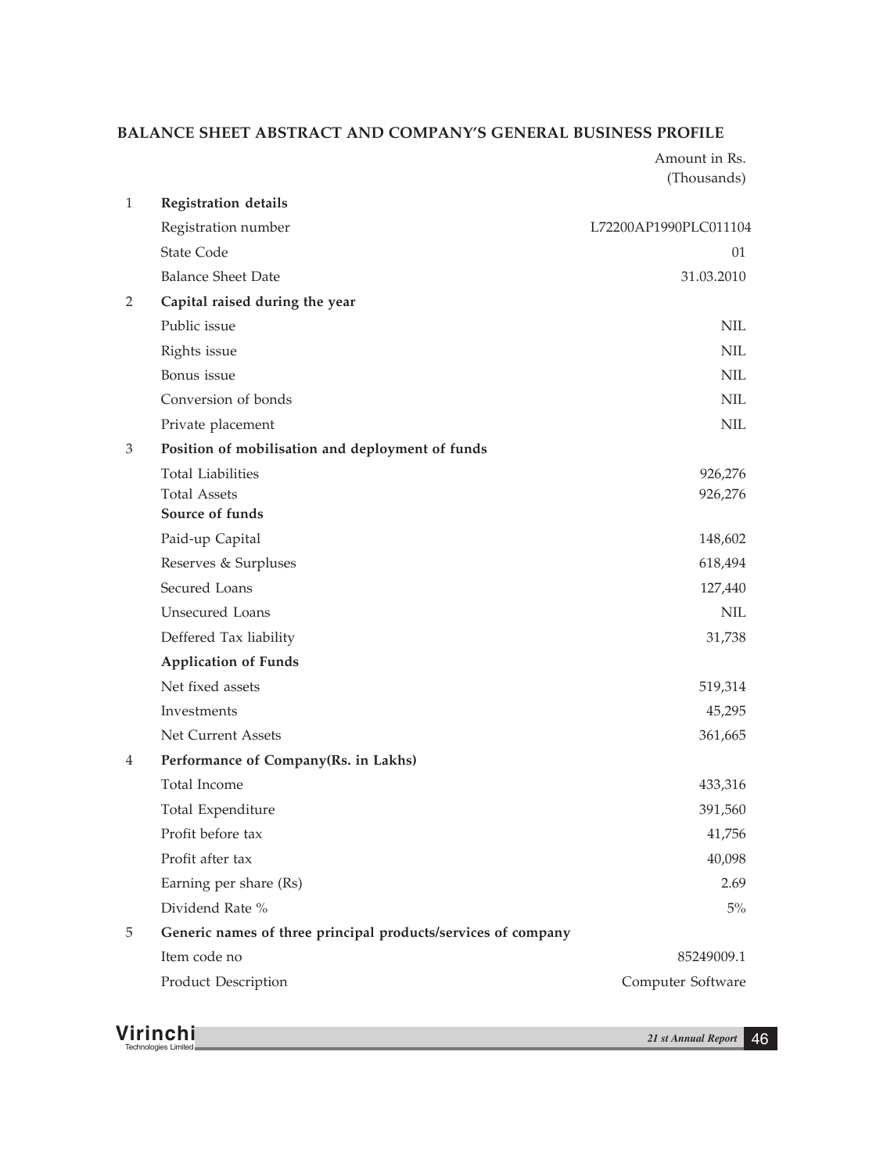# **BALANCE SHEET ABSTRACT AND COMPANY'S GENERAL BUSINESS PROFILE**

Amount in Rs. (Thousands)

| $\mathbf{1}$ | <b>Registration details</b>                                   |                       |
|--------------|---------------------------------------------------------------|-----------------------|
|              | Registration number                                           | L72200AP1990PLC011104 |
|              | <b>State Code</b>                                             | 01                    |
|              | <b>Balance Sheet Date</b>                                     | 31.03.2010            |
| 2            | Capital raised during the year                                |                       |
|              | Public issue                                                  | NIL                   |
|              | Rights issue                                                  | <b>NIL</b>            |
|              | Bonus issue                                                   | NIL                   |
|              | Conversion of bonds                                           | NIL                   |
|              | Private placement                                             | <b>NIL</b>            |
| 3            | Position of mobilisation and deployment of funds              |                       |
|              | <b>Total Liabilities</b>                                      | 926,276               |
|              | <b>Total Assets</b>                                           | 926,276               |
|              | Source of funds                                               |                       |
|              | Paid-up Capital                                               | 148,602               |
|              | Reserves & Surpluses                                          | 618,494               |
|              | Secured Loans                                                 | 127,440               |
|              | Unsecured Loans                                               | <b>NIL</b>            |
|              | Deffered Tax liability                                        | 31,738                |
|              | <b>Application of Funds</b>                                   |                       |
|              | Net fixed assets                                              | 519,314               |
|              | Investments                                                   | 45,295                |
|              | Net Current Assets                                            | 361,665               |
| 4            | Performance of Company(Rs. in Lakhs)                          |                       |
|              | Total Income                                                  | 433,316               |
|              | Total Expenditure                                             | 391,560               |
|              | Profit before tax                                             | 41,756                |
|              | Profit after tax                                              | 40,098                |
|              | Earning per share (Rs)                                        | 2.69                  |
|              | Dividend Rate %                                               | $5\%$                 |
| 5            | Generic names of three principal products/services of company |                       |
|              | Item code no                                                  | 85249009.1            |
|              | Product Description                                           | Computer Software     |
|              |                                                               |                       |

**Virinchi** *21 st Annual Report* <sup>46</sup> Technologies Limited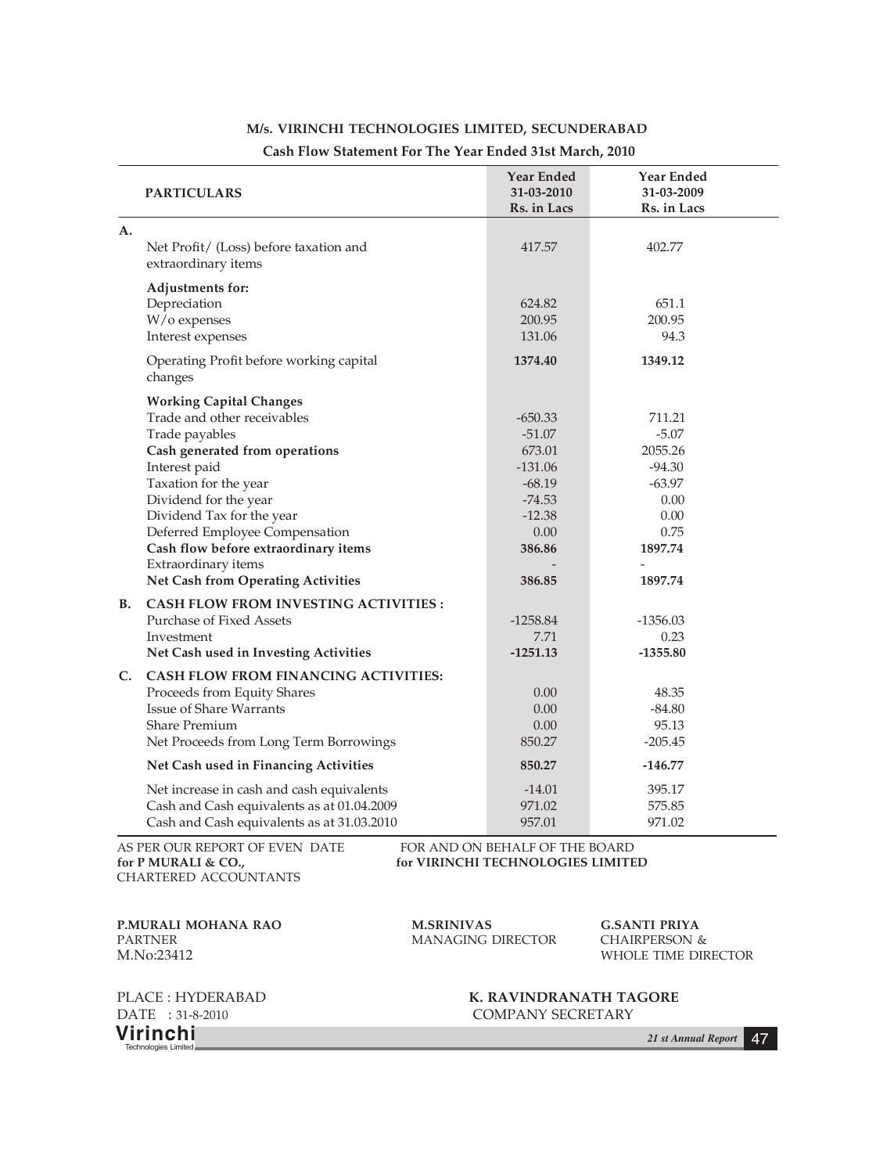|           | <b>PARTICULARS</b>                                                                                                                                                                                                                                                                                                                                                                                      | <b>Year Ended</b><br>31-03-2010<br>Rs. in Lacs                                                               | Year Ended<br>31-03-2009<br>Rs. in Lacs                                                            |
|-----------|---------------------------------------------------------------------------------------------------------------------------------------------------------------------------------------------------------------------------------------------------------------------------------------------------------------------------------------------------------------------------------------------------------|--------------------------------------------------------------------------------------------------------------|----------------------------------------------------------------------------------------------------|
| A.        | Net Profit/ (Loss) before taxation and<br>extraordinary items                                                                                                                                                                                                                                                                                                                                           | 417.57                                                                                                       | 402.77                                                                                             |
|           | Adjustments for:<br>Depreciation<br>W/o expenses<br>Interest expenses                                                                                                                                                                                                                                                                                                                                   | 624.82<br>200.95<br>131.06                                                                                   | 651.1<br>200.95<br>94.3                                                                            |
|           | Operating Profit before working capital<br>changes                                                                                                                                                                                                                                                                                                                                                      | 1374.40                                                                                                      | 1349.12                                                                                            |
| <b>B.</b> | <b>Working Capital Changes</b><br>Trade and other receivables<br>Trade payables<br>Cash generated from operations<br>Interest paid<br>Taxation for the year<br>Dividend for the year<br>Dividend Tax for the year<br>Deferred Employee Compensation<br>Cash flow before extraordinary items<br>Extraordinary items<br>Net Cash from Operating Activities<br><b>CASH FLOW FROM INVESTING ACTIVITIES:</b> | $-650.33$<br>$-51.07$<br>673.01<br>$-131.06$<br>$-68.19$<br>$-74.53$<br>$-12.38$<br>0.00<br>386.86<br>386.85 | 711.21<br>$-5.07$<br>2055.26<br>$-94.30$<br>$-63.97$<br>0.00<br>0.00<br>0.75<br>1897.74<br>1897.74 |
|           | Purchase of Fixed Assets<br>Investment<br>Net Cash used in Investing Activities                                                                                                                                                                                                                                                                                                                         | $-1258.84$<br>7.71<br>$-1251.13$                                                                             | $-1356.03$<br>0.23<br>$-1355.80$                                                                   |
| C.        | <b>CASH FLOW FROM FINANCING ACTIVITIES:</b><br>Proceeds from Equity Shares<br>Issue of Share Warrants<br>Share Premium<br>Net Proceeds from Long Term Borrowings                                                                                                                                                                                                                                        | 0.00<br>0.00<br>0.00<br>850.27                                                                               | 48.35<br>$-84.80$<br>95.13<br>$-205.45$                                                            |
|           | Net Cash used in Financing Activities                                                                                                                                                                                                                                                                                                                                                                   | 850.27                                                                                                       | $-146.77$                                                                                          |
|           | Net increase in cash and cash equivalents<br>Cash and Cash equivalents as at 01.04.2009<br>Cash and Cash equivalents as at 31.03.2010                                                                                                                                                                                                                                                                   | $-14.01$<br>971.02<br>957.01                                                                                 | 395.17<br>575.85<br>971.02                                                                         |

# **M/s. VIRINCHI TECHNOLOGIES LIMITED, SECUNDERABAD**

#### **Cash Flow Statement For The Year Ended 31st March, 2010**

CHARTERED ACCOUNTANTS

AS PER OUR REPORT OF EVEN DATE FOR AND ON BEHALF OF THE BOARD<br>for P MURALI & CO., for VIRINCHI TECHNOLOGIES LIMITE for VIRINCHI TECHNOLOGIES LIMITED

**P.MURALI MOHANA RAO M.SRINIVAS G.SANTI PRIYA** PARTNER MANAGING DIRECTOR M.No:23412

WHOLE TIME DIRECTOR

**Virinchi** *21 st Annual Report* <sup>47</sup> Technologies Limited

PLACE : HYDERABAD **K. RAVINDRANATH TAGORE** DATE : 31-8-2010 COMPANY SECRETARY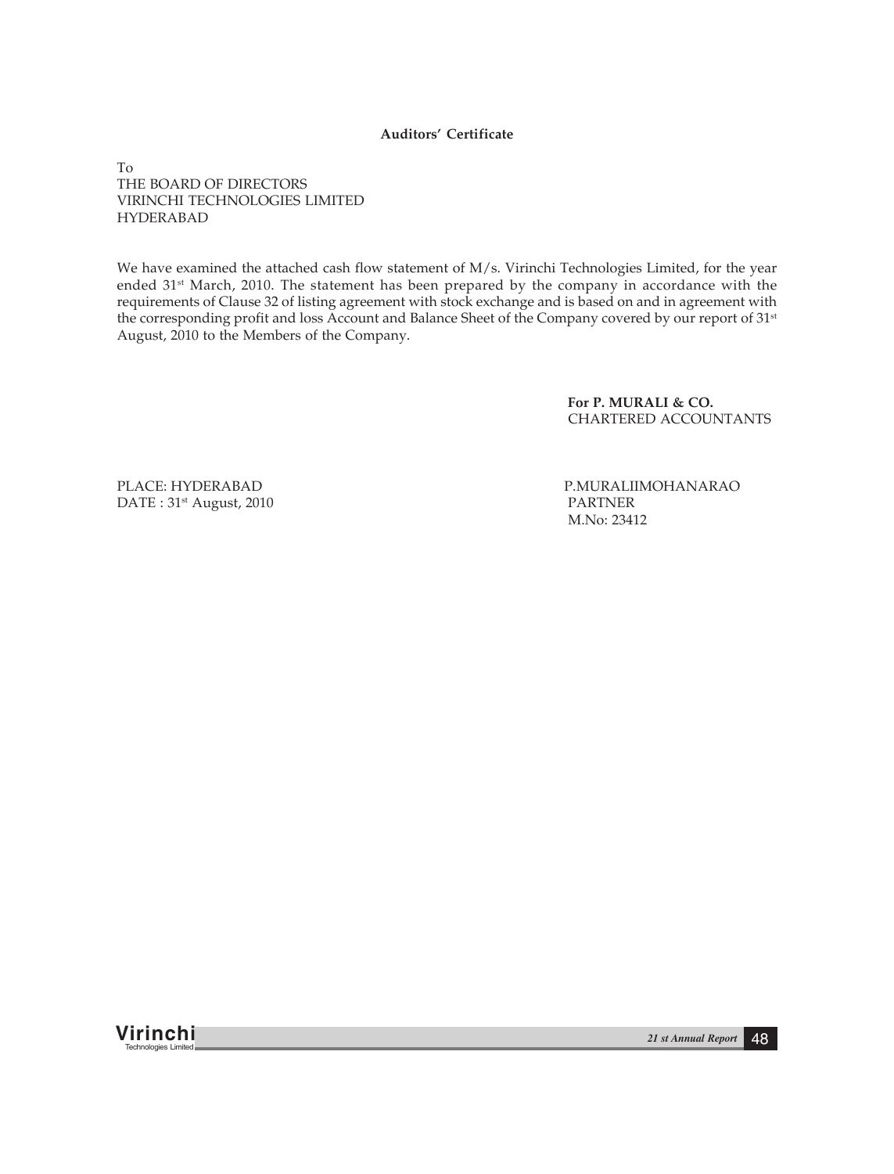**Auditors' Certificate**

To THE BOARD OF DIRECTORS VIRINCHI TECHNOLOGIES LIMITED HYDERABAD

We have examined the attached cash flow statement of M/s. Virinchi Technologies Limited, for the year ended 31<sup>st</sup> March, 2010. The statement has been prepared by the company in accordance with the requirements of Clause 32 of listing agreement with stock exchange and is based on and in agreement with the corresponding profit and loss Account and Balance Sheet of the Company covered by our report of 31<sup>st</sup> August, 2010 to the Members of the Company.

> **For P. MURALI & CO.** CHARTERED ACCOUNTANTS

DATE: 31<sup>st</sup> August, 2010

PLACE: HYDERABAD P.MURALIIMOHANARAO<br>
DATE : 31<sup>st</sup> August. 2010 M.No: 23412

**Virinchi** *21 st Annual Report* <sup>48</sup> Technologies Limited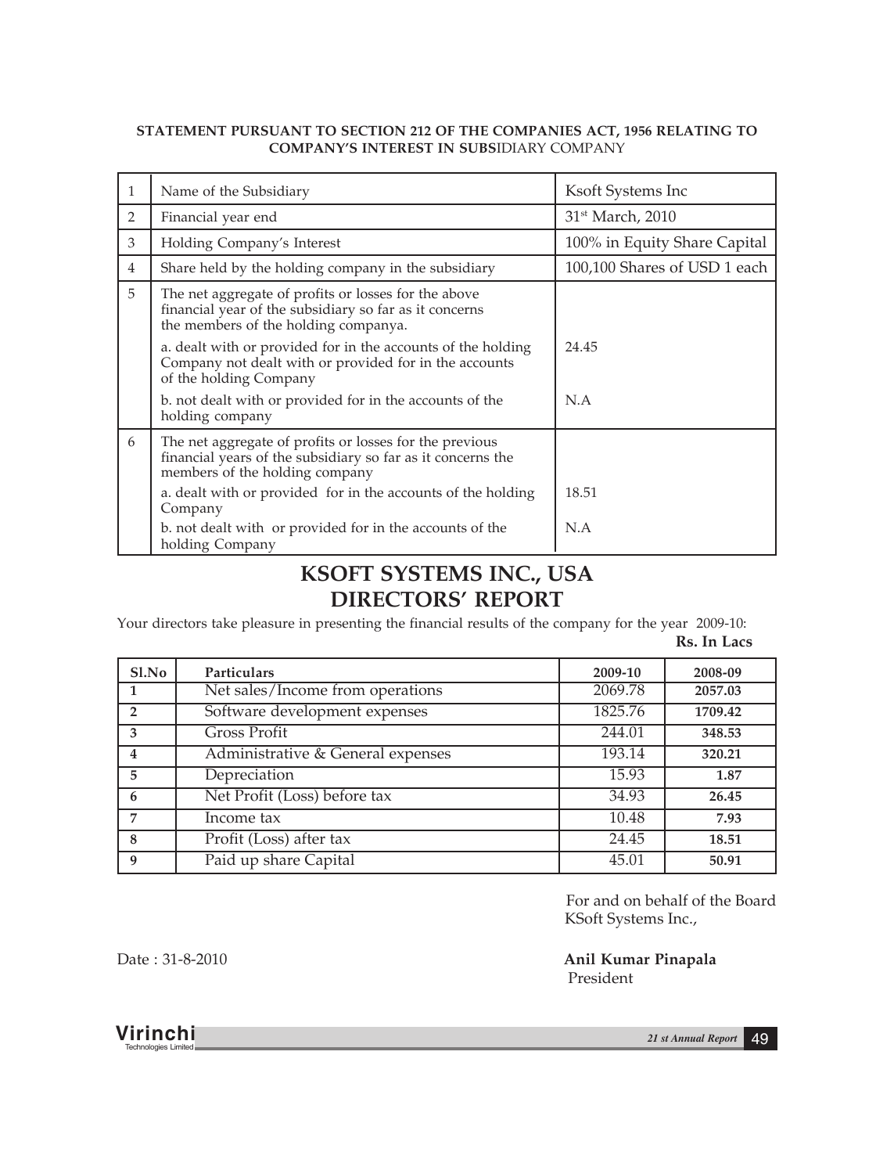# **STATEMENT PURSUANT TO SECTION 212 OF THE COMPANIES ACT, 1956 RELATING TO COMPANY'S INTEREST IN SUBS**IDIARY COMPANY

| 1              | Name of the Subsidiary                                                                                                                                   | Ksoft Systems Inc            |
|----------------|----------------------------------------------------------------------------------------------------------------------------------------------------------|------------------------------|
| 2              | Financial year end                                                                                                                                       | 31 <sup>st</sup> March, 2010 |
| 3              | Holding Company's Interest                                                                                                                               | 100% in Equity Share Capital |
| $\overline{4}$ | Share held by the holding company in the subsidiary                                                                                                      | 100,100 Shares of USD 1 each |
| 5              | The net aggregate of profits or losses for the above<br>financial year of the subsidiary so far as it concerns<br>the members of the holding companya.   |                              |
|                | a. dealt with or provided for in the accounts of the holding<br>Company not dealt with or provided for in the accounts<br>of the holding Company         | 24.45                        |
|                | b. not dealt with or provided for in the accounts of the<br>holding company                                                                              | N.A                          |
| 6              | The net aggregate of profits or losses for the previous<br>financial years of the subsidiary so far as it concerns the<br>members of the holding company |                              |
|                | a. dealt with or provided for in the accounts of the holding<br>Company                                                                                  | 18.51                        |
|                | b. not dealt with or provided for in the accounts of the<br>holding Company                                                                              | N.A                          |

# **KSOFT SYSTEMS INC., USA DIRECTORS' REPORT**

Your directors take pleasure in presenting the financial results of the company for the year 2009-10:

**Rs. In Lacs**

| Sl.No          | Particulars                       | 2009-10 | 2008-09 |
|----------------|-----------------------------------|---------|---------|
|                | Net sales/Income from operations  | 2069.78 | 2057.03 |
| $\overline{2}$ | Software development expenses     | 1825.76 | 1709.42 |
| 3              | <b>Gross Profit</b>               | 244.01  | 348.53  |
| $\overline{4}$ | Administrative & General expenses | 193.14  | 320.21  |
| 5              | Depreciation                      | 15.93   | 1.87    |
| 6              | Net Profit (Loss) before tax      | 34.93   | 26.45   |
| $\overline{7}$ | Income tax                        | 10.48   | 7.93    |
| 8              | Profit (Loss) after tax           | 24.45   | 18.51   |
| 9              | Paid up share Capital             | 45.01   | 50.91   |

For and on behalf of the Board KSoft Systems Inc.,

Date : 31-8-2010 **Anil Kumar Pinapala** President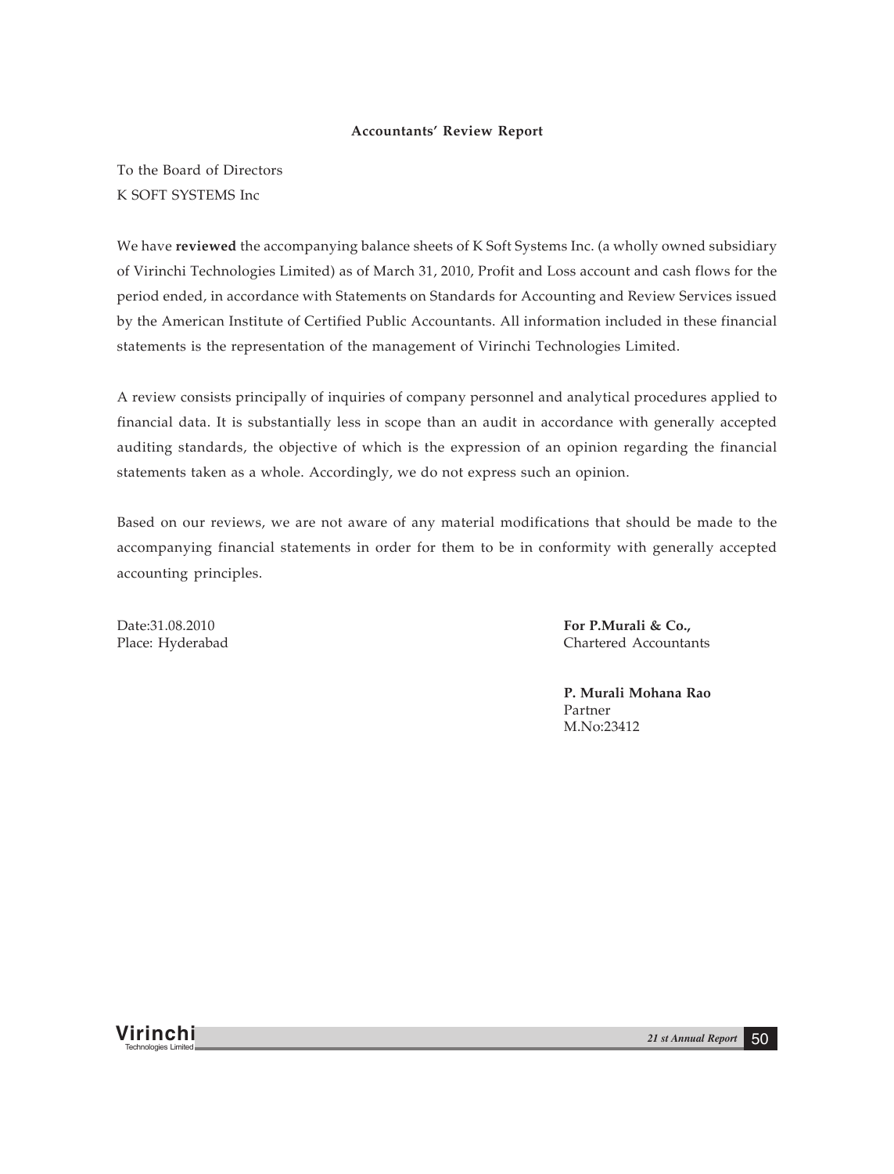## **Accountants' Review Report**

To the Board of Directors K SOFT SYSTEMS Inc

We have **reviewed** the accompanying balance sheets of K Soft Systems Inc. (a wholly owned subsidiary of Virinchi Technologies Limited) as of March 31, 2010, Profit and Loss account and cash flows for the period ended, in accordance with Statements on Standards for Accounting and Review Services issued by the American Institute of Certified Public Accountants. All information included in these financial statements is the representation of the management of Virinchi Technologies Limited.

A review consists principally of inquiries of company personnel and analytical procedures applied to financial data. It is substantially less in scope than an audit in accordance with generally accepted auditing standards, the objective of which is the expression of an opinion regarding the financial statements taken as a whole. Accordingly, we do not express such an opinion.

Based on our reviews, we are not aware of any material modifications that should be made to the accompanying financial statements in order for them to be in conformity with generally accepted accounting principles.

Date:31.08.2010 **For P.Murali & Co.,** Place: Hyderabad Chartered Accountants

> **P. Murali Mohana Rao** Partner M.No:23412

**Virinchi** *21 st Annual Report* <sup>50</sup> Technologies Limited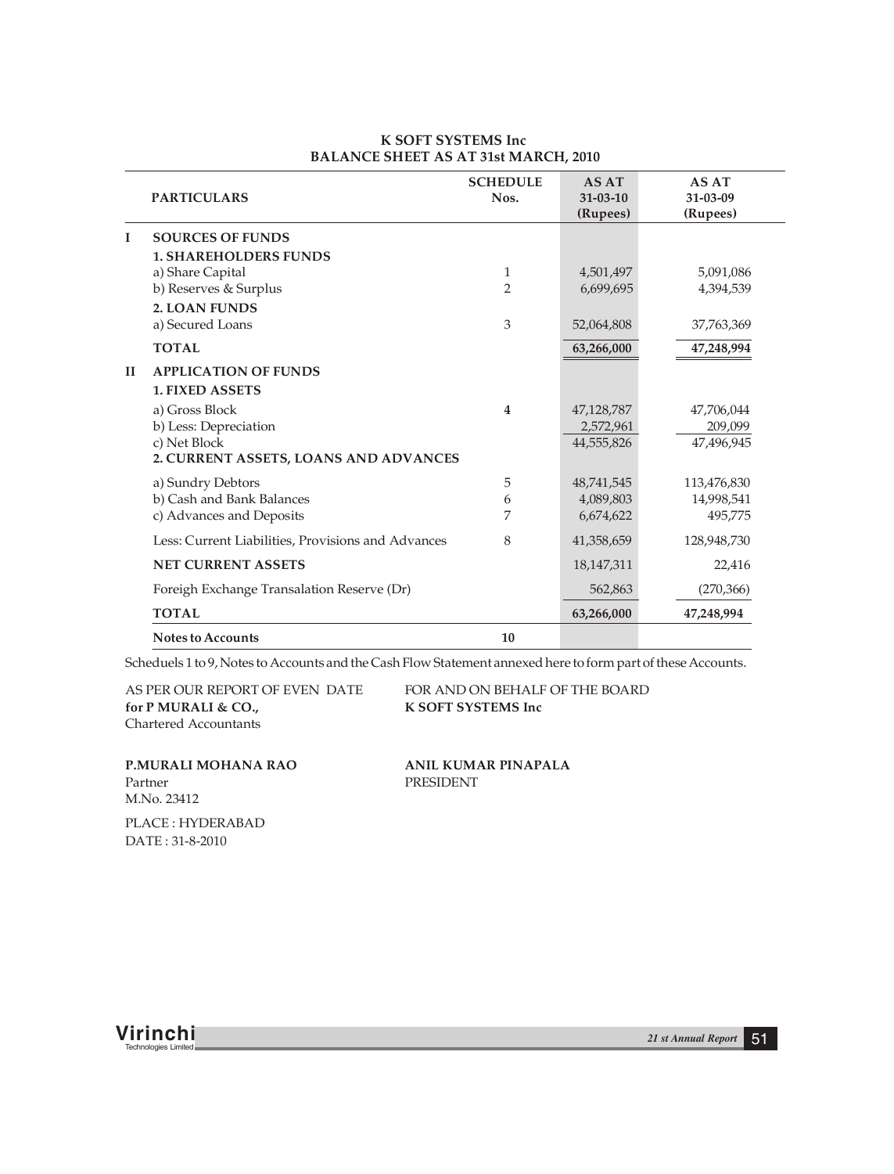|    | <b>PARTICULARS</b>                                 | <b>SCHEDULE</b><br>Nos. | <b>AS AT</b><br>$31 - 03 - 10$<br>(Rupees) | AS AT<br>31-03-09<br>(Rupees) |
|----|----------------------------------------------------|-------------------------|--------------------------------------------|-------------------------------|
| I  | <b>SOURCES OF FUNDS</b>                            |                         |                                            |                               |
|    | <b>1. SHAREHOLDERS FUNDS</b>                       |                         |                                            |                               |
|    | a) Share Capital                                   | 1                       | 4,501,497                                  | 5,091,086                     |
|    | b) Reserves & Surplus                              | $\mathfrak{D}$          | 6,699,695                                  | 4,394,539                     |
|    | <b>2. LOAN FUNDS</b>                               |                         |                                            |                               |
|    | a) Secured Loans                                   | 3                       | 52,064,808                                 | 37,763,369                    |
|    | <b>TOTAL</b>                                       |                         | 63,266,000                                 | 47,248,994                    |
| II | <b>APPLICATION OF FUNDS</b>                        |                         |                                            |                               |
|    | <b>1. FIXED ASSETS</b>                             |                         |                                            |                               |
|    | a) Gross Block                                     | 4                       | 47,128,787                                 | 47,706,044                    |
|    | b) Less: Depreciation                              |                         | 2,572,961                                  | 209,099                       |
|    | c) Net Block                                       |                         | 44,555,826                                 | 47,496,945                    |
|    | 2. CURRENT ASSETS, LOANS AND ADVANCES              |                         |                                            |                               |
|    | a) Sundry Debtors                                  | 5                       | 48,741,545                                 | 113,476,830                   |
|    | b) Cash and Bank Balances                          | 6                       | 4,089,803                                  | 14,998,541                    |
|    | c) Advances and Deposits                           | 7                       | 6,674,622                                  | 495,775                       |
|    | Less: Current Liabilities, Provisions and Advances | 8                       | 41,358,659                                 | 128,948,730                   |
|    | <b>NET CURRENT ASSETS</b>                          |                         | 18,147,311                                 | 22,416                        |
|    | Foreigh Exchange Transalation Reserve (Dr)         |                         | 562,863                                    | (270, 366)                    |
|    | <b>TOTAL</b>                                       |                         | 63,266,000                                 | 47,248,994                    |
|    | <b>Notes to Accounts</b>                           | 10                      |                                            |                               |

#### **K SOFT SYSTEMS Inc BALANCE SHEET AS AT 31st MARCH, 2010**

Scheduels 1 to 9, Notes to Accounts and the Cash Flow Statement annexed here to form part of these Accounts.

AS PER OUR REPORT OF EVEN DATE FOR AND ON BEHALF OF THE BOARD Chartered Accountants for P MURALI & CO., **K SOFT SYSTEMS** Inc

Partner PRESIDENT M.No. 23412 **P.MURALI MOHANA RAO ANIL KUMAR PINAPALA**

PLACE : HYDERABAD DATE : 31-8-2010

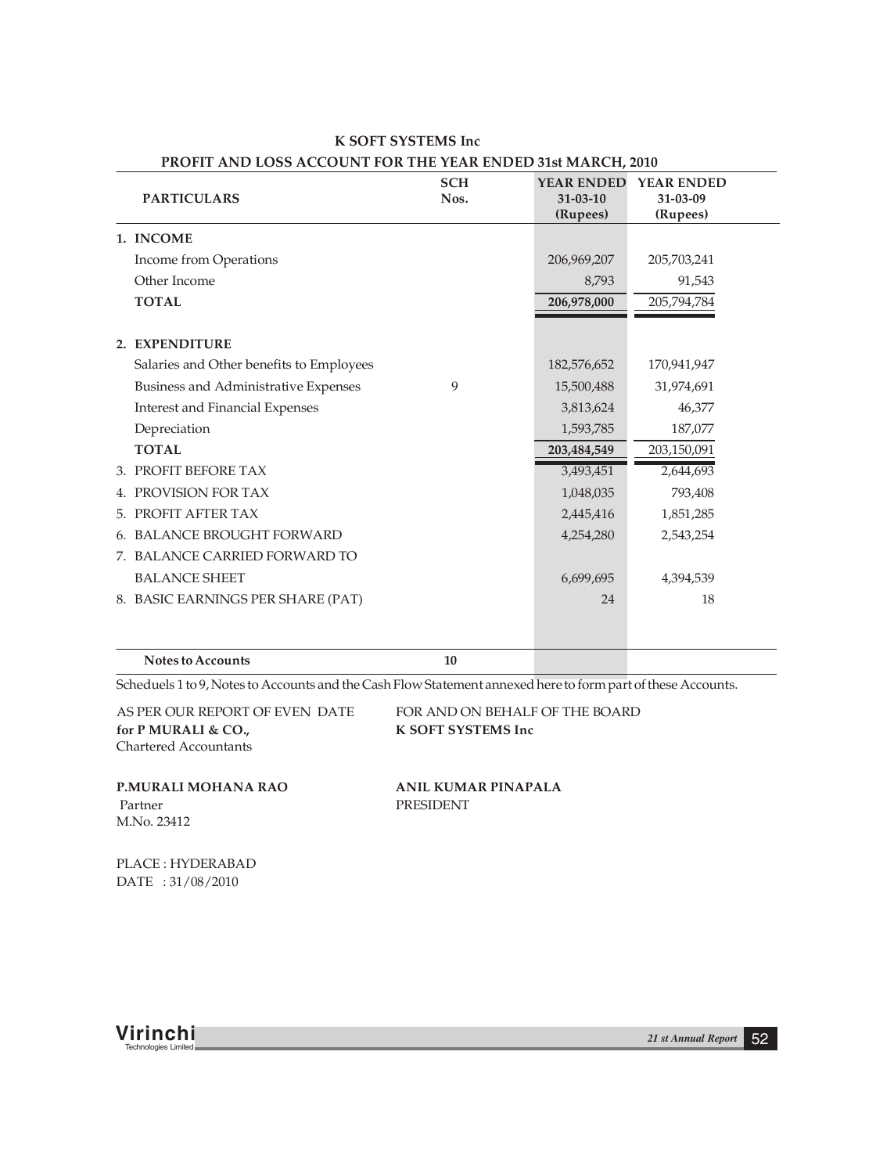| <b>PARTICULARS</b>          |                                          | <b>SCH</b><br>Nos. | <b>YEAR ENDED</b><br>$31 - 03 - 10$<br>(Rupees) | <b>YEAR ENDED</b><br>31-03-09<br>(Rupees) |  |
|-----------------------------|------------------------------------------|--------------------|-------------------------------------------------|-------------------------------------------|--|
| 1. INCOME                   |                                          |                    |                                                 |                                           |  |
|                             | Income from Operations                   |                    | 206,969,207                                     | 205,703,241                               |  |
| Other Income                |                                          |                    | 8,793                                           | 91,543                                    |  |
| <b>TOTAL</b>                |                                          |                    | 206,978,000                                     | 205,794,784                               |  |
| 2. EXPENDITURE              |                                          |                    |                                                 |                                           |  |
|                             | Salaries and Other benefits to Employees |                    | 182,576,652                                     | 170,941,947                               |  |
|                             | Business and Administrative Expenses     | 9                  | 15,500,488                                      | 31,974,691                                |  |
|                             | <b>Interest and Financial Expenses</b>   |                    | 3,813,624                                       | 46,377                                    |  |
| Depreciation                |                                          |                    | 1,593,785                                       | 187,077                                   |  |
| <b>TOTAL</b>                |                                          |                    | 203,484,549                                     | 203,150,091                               |  |
| 3. PROFIT BEFORE TAX        |                                          |                    | 3,493,451                                       | 2,644,693                                 |  |
| <b>4. PROVISION FOR TAX</b> |                                          |                    | 1,048,035                                       | 793,408                                   |  |
| 5. PROFIT AFTER TAX         |                                          |                    | 2,445,416                                       | 1,851,285                                 |  |
|                             | 6. BALANCE BROUGHT FORWARD               |                    | 4,254,280                                       | 2,543,254                                 |  |
|                             | 7. BALANCE CARRIED FORWARD TO            |                    |                                                 |                                           |  |
| <b>BALANCE SHEET</b>        |                                          |                    | 6,699,695                                       | 4,394,539                                 |  |
|                             | 8. BASIC EARNINGS PER SHARE (PAT)        |                    | 24                                              | 18                                        |  |
| <b>Notes to Accounts</b>    |                                          | 10                 |                                                 |                                           |  |

**K SOFT SYSTEMS Inc PROFIT AND LOSS ACCOUNT FOR THE YEAR ENDED 31st MARCH, 2010**

Scheduels 1 to 9, Notes to Accounts and the Cash Flow Statement annexed here to form part of these Accounts.

Chartered Accountants for P MURALI & CO.,

AS PER OUR REPORT OF EVEN DATE FOR AND ON BEHALF OF THE BOARD for P MURALI & CO.

Partner PRESIDENT M.No. 23412 **P.MURALI MOHANA RAO ANIL KUMAR PINAPALA**

PLACE : HYDERABAD DATE : 31/08/2010

**Virinchi** *21 st Annual Report* <sup>52</sup> Technologies Limited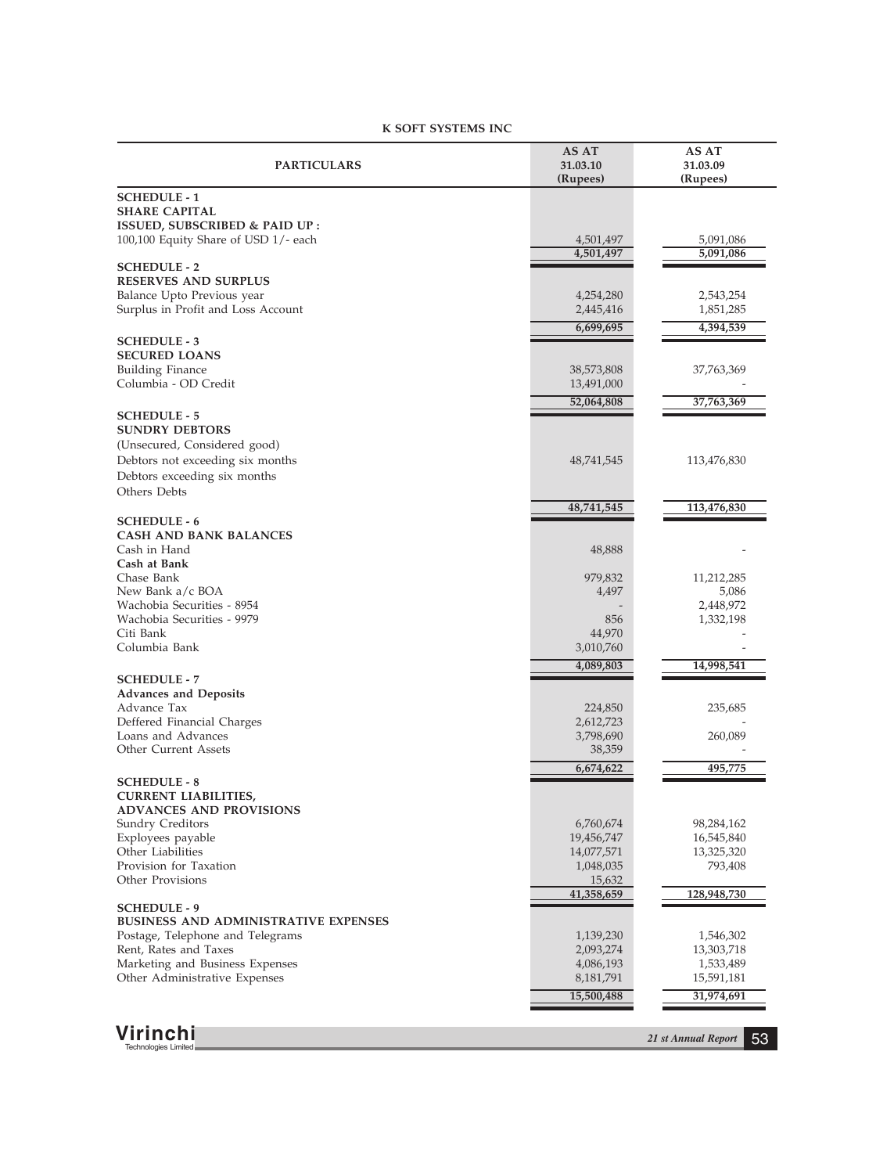### **K SOFT SYSTEMS INC**

| <b>PARTICULARS</b>                                                    | AS AT<br>31.03.10<br>(Rupees) | AS AT<br>31.03.09<br>(Rupees) |
|-----------------------------------------------------------------------|-------------------------------|-------------------------------|
| <b>SCHEDULE - 1</b>                                                   |                               |                               |
| <b>SHARE CAPITAL</b>                                                  |                               |                               |
| ISSUED, SUBSCRIBED & PAID UP:<br>100,100 Equity Share of USD 1/- each | 4,501,497                     | 5,091,086                     |
|                                                                       | 4,501,497                     | 5,091,086                     |
| <b>SCHEDULE - 2</b>                                                   |                               |                               |
| <b>RESERVES AND SURPLUS</b><br>Balance Upto Previous year             |                               |                               |
| Surplus in Profit and Loss Account                                    | 4,254,280<br>2,445,416        | 2,543,254<br>1,851,285        |
|                                                                       | 6,699,695                     | 4,394,539                     |
| <b>SCHEDULE - 3</b>                                                   |                               |                               |
| <b>SECURED LOANS</b>                                                  |                               |                               |
| <b>Building Finance</b>                                               | 38,573,808                    | 37,763,369                    |
| Columbia - OD Credit                                                  | 13,491,000                    |                               |
| <b>SCHEDULE - 5</b>                                                   | 52,064,808                    | 37,763,369                    |
| <b>SUNDRY DEBTORS</b>                                                 |                               |                               |
| (Unsecured, Considered good)                                          |                               |                               |
| Debtors not exceeding six months                                      | 48,741,545                    | 113,476,830                   |
| Debtors exceeding six months                                          |                               |                               |
| Others Debts                                                          |                               |                               |
| <b>SCHEDULE - 6</b>                                                   | 48,741,545                    | 113,476,830                   |
| <b>CASH AND BANK BALANCES</b>                                         |                               |                               |
| Cash in Hand                                                          | 48,888                        |                               |
| Cash at Bank                                                          |                               |                               |
| Chase Bank<br>New Bank a/c BOA                                        | 979,832<br>4,497              | 11,212,285<br>5,086           |
| Wachobia Securities - 8954                                            |                               | 2,448,972                     |
| Wachobia Securities - 9979                                            | 856                           | 1,332,198                     |
| Citi Bank                                                             | 44,970                        |                               |
| Columbia Bank                                                         | 3,010,760                     |                               |
| <b>SCHEDULE - 7</b>                                                   | 4,089,803                     | 14,998,541                    |
| <b>Advances and Deposits</b>                                          |                               |                               |
| Advance Tax                                                           | 224,850                       | 235,685                       |
| Deffered Financial Charges                                            | 2,612,723                     |                               |
| Loans and Advances<br><b>Other Current Assets</b>                     | 3,798,690<br>38,359           | 260,089                       |
|                                                                       | 6,674,622                     | 495,775                       |
| <b>SCHEDULE - 8</b>                                                   |                               |                               |
| <b>CURRENT LIABILITIES,</b>                                           |                               |                               |
| <b>ADVANCES AND PROVISIONS</b>                                        |                               |                               |
| <b>Sundry Creditors</b><br>Exployees payable                          | 6,760,674<br>19,456,747       | 98,284,162<br>16,545,840      |
| Other Liabilities                                                     | 14,077,571                    | 13,325,320                    |
| Provision for Taxation                                                | 1,048,035                     | 793,408                       |
| Other Provisions                                                      | 15,632                        |                               |
| <b>SCHEDULE - 9</b>                                                   | 41,358,659                    | 128,948,730                   |
| <b>BUSINESS AND ADMINISTRATIVE EXPENSES</b>                           |                               |                               |
| Postage, Telephone and Telegrams                                      | 1,139,230                     | 1,546,302                     |
| Rent, Rates and Taxes                                                 | 2,093,274                     | 13,303,718                    |
| Marketing and Business Expenses<br>Other Administrative Expenses      | 4,086,193<br>8,181,791        | 1,533,489<br>15,591,181       |
|                                                                       |                               |                               |
|                                                                       | 15,500,488                    | 31,974,691                    |
|                                                                       |                               |                               |
| Virinchi<br>Technologies Limited                                      |                               | 21 st Annual Report<br>53     |
|                                                                       |                               |                               |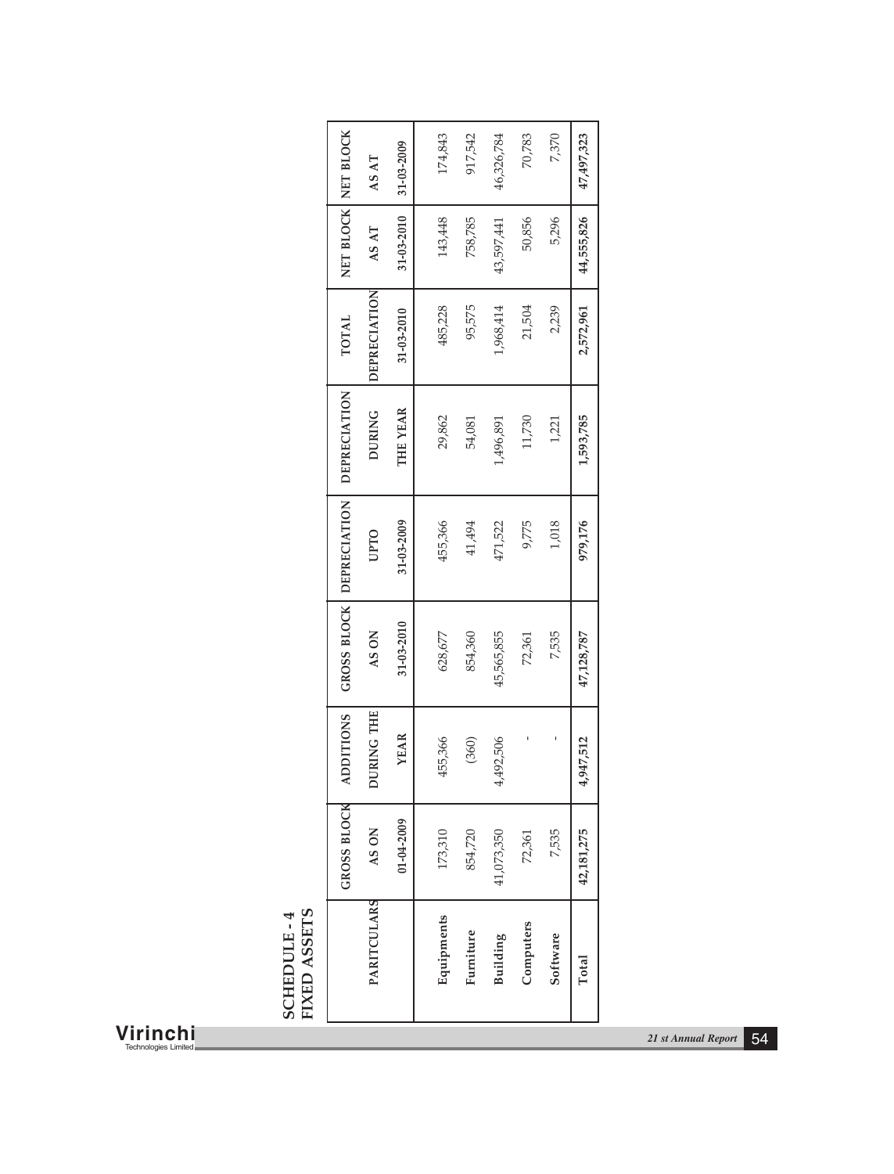| Virinchi<br><b>Technologies Limited</b> |                            |                     |                     |             |            |          |            |             |                |            | 21 st Annual Report | 54 |
|-----------------------------------------|----------------------------|---------------------|---------------------|-------------|------------|----------|------------|-------------|----------------|------------|---------------------|----|
|                                         | FIXED ASSETS<br>SCHEDULE-4 |                     | PARITCULARS         |             | Equipments | Fumiture | Building   | Computers   | Software       | Total      |                     |    |
|                                         |                            | <b>GROSS BLOCK</b>  | AS ON               | 01-04-2009  | 173,310    | 854,720  | 41,073,350 | 72,361      | 7,535          | 42,181,275 |                     |    |
|                                         |                            | <b>ADDITIONS</b>    | DURING THE          | <b>YEAR</b> | 455,366    | (360)    | 4,492,506  | $\mathbf I$ | $\mathfrak{t}$ | 4,947,512  |                     |    |
|                                         |                            | GROSS BLOCK         | AS ON               | 31-03-2010  | 628,677    | 854,360  | 45,565,855 | 72,361      | 7,535          | 47,128,787 |                     |    |
|                                         |                            | <b>DEPRECIATION</b> | <b>UPTO</b>         | 31-03-2009  | 455,366    | 41,494   | 471,522    | 9,775       | 1,018          | 979,176    |                     |    |
|                                         |                            | <b>DEPRECIATION</b> | <b>DURING</b>       | THE YEAR    | 29,862     | 54,081   | 1,496,891  | 11,730      | 1,221          | 1,593,785  |                     |    |
|                                         |                            | <b>TOTAL</b>        | <b>DEPRECIATION</b> | 31-03-2010  | 485,228    | 95,575   | 1,968,414  | 21,504      | 2,239          | 2,572,961  |                     |    |
|                                         |                            | NET BLOCK NET BLOCK | AS AT               | 31-03-2010  | 143,448    | 758,785  | 43,597,441 | 50,856      | 5,296          | 44,555,826 |                     |    |
|                                         |                            |                     | AS AT               | 31-03-2009  | 174,843    | 917,542  | 46,326,784 | 70,783      | 7,370          | 47,497,323 |                     |    |
|                                         |                            |                     |                     |             |            |          |            |             |                |            |                     |    |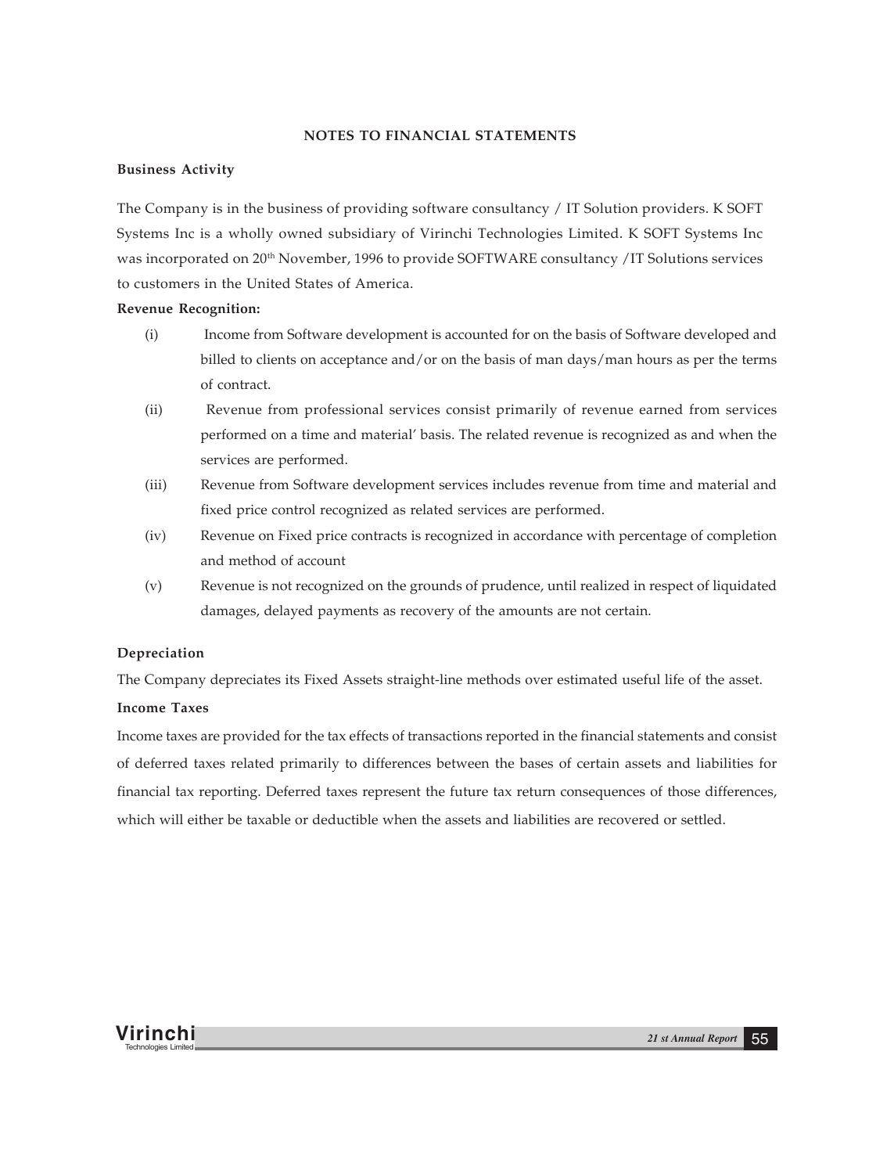### **NOTES TO FINANCIAL STATEMENTS**

### **Business Activity**

The Company is in the business of providing software consultancy / IT Solution providers. K SOFT Systems Inc is a wholly owned subsidiary of Virinchi Technologies Limited. K SOFT Systems Inc was incorporated on 20<sup>th</sup> November, 1996 to provide SOFTWARE consultancy /IT Solutions services to customers in the United States of America.

#### **Revenue Recognition:**

- (i) Income from Software development is accounted for on the basis of Software developed and billed to clients on acceptance and/or on the basis of man days/man hours as per the terms of contract.
- (ii) Revenue from professional services consist primarily of revenue earned from services performed on a time and material' basis. The related revenue is recognized as and when the services are performed.
- (iii) Revenue from Software development services includes revenue from time and material and fixed price control recognized as related services are performed.
- (iv) Revenue on Fixed price contracts is recognized in accordance with percentage of completion and method of account
- (v) Revenue is not recognized on the grounds of prudence, until realized in respect of liquidated damages, delayed payments as recovery of the amounts are not certain.

#### **Depreciation**

The Company depreciates its Fixed Assets straight-line methods over estimated useful life of the asset.

#### **Income Taxes**

Income taxes are provided for the tax effects of transactions reported in the financial statements and consist of deferred taxes related primarily to differences between the bases of certain assets and liabilities for financial tax reporting. Deferred taxes represent the future tax return consequences of those differences, which will either be taxable or deductible when the assets and liabilities are recovered or settled.

**Virinchi** *21 st Annual Report* <sup>55</sup> Technologies Limited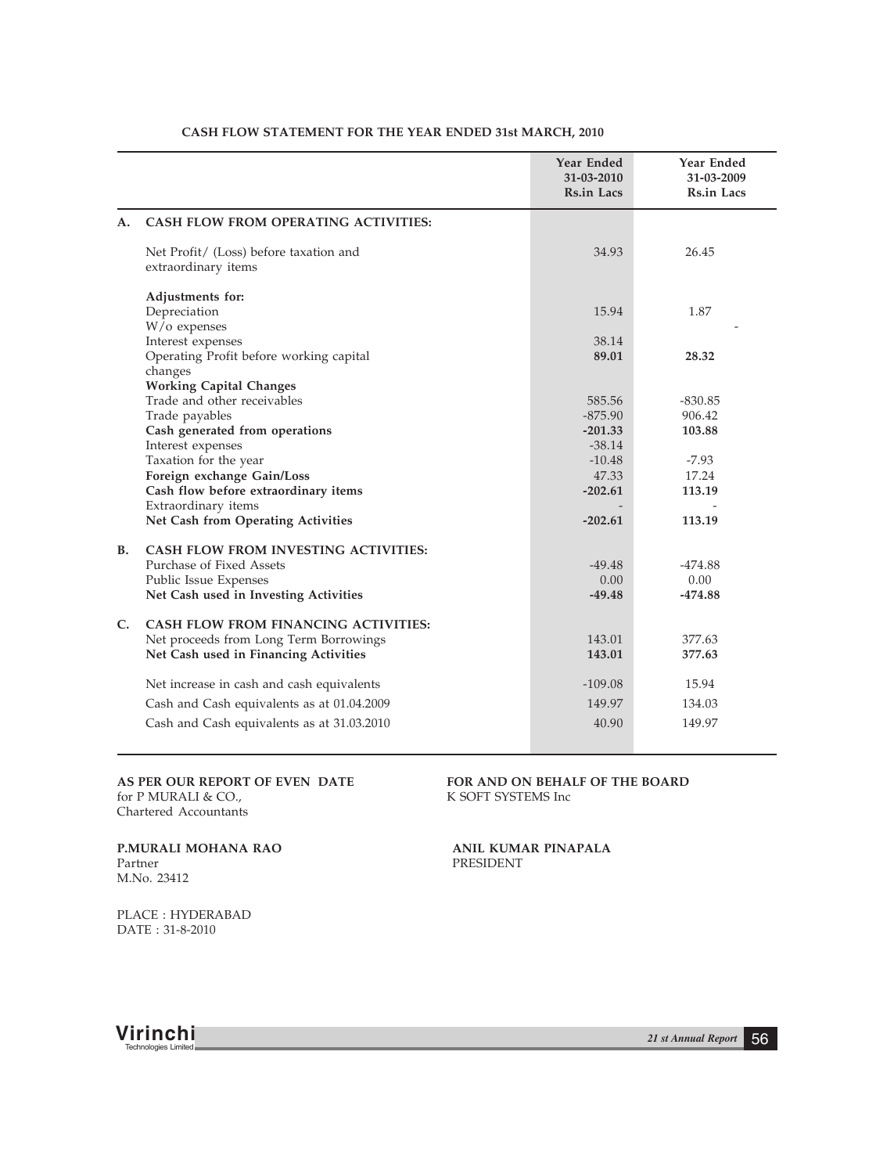|             |                                                                                                                         | Year Ended<br>31-03-2010<br>Rs.in Lacs | Year Ended<br>31-03-2009<br>Rs.in Lacs |
|-------------|-------------------------------------------------------------------------------------------------------------------------|----------------------------------------|----------------------------------------|
| А.          | CASH FLOW FROM OPERATING ACTIVITIES:                                                                                    |                                        |                                        |
|             | Net Profit/ (Loss) before taxation and<br>extraordinary items                                                           | 34.93                                  | 26.45                                  |
|             | Adjustments for:<br>Depreciation<br>$W$ / $\alpha$ expenses                                                             | 15.94                                  | 1.87                                   |
|             | Interest expenses<br>Operating Profit before working capital<br>changes                                                 | 38.14<br>89.01                         | 28.32                                  |
|             | <b>Working Capital Changes</b><br>Trade and other receivables<br>Trade payables<br>Cash generated from operations       | 585.56<br>$-875.90$<br>$-201.33$       | $-830.85$<br>906.42<br>103.88          |
|             | Interest expenses<br>Taxation for the year<br>Foreign exchange Gain/Loss                                                | $-38.14$<br>$-10.48$<br>47.33          | $-7.93$<br>17.24                       |
|             | Cash flow before extraordinary items<br>Extraordinary items<br>Net Cash from Operating Activities                       | $-202.61$<br>$-202.61$                 | 113.19<br>113.19                       |
| <b>B.</b>   | CASH FLOW FROM INVESTING ACTIVITIES:                                                                                    |                                        |                                        |
|             | Purchase of Fixed Assets<br>Public Issue Expenses<br>Net Cash used in Investing Activities                              | $-49.48$<br>0.00<br>$-49.48$           | $-474.88$<br>0.00<br>$-474.88$         |
| $C_{\cdot}$ | CASH FLOW FROM FINANCING ACTIVITIES:<br>Net proceeds from Long Term Borrowings<br>Net Cash used in Financing Activities | 143.01<br>143.01                       | 377.63<br>377.63                       |
|             | Net increase in cash and cash equivalents                                                                               | $-109.08$                              | 15.94                                  |
|             | Cash and Cash equivalents as at 01.04.2009<br>Cash and Cash equivalents as at 31.03.2010                                | 149.97<br>40.90                        | 134.03<br>149.97                       |

#### **CASH FLOW STATEMENT FOR THE YEAR ENDED 31st MARCH, 2010**

for P MURALI & CO., Chartered Accountants

**AS PER OUR REPORT OF EVEN DATE FOR AND ON BEHALF OF THE BOARD** for P MURALI & CO., **K** SOFT SYSTEMS Inc

**P.MURALI MOHANA RAO ANIL KUMAR PINAPALA** Partner **PRESIDENT** M.No. 23412

PRESIDENT

PLACE : HYDERABAD DATE : 31-8-2010

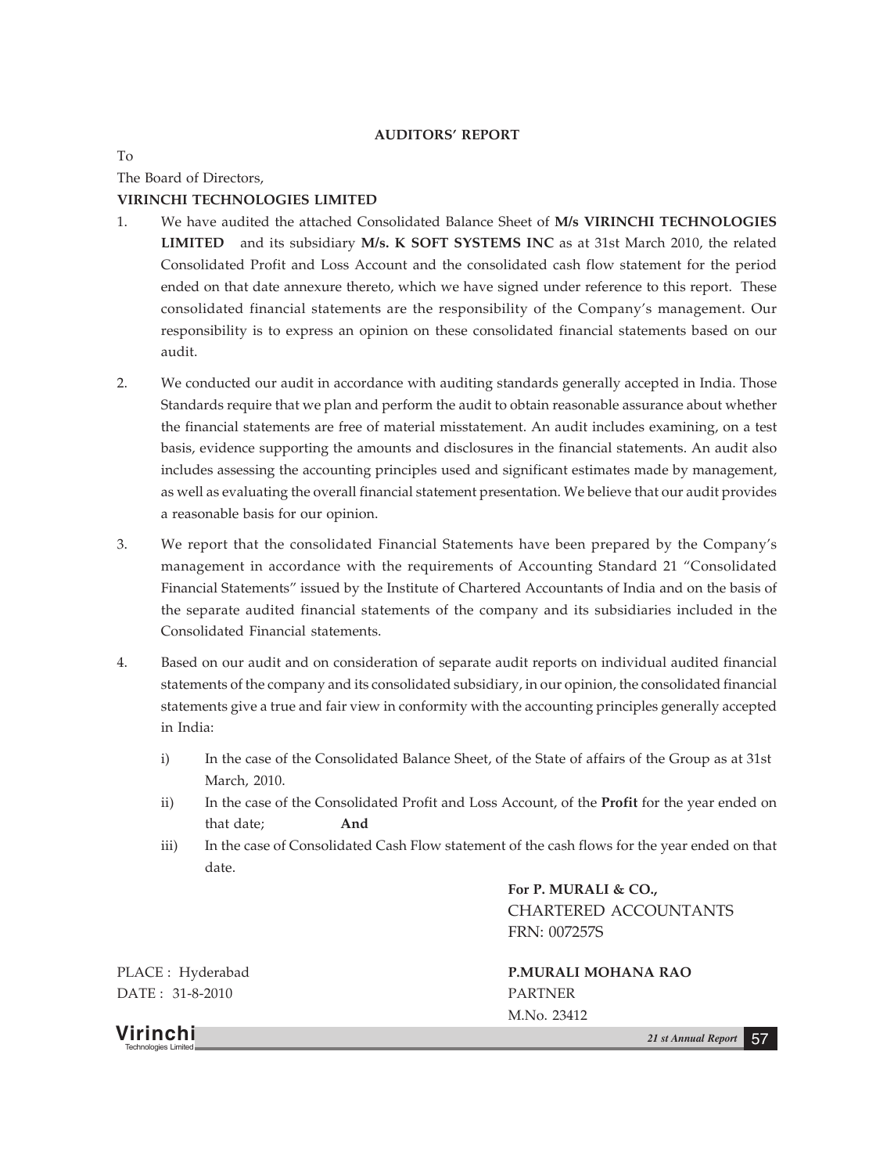#### **AUDITORS' REPORT**

To

The Board of Directors,

# **VIRINCHI TECHNOLOGIES LIMITED**

- 1. We have audited the attached Consolidated Balance Sheet of **M/s VIRINCHI TECHNOLOGIES LIMITED** and its subsidiary **M/s. K SOFT SYSTEMS INC** as at 31st March 2010, the related Consolidated Profit and Loss Account and the consolidated cash flow statement for the period ended on that date annexure thereto, which we have signed under reference to this report. These consolidated financial statements are the responsibility of the Company's management. Our responsibility is to express an opinion on these consolidated financial statements based on our audit.
- 2. We conducted our audit in accordance with auditing standards generally accepted in India. Those Standards require that we plan and perform the audit to obtain reasonable assurance about whether the financial statements are free of material misstatement. An audit includes examining, on a test basis, evidence supporting the amounts and disclosures in the financial statements. An audit also includes assessing the accounting principles used and significant estimates made by management, as well as evaluating the overall financial statement presentation. We believe that our audit provides a reasonable basis for our opinion.
- 3. We report that the consolidated Financial Statements have been prepared by the Company's management in accordance with the requirements of Accounting Standard 21 "Consolidated Financial Statements" issued by the Institute of Chartered Accountants of India and on the basis of the separate audited financial statements of the company and its subsidiaries included in the Consolidated Financial statements.
- 4. Based on our audit and on consideration of separate audit reports on individual audited financial statements of the company and its consolidated subsidiary, in our opinion, the consolidated financial statements give a true and fair view in conformity with the accounting principles generally accepted in India:
	- i) In the case of the Consolidated Balance Sheet, of the State of affairs of the Group as at 31st March, 2010.
	- ii) In the case of the Consolidated Profit and Loss Account, of the **Profit** for the year ended on that date; **And**
	- iii) In the case of Consolidated Cash Flow statement of the cash flows for the year ended on that date.

**For P. MURALI & CO.,** CHARTERED ACCOUNTANTS FRN: 007257S

DATE : 31-8-2010 PARTNER

PLACE : Hyderabad **P.MURALI MOHANA RAO** M.No. 23412

**Virinchi** *21 st Annual Report* <sup>57</sup> Technologies Limited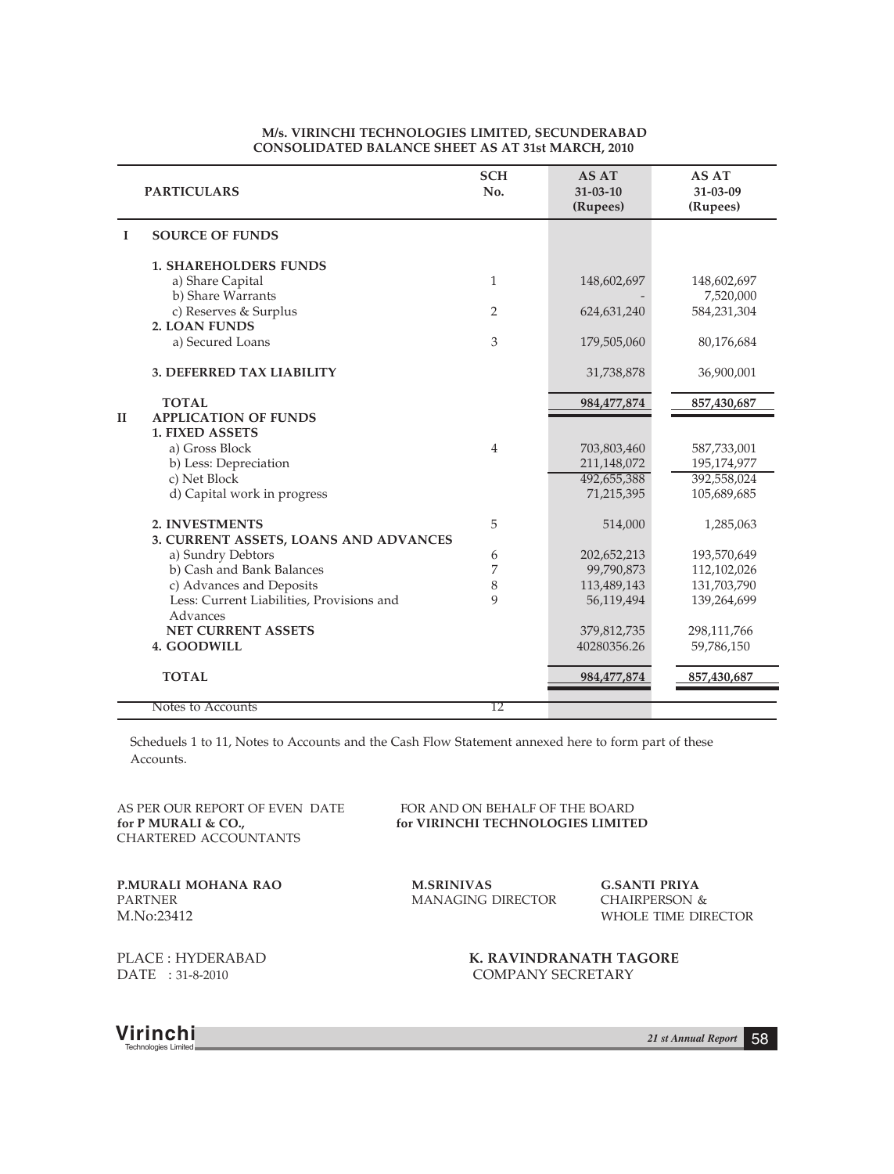|              | <b>PARTICULARS</b>                                    | <b>SCH</b><br>No. | AS AT<br>$31 - 03 - 10$<br>(Rupees) | AS AT<br>31-03-09<br>(Rupees) |
|--------------|-------------------------------------------------------|-------------------|-------------------------------------|-------------------------------|
| I            | <b>SOURCE OF FUNDS</b>                                |                   |                                     |                               |
|              | <b>1. SHAREHOLDERS FUNDS</b>                          |                   |                                     |                               |
|              | a) Share Capital                                      | 1                 | 148,602,697                         | 148,602,697                   |
|              | b) Share Warrants<br>c) Reserves & Surplus            | 2                 | 624, 631, 240                       | 7,520,000<br>584,231,304      |
|              | <b>2. LOAN FUNDS</b>                                  |                   |                                     |                               |
|              | a) Secured Loans                                      | 3                 | 179,505,060                         | 80,176,684                    |
|              | <b>3. DEFERRED TAX LIABILITY</b>                      |                   | 31,738,878                          | 36,900,001                    |
|              | <b>TOTAL</b>                                          |                   | 984, 477, 874                       | 857,430,687                   |
| $\mathbf{H}$ | <b>APPLICATION OF FUNDS</b><br><b>1. FIXED ASSETS</b> |                   |                                     |                               |
|              | a) Gross Block                                        | $\overline{4}$    | 703,803,460                         | 587,733,001                   |
|              | b) Less: Depreciation                                 |                   | 211,148,072                         | 195,174,977                   |
|              | c) Net Block                                          |                   | 492,655,388                         | 392,558,024                   |
|              | d) Capital work in progress                           |                   | 71,215,395                          | 105,689,685                   |
|              | 2. INVESTMENTS                                        | 5                 | 514,000                             | 1,285,063                     |
|              | 3. CURRENT ASSETS, LOANS AND ADVANCES                 |                   |                                     |                               |
|              | a) Sundry Debtors                                     | 6                 | 202,652,213                         | 193,570,649                   |
|              | b) Cash and Bank Balances                             | 7                 | 99,790,873                          | 112,102,026                   |
|              | c) Advances and Deposits                              | 8                 | 113,489,143                         | 131,703,790                   |
|              | Less: Current Liabilities, Provisions and<br>Advances | 9                 | 56,119,494                          | 139,264,699                   |
|              | <b>NET CURRENT ASSETS</b>                             |                   | 379,812,735                         | 298,111,766                   |
|              | 4. GOODWILL                                           |                   | 40280356.26                         | 59,786,150                    |
|              | <b>TOTAL</b>                                          |                   | 984, 477, 874                       | 857,430,687                   |
|              | Notes to Accounts                                     | 12                |                                     |                               |

#### **M/s. VIRINCHI TECHNOLOGIES LIMITED, SECUNDERABAD CONSOLIDATED BALANCE SHEET AS AT 31st MARCH, 2010**

Scheduels 1 to 11, Notes to Accounts and the Cash Flow Statement annexed here to form part of these Accounts.

CHARTERED ACCOUNTANTS

AS PER OUR REPORT OF EVEN DATE FOR AND ON BEHALF OF THE BOARD for P MURALI & CO.,  $\qquad \qquad$  for VIRINCHI TECHNOLOGIES LIMITE for VIRINCHI TECHNOLOGIES LIMITED

**P.MURALI MOHANA RAO M.SRINIVAS G.SANTI PRIYA** PARTNER MANAGING DIRECTOR M.No:23412

WHOLE TIME DIRECTOR

PLACE : HYDERABAD **K. RAVINDRANATH TAGORE** DATE : 31-8-2010 COMPANY SECRETARY

**Virinchi** *21 st Annual Report* <sup>58</sup> Technologies Limited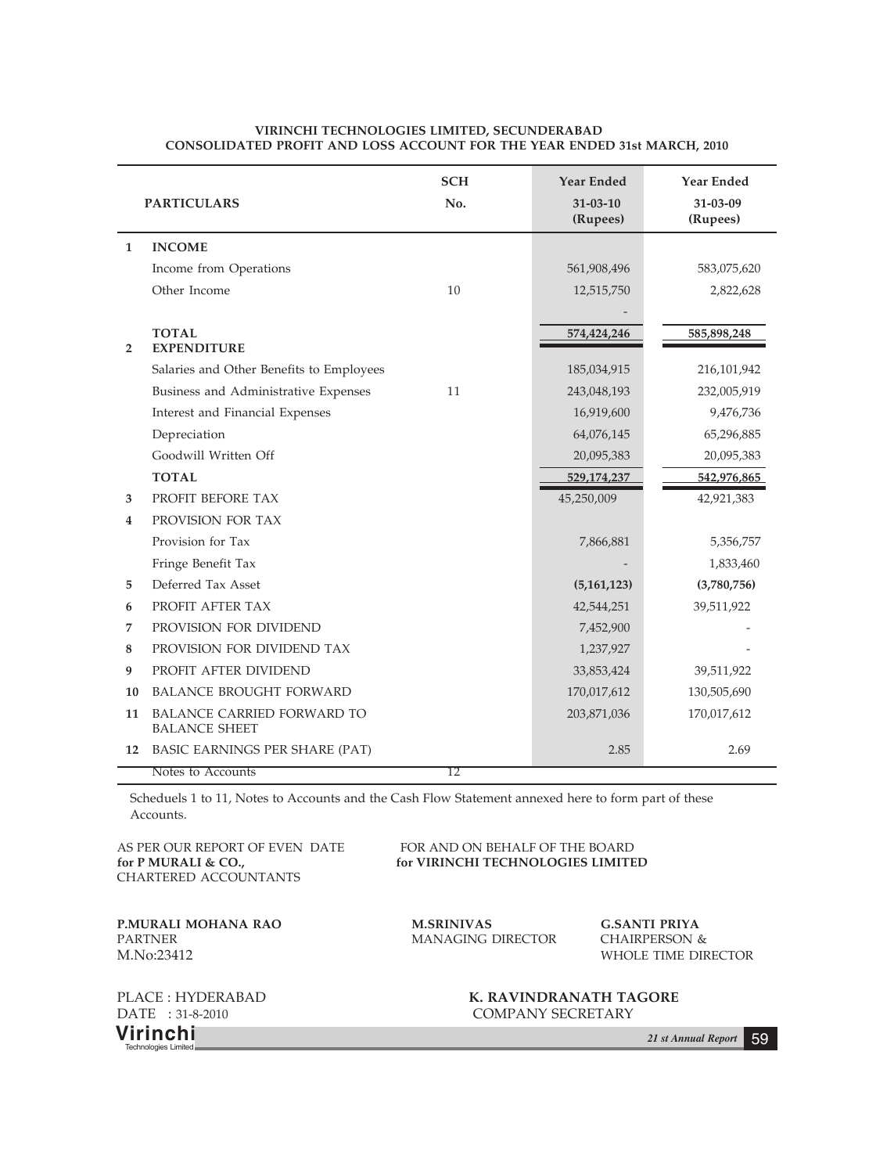|                | <b>PARTICULARS</b>                                        | <b>SCH</b><br>No. | <b>Year Ended</b><br>$31 - 03 - 10$<br>(Rupees) | <b>Year Ended</b><br>31-03-09<br>(Rupees) |
|----------------|-----------------------------------------------------------|-------------------|-------------------------------------------------|-------------------------------------------|
| 1              | <b>INCOME</b>                                             |                   |                                                 |                                           |
|                | Income from Operations                                    |                   | 561,908,496                                     | 583,075,620                               |
|                | Other Income                                              | 10                | 12,515,750                                      | 2,822,628                                 |
|                |                                                           |                   |                                                 |                                           |
| $\overline{2}$ | <b>TOTAL</b><br><b>EXPENDITURE</b>                        |                   | 574,424,246                                     | 585,898,248                               |
|                | Salaries and Other Benefits to Employees                  |                   | 185,034,915                                     | 216,101,942                               |
|                | Business and Administrative Expenses                      | 11                | 243,048,193                                     | 232,005,919                               |
|                | Interest and Financial Expenses                           |                   | 16,919,600                                      | 9,476,736                                 |
|                | Depreciation                                              |                   | 64,076,145                                      | 65,296,885                                |
|                | Goodwill Written Off                                      |                   | 20,095,383                                      | 20,095,383                                |
|                | <b>TOTAL</b>                                              |                   | 529,174,237                                     | 542,976,865                               |
| 3              | PROFIT BEFORE TAX                                         |                   | 45,250,009                                      | 42,921,383                                |
| 4              | PROVISION FOR TAX                                         |                   |                                                 |                                           |
|                | Provision for Tax                                         |                   | 7,866,881                                       | 5,356,757                                 |
|                | Fringe Benefit Tax                                        |                   |                                                 | 1,833,460                                 |
| 5              | Deferred Tax Asset                                        |                   | (5,161,123)                                     | (3,780,756)                               |
| 6              | PROFIT AFTER TAX                                          |                   | 42,544,251                                      | 39,511,922                                |
| 7              | PROVISION FOR DIVIDEND                                    |                   | 7,452,900                                       |                                           |
| 8              | PROVISION FOR DIVIDEND TAX                                |                   | 1,237,927                                       |                                           |
| 9              | PROFIT AFTER DIVIDEND                                     |                   | 33,853,424                                      | 39,511,922                                |
| 10             | <b>BALANCE BROUGHT FORWARD</b>                            |                   | 170,017,612                                     | 130,505,690                               |
| 11             | <b>BALANCE CARRIED FORWARD TO</b><br><b>BALANCE SHEET</b> |                   | 203,871,036                                     | 170,017,612                               |
| 12             | BASIC EARNINGS PER SHARE (PAT)                            |                   | 2.85                                            | 2.69                                      |
|                | Notes to Accounts                                         | 12                |                                                 |                                           |

#### **VIRINCHI TECHNOLOGIES LIMITED, SECUNDERABAD CONSOLIDATED PROFIT AND LOSS ACCOUNT FOR THE YEAR ENDED 31st MARCH, 2010**

Scheduels 1 to 11, Notes to Accounts and the Cash Flow Statement annexed here to form part of these Accounts.

CHARTERED ACCOUNTANTS

AS PER OUR REPORT OF EVEN DATE FOR AND ON BEHALF OF THE BOARD for P MURALI & CO., for VIRINCHI TECHNOLOGIES LIMITED

**P.MURALI MOHANA RAO M.SRINIVAS G.SANTI PRIYA PARTNER MANAGING DIRECTOR** CHAIRPERSON & M.No:23412 WHOLE TIME DIRECTOR

MANAGING DIRECTOR CHAIRPERSON &

**Virinchi** *21 st Annual Report* <sup>59</sup> Technologies Limited

PLACE : HYDERABAD **K. RAVINDRANATH TAGORE** DATE : 31-8-2010 COMPANY SECRETARY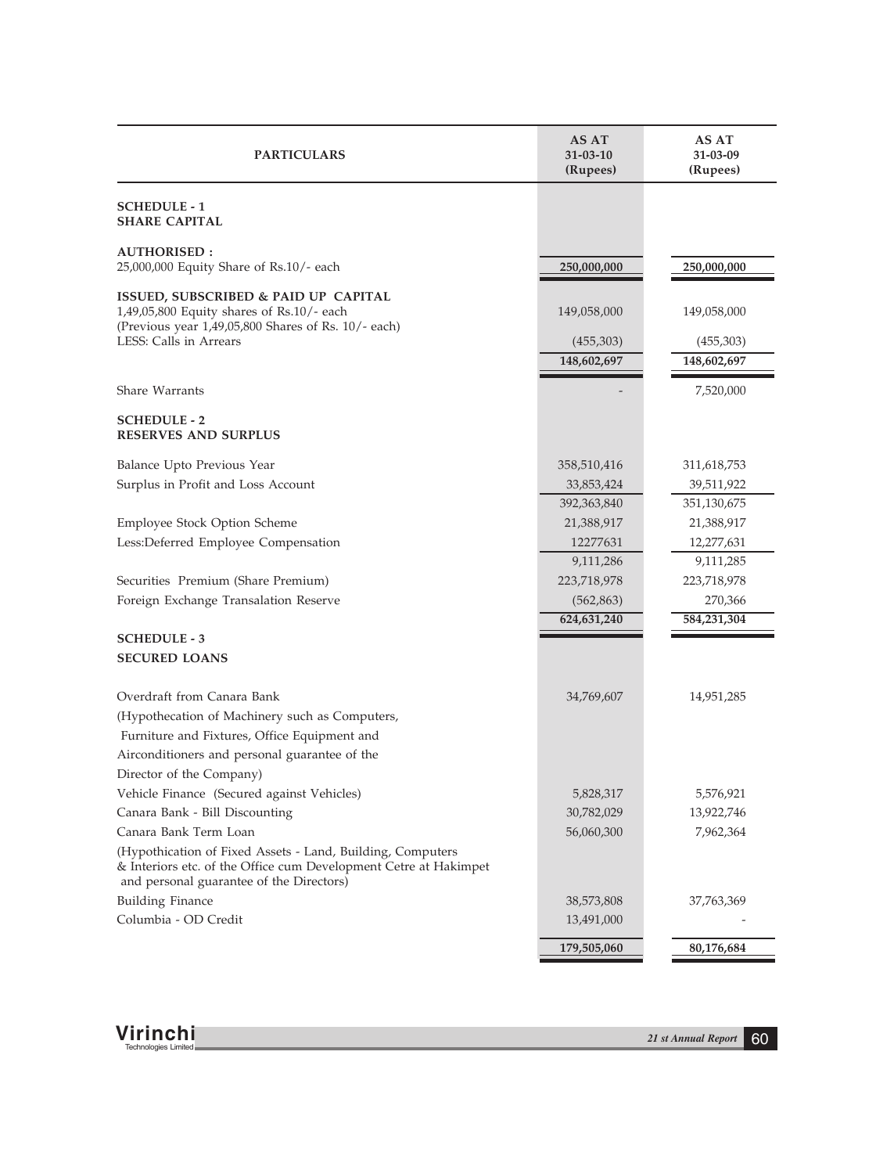| <b>PARTICULARS</b>                                                                                                                                                         | AS AT<br>$31 - 03 - 10$<br>(Rupees)     | AS AT<br>31-03-09<br>(Rupees)           |
|----------------------------------------------------------------------------------------------------------------------------------------------------------------------------|-----------------------------------------|-----------------------------------------|
| <b>SCHEDULE - 1</b><br><b>SHARE CAPITAL</b>                                                                                                                                |                                         |                                         |
| <b>AUTHORISED:</b><br>25,000,000 Equity Share of Rs.10/- each                                                                                                              | 250,000,000                             | 250,000,000                             |
| ISSUED, SUBSCRIBED & PAID UP CAPITAL<br>1,49,05,800 Equity shares of Rs.10/- each<br>(Previous year $1,49,05,800$ Shares of Rs. $10/-$ each)<br>LESS: Calls in Arrears     | 149,058,000<br>(455,303)<br>148,602,697 | 149,058,000<br>(455,303)<br>148,602,697 |
| Share Warrants                                                                                                                                                             |                                         | 7,520,000                               |
| <b>SCHEDULE - 2</b><br><b>RESERVES AND SURPLUS</b>                                                                                                                         |                                         |                                         |
| Balance Upto Previous Year                                                                                                                                                 | 358,510,416                             | 311,618,753                             |
| Surplus in Profit and Loss Account                                                                                                                                         | 33,853,424                              | 39,511,922                              |
|                                                                                                                                                                            | 392,363,840                             | 351,130,675                             |
| Employee Stock Option Scheme                                                                                                                                               | 21,388,917                              | 21,388,917                              |
| Less:Deferred Employee Compensation                                                                                                                                        | 12277631                                | 12,277,631                              |
|                                                                                                                                                                            | 9,111,286                               | 9,111,285                               |
| Securities Premium (Share Premium)                                                                                                                                         | 223,718,978                             | 223,718,978                             |
| Foreign Exchange Transalation Reserve                                                                                                                                      | (562, 863)                              | 270,366                                 |
|                                                                                                                                                                            | 624,631,240                             | 584,231,304                             |
| <b>SCHEDULE - 3</b>                                                                                                                                                        |                                         |                                         |
| <b>SECURED LOANS</b>                                                                                                                                                       |                                         |                                         |
| Overdraft from Canara Bank                                                                                                                                                 | 34,769,607                              | 14,951,285                              |
| (Hypothecation of Machinery such as Computers,                                                                                                                             |                                         |                                         |
| Furniture and Fixtures, Office Equipment and                                                                                                                               |                                         |                                         |
| Airconditioners and personal guarantee of the                                                                                                                              |                                         |                                         |
| Director of the Company)                                                                                                                                                   |                                         |                                         |
| Vehicle Finance (Secured against Vehicles)                                                                                                                                 | 5,828,317                               | 5,576,921                               |
| Canara Bank - Bill Discounting                                                                                                                                             | 30,782,029                              | 13,922,746                              |
| Canara Bank Term Loan                                                                                                                                                      | 56,060,300                              | 7,962,364                               |
| (Hypothication of Fixed Assets - Land, Building, Computers<br>& Interiors etc. of the Office cum Development Cetre at Hakimpet<br>and personal guarantee of the Directors) |                                         |                                         |
| <b>Building Finance</b>                                                                                                                                                    | 38,573,808                              | 37,763,369                              |
| Columbia - OD Credit                                                                                                                                                       | 13,491,000                              |                                         |
|                                                                                                                                                                            | 179,505,060                             | 80,176,684                              |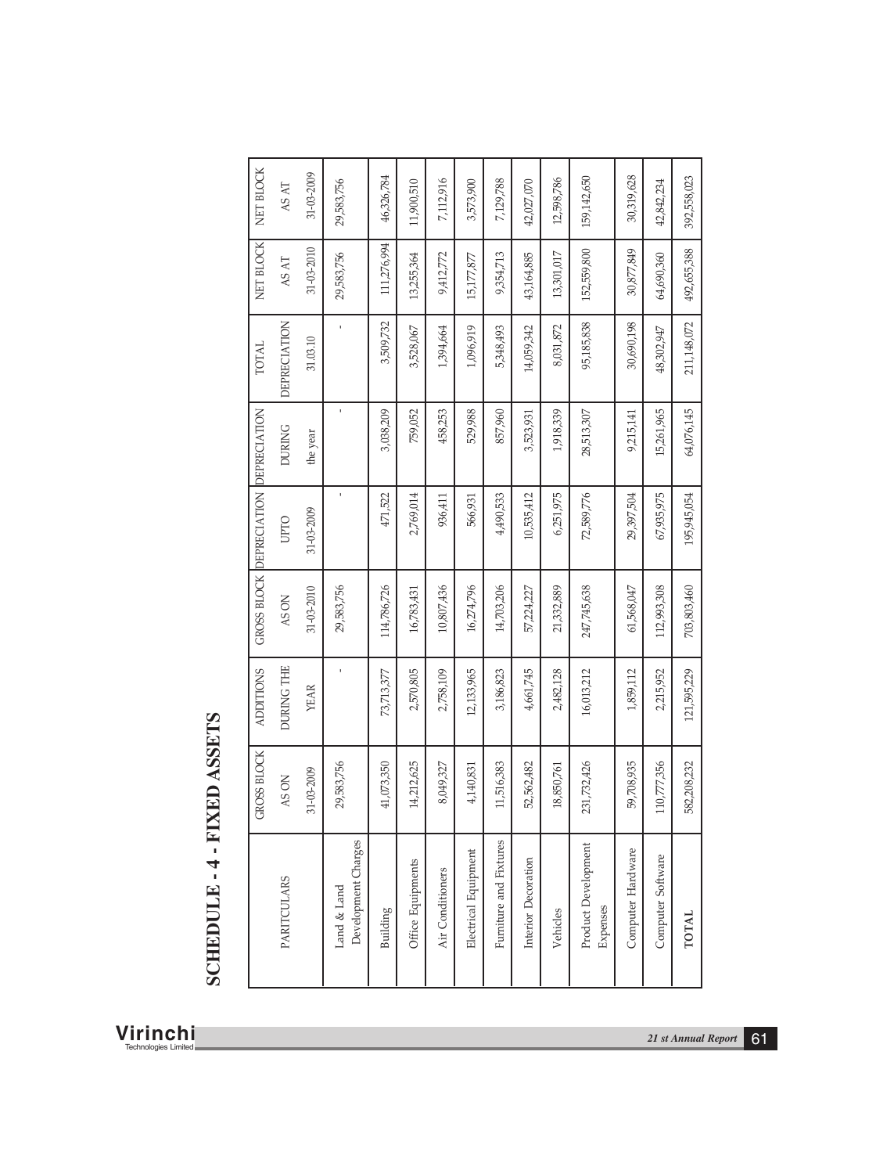| NET BLOCK<br>31-03-2009<br>159,142,650<br>46,326,784<br>7,112,916<br>12,598,786<br>11,900,510<br>29,583,756<br>3,573,900<br>7,129,788<br>42,027,070<br>42,842,234<br>AS AT<br>NET BLOCK<br>111,276,994<br>31-03-2010<br>152,559,800<br>30,877,849<br>13,301,017<br>64,690,360<br>29,583,756<br>13,255,364<br>9,354,713<br>43,164,885<br>9,412,772<br>15,177,877<br>AS AT<br>95,185,838<br>DEPRECIATION<br>3,509,732<br>30,690,198<br>8,031,872<br>$\,$<br>1,394,664<br>1,096,919<br>5,348,493<br>14,059,342<br>3,528,067<br>48,302,947<br>$31.03.10\,$<br><b>TOTAL</b><br>$\mathbf{I}$<br>15,261,965<br>GROSS BLOCK DEPRECIATION DEPRECIATION<br>3,038,209<br>759,052<br>458,253<br>529,988<br>857,960<br>1,918,339<br>9,215,141<br>28,513,307<br>3,523,931<br><b>DURING</b><br>the year<br>$\mathbf{I}$<br>2,769,014<br>6,251,975<br>72,589,776<br>67,935,975<br>471,522<br>10,535,412<br>29,397,504<br>936,411<br>4,490,533<br>566,931<br>31-03-2009<br><b>OLLO</b><br>114,786,726<br>16,274,796<br>14,703,206<br>247,745,638<br>112,993,308<br>31-03-2010<br>10,807,436<br>29,583,756<br>21,332,889<br>61,568,047<br>16,783,431<br>57,224,227<br>AS ON<br>DURING THE<br><b>ADDITIONS</b><br>2,570,805<br>12,133,965<br>4,661,745<br>16,013,212<br>1,859,112<br>2,215,952<br>2,758,109<br>3,186,823<br>2,482,128<br>73,713,377<br><b>YEAR</b><br><b>GROSS BLOCK</b><br>110,777,356<br>29,583,756<br>41,073,350<br>14,212,625<br>231,732,426<br>59,708,935<br>11,516,383<br>52,562,482<br>8,049,327<br>18,850,761<br>4,140,831<br>31-03-2009<br>AS ON |                                                                                                                                                             |                     |                   |
|--------------------------------------------------------------------------------------------------------------------------------------------------------------------------------------------------------------------------------------------------------------------------------------------------------------------------------------------------------------------------------------------------------------------------------------------------------------------------------------------------------------------------------------------------------------------------------------------------------------------------------------------------------------------------------------------------------------------------------------------------------------------------------------------------------------------------------------------------------------------------------------------------------------------------------------------------------------------------------------------------------------------------------------------------------------------------------------------------------------------------------------------------------------------------------------------------------------------------------------------------------------------------------------------------------------------------------------------------------------------------------------------------------------------------------------------------------------------------------------------------------------------------------------------------------|-------------------------------------------------------------------------------------------------------------------------------------------------------------|---------------------|-------------------|
|                                                                                                                                                                                                                                                                                                                                                                                                                                                                                                                                                                                                                                                                                                                                                                                                                                                                                                                                                                                                                                                                                                                                                                                                                                                                                                                                                                                                                                                                                                                                                        |                                                                                                                                                             |                     | 30,319,628        |
|                                                                                                                                                                                                                                                                                                                                                                                                                                                                                                                                                                                                                                                                                                                                                                                                                                                                                                                                                                                                                                                                                                                                                                                                                                                                                                                                                                                                                                                                                                                                                        |                                                                                                                                                             |                     |                   |
|                                                                                                                                                                                                                                                                                                                                                                                                                                                                                                                                                                                                                                                                                                                                                                                                                                                                                                                                                                                                                                                                                                                                                                                                                                                                                                                                                                                                                                                                                                                                                        |                                                                                                                                                             |                     |                   |
|                                                                                                                                                                                                                                                                                                                                                                                                                                                                                                                                                                                                                                                                                                                                                                                                                                                                                                                                                                                                                                                                                                                                                                                                                                                                                                                                                                                                                                                                                                                                                        |                                                                                                                                                             |                     |                   |
|                                                                                                                                                                                                                                                                                                                                                                                                                                                                                                                                                                                                                                                                                                                                                                                                                                                                                                                                                                                                                                                                                                                                                                                                                                                                                                                                                                                                                                                                                                                                                        |                                                                                                                                                             |                     |                   |
|                                                                                                                                                                                                                                                                                                                                                                                                                                                                                                                                                                                                                                                                                                                                                                                                                                                                                                                                                                                                                                                                                                                                                                                                                                                                                                                                                                                                                                                                                                                                                        |                                                                                                                                                             |                     |                   |
|                                                                                                                                                                                                                                                                                                                                                                                                                                                                                                                                                                                                                                                                                                                                                                                                                                                                                                                                                                                                                                                                                                                                                                                                                                                                                                                                                                                                                                                                                                                                                        |                                                                                                                                                             |                     |                   |
|                                                                                                                                                                                                                                                                                                                                                                                                                                                                                                                                                                                                                                                                                                                                                                                                                                                                                                                                                                                                                                                                                                                                                                                                                                                                                                                                                                                                                                                                                                                                                        |                                                                                                                                                             |                     |                   |
| Computer Software<br>Land & Land<br>Expenses<br>Building<br>Vehicles                                                                                                                                                                                                                                                                                                                                                                                                                                                                                                                                                                                                                                                                                                                                                                                                                                                                                                                                                                                                                                                                                                                                                                                                                                                                                                                                                                                                                                                                                   | Furniture and Fixtures<br>Development Charges<br>Electrical Equipment<br>Interior Decoration<br>Office Equipments<br>Air Conditioners<br><b>PARITCULARS</b> | Product Development | Computer Hardware |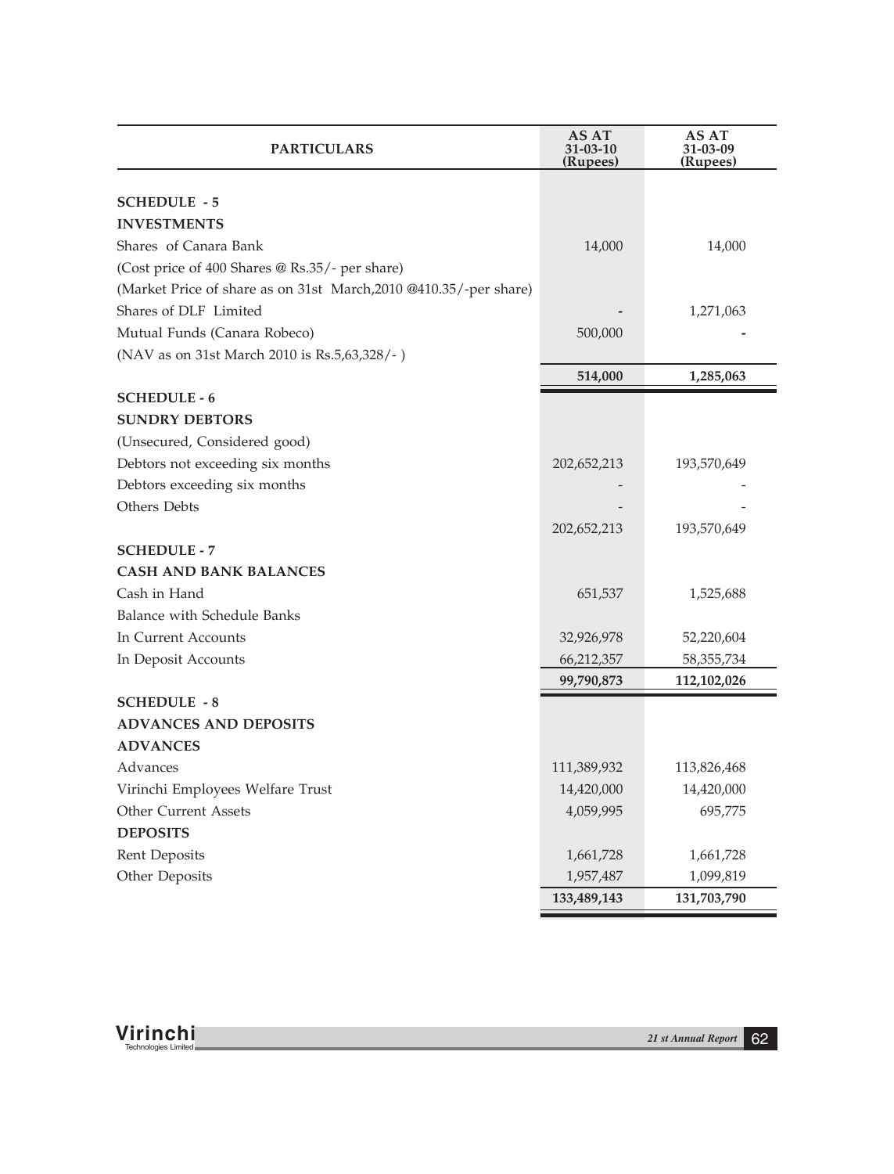| <b>PARTICULARS</b>                                                | AS AT<br>$31 - 03 - 10$<br>(Rupees) | AS AT<br>31-03-09<br>(Rupees) |
|-------------------------------------------------------------------|-------------------------------------|-------------------------------|
|                                                                   |                                     |                               |
| <b>SCHEDULE - 5</b>                                               |                                     |                               |
| <b>INVESTMENTS</b>                                                |                                     |                               |
| Shares of Canara Bank                                             | 14,000                              | 14,000                        |
| (Cost price of 400 Shares @ Rs.35/- per share)                    |                                     |                               |
| (Market Price of share as on 31st March, 2010 @410.35/-per share) |                                     |                               |
| Shares of DLF Limited                                             |                                     | 1,271,063                     |
| Mutual Funds (Canara Robeco)                                      | 500,000                             |                               |
| (NAV as on 31st March 2010 is Rs.5,63,328/-)                      |                                     |                               |
|                                                                   | 514,000                             | 1,285,063                     |
| <b>SCHEDULE - 6</b>                                               |                                     |                               |
| <b>SUNDRY DEBTORS</b>                                             |                                     |                               |
| (Unsecured, Considered good)                                      |                                     |                               |
| Debtors not exceeding six months                                  | 202,652,213                         | 193,570,649                   |
| Debtors exceeding six months                                      |                                     |                               |
| Others Debts                                                      |                                     |                               |
|                                                                   | 202,652,213                         | 193,570,649                   |
| <b>SCHEDULE - 7</b>                                               |                                     |                               |
| <b>CASH AND BANK BALANCES</b>                                     |                                     |                               |
| Cash in Hand                                                      | 651,537                             | 1,525,688                     |
| Balance with Schedule Banks                                       |                                     |                               |
| In Current Accounts                                               | 32,926,978                          | 52,220,604                    |
| In Deposit Accounts                                               | 66,212,357                          | 58, 355, 734                  |
|                                                                   | 99,790,873                          | 112,102,026                   |
| <b>SCHEDULE - 8</b>                                               |                                     |                               |
| <b>ADVANCES AND DEPOSITS</b>                                      |                                     |                               |
| <b>ADVANCES</b>                                                   |                                     |                               |
| Advances                                                          | 111,389,932                         | 113,826,468                   |
| Virinchi Employees Welfare Trust                                  | 14,420,000                          | 14,420,000                    |
| <b>Other Current Assets</b>                                       | 4,059,995                           | 695,775                       |
| <b>DEPOSITS</b>                                                   |                                     |                               |
| Rent Deposits                                                     | 1,661,728                           | 1,661,728                     |
| Other Deposits                                                    | 1,957,487                           | 1,099,819                     |
|                                                                   | 133,489,143                         | 131,703,790                   |

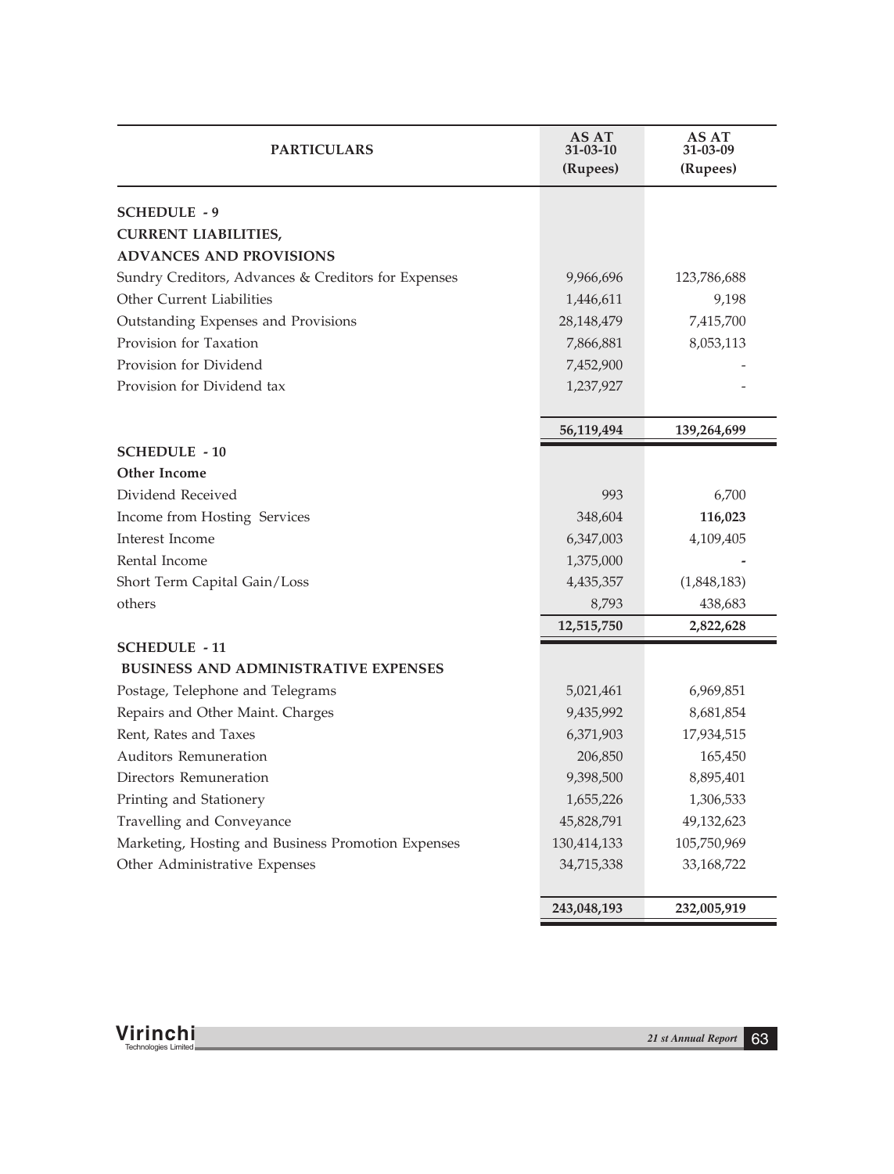| <b>PARTICULARS</b>                                  | AS AT<br>$31 - 03 - 10$<br>(Rupees) | AS AT<br>31-03-09<br>(Rupees) |
|-----------------------------------------------------|-------------------------------------|-------------------------------|
| <b>SCHEDULE - 9</b>                                 |                                     |                               |
| <b>CURRENT LIABILITIES,</b>                         |                                     |                               |
| <b>ADVANCES AND PROVISIONS</b>                      |                                     |                               |
| Sundry Creditors, Advances & Creditors for Expenses | 9,966,696                           | 123,786,688                   |
| Other Current Liabilities                           | 1,446,611                           | 9,198                         |
| Outstanding Expenses and Provisions                 | 28, 148, 479                        | 7,415,700                     |
| Provision for Taxation                              | 7,866,881                           | 8,053,113                     |
| Provision for Dividend                              | 7,452,900                           |                               |
| Provision for Dividend tax                          | 1,237,927                           |                               |
|                                                     |                                     |                               |
|                                                     | 56,119,494                          | 139,264,699                   |
| <b>SCHEDULE - 10</b>                                |                                     |                               |
| <b>Other Income</b>                                 |                                     |                               |
| Dividend Received                                   | 993                                 | 6,700                         |
| Income from Hosting Services                        | 348,604                             | 116,023                       |
| Interest Income                                     | 6,347,003                           | 4,109,405                     |
| Rental Income                                       | 1,375,000                           |                               |
| Short Term Capital Gain/Loss                        | 4,435,357                           | (1,848,183)                   |
| others                                              | 8,793                               | 438,683                       |
|                                                     | 12,515,750                          | 2,822,628                     |
| <b>SCHEDULE - 11</b>                                |                                     |                               |
| BUSINESS AND ADMINISTRATIVE EXPENSES                |                                     |                               |
| Postage, Telephone and Telegrams                    | 5,021,461                           | 6,969,851                     |
| Repairs and Other Maint. Charges                    | 9,435,992                           | 8,681,854                     |
| Rent, Rates and Taxes                               | 6,371,903                           | 17,934,515                    |
| <b>Auditors Remuneration</b>                        | 206,850                             | 165,450                       |
| Directors Remuneration                              | 9,398,500                           | 8,895,401                     |
| Printing and Stationery                             | 1,655,226                           | 1,306,533                     |
| Travelling and Conveyance                           | 45,828,791                          | 49,132,623                    |
| Marketing, Hosting and Business Promotion Expenses  | 130,414,133                         | 105,750,969                   |
| Other Administrative Expenses                       | 34,715,338                          | 33, 168, 722                  |
|                                                     | 243,048,193                         | 232,005,919                   |

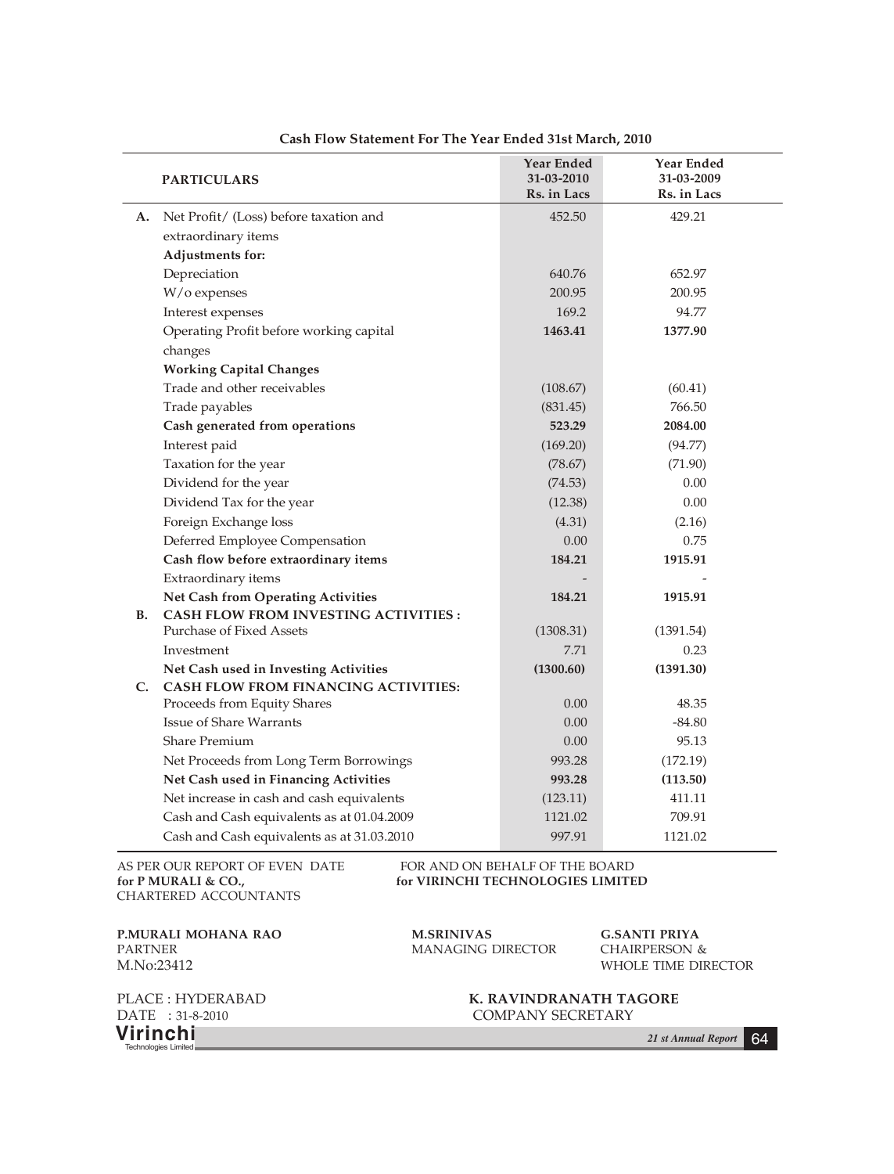|           | <b>PARTICULARS</b>                                                         | Year Ended<br>31-03-2010<br>Rs. in Lacs | Year Ended<br>31-03-2009<br>Rs. in Lacs |
|-----------|----------------------------------------------------------------------------|-----------------------------------------|-----------------------------------------|
| А.        | Net Profit/ (Loss) before taxation and                                     | 452.50                                  | 429.21                                  |
|           | extraordinary items                                                        |                                         |                                         |
|           | Adjustments for:                                                           |                                         |                                         |
|           | Depreciation                                                               | 640.76                                  | 652.97                                  |
|           | W/o expenses                                                               | 200.95                                  | 200.95                                  |
|           | Interest expenses                                                          | 169.2                                   | 94.77                                   |
|           | Operating Profit before working capital                                    | 1463.41                                 | 1377.90                                 |
|           | changes                                                                    |                                         |                                         |
|           | <b>Working Capital Changes</b>                                             |                                         |                                         |
|           | Trade and other receivables                                                | (108.67)                                | (60.41)                                 |
|           | Trade payables                                                             | (831.45)                                | 766.50                                  |
|           | Cash generated from operations                                             | 523.29                                  | 2084.00                                 |
|           | Interest paid                                                              | (169.20)                                | (94.77)                                 |
|           | Taxation for the year                                                      | (78.67)                                 | (71.90)                                 |
|           | Dividend for the year                                                      | (74.53)                                 | 0.00                                    |
|           | Dividend Tax for the year                                                  | (12.38)                                 | 0.00                                    |
|           | Foreign Exchange loss                                                      | (4.31)                                  | (2.16)                                  |
|           | Deferred Employee Compensation                                             | 0.00                                    | 0.75                                    |
|           | Cash flow before extraordinary items                                       | 184.21                                  | 1915.91                                 |
|           | Extraordinary items                                                        |                                         |                                         |
|           | Net Cash from Operating Activities                                         | 184.21                                  | 1915.91                                 |
| <b>B.</b> | <b>CASH FLOW FROM INVESTING ACTIVITIES:</b>                                |                                         |                                         |
|           | Purchase of Fixed Assets                                                   | (1308.31)                               | (1391.54)                               |
|           | Investment                                                                 | 7.71                                    | 0.23                                    |
|           | Net Cash used in Investing Activities                                      | (1300.60)                               | (1391.30)                               |
| C.        | <b>CASH FLOW FROM FINANCING ACTIVITIES:</b><br>Proceeds from Equity Shares | 0.00                                    | 48.35                                   |
|           | <b>Issue of Share Warrants</b>                                             | 0.00                                    | -84.80                                  |
|           | <b>Share Premium</b>                                                       | 0.00                                    | 95.13                                   |
|           | Net Proceeds from Long Term Borrowings                                     | 993.28                                  | (172.19)                                |
|           | Net Cash used in Financing Activities                                      | 993.28                                  | (113.50)                                |
|           | Net increase in cash and cash equivalents                                  | (123.11)                                | 411.11                                  |
|           | Cash and Cash equivalents as at 01.04.2009                                 | 1121.02                                 | 709.91                                  |
|           | Cash and Cash equivalents as at 31.03.2010                                 | 997.91                                  | 1121.02                                 |
|           |                                                                            |                                         |                                         |

# **Cash Flow Statement For The Year Ended 31st March, 2010**

AS PER OUR REPORT OF EVEN DATE FOR AND ON BEHALF OF THE BOARD for P MURALI & CO., for VIRINCHI TECHNOLOGIES LIMITE CHARTERED ACCOUNTANTS

for VIRINCHI TECHNOLOGIES LIMITED

**P.MURALI MOHANA RAO M.SRINIVAS G.SANTI PRIYA** M.No:23412 WHOLE TIME DIRECTOR

MANAGING DIRECTOR

**Virinchi** *21 st Annual Report* <sup>64</sup> Technologies Limited

PLACE : HYDERABAD **K. RAVINDRANATH TAGORE** DATE : 31-8-2010 **K. RAVINDRANATH TAGORE** COMPANY SECRETARY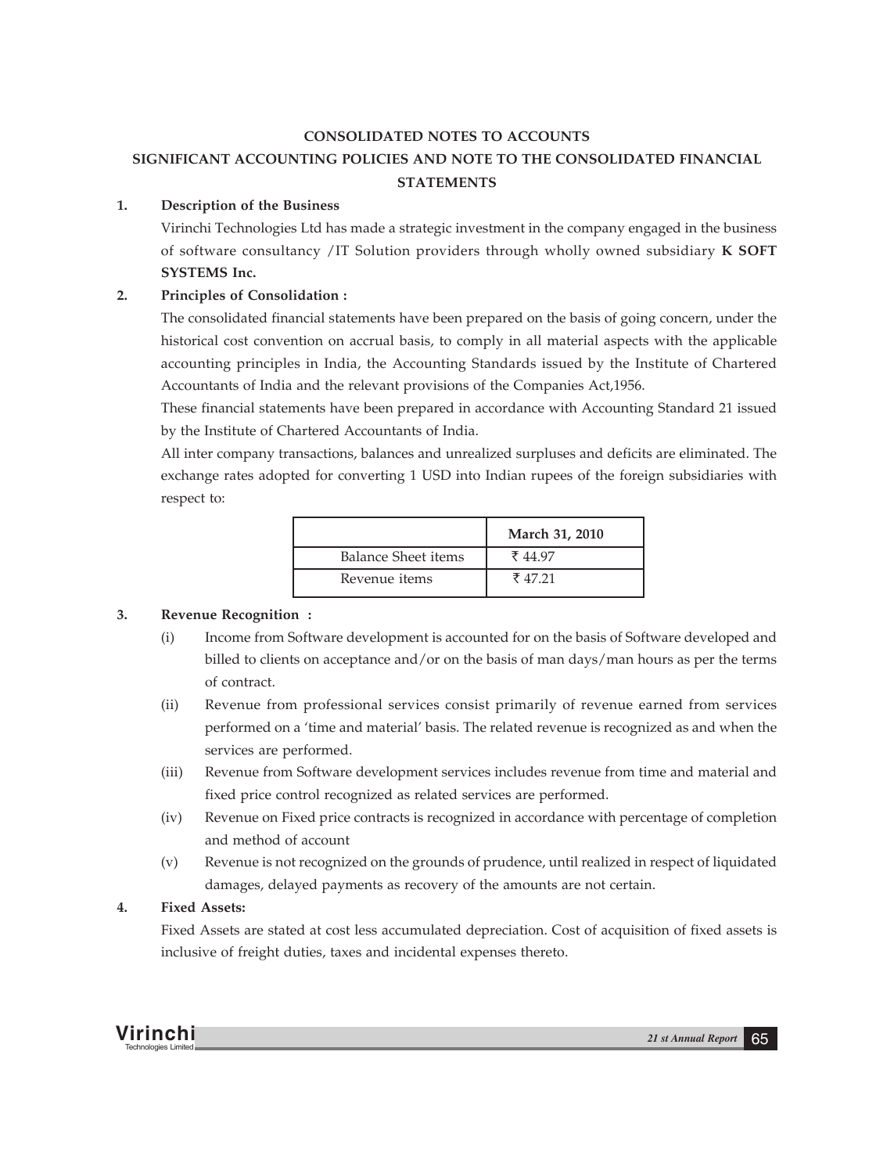# **CONSOLIDATED NOTES TO ACCOUNTS**

# **SIGNIFICANT ACCOUNTING POLICIES AND NOTE TO THE CONSOLIDATED FINANCIAL STATEMENTS**

# **1. Description of the Business**

Virinchi Technologies Ltd has made a strategic investment in the company engaged in the business of software consultancy /IT Solution providers through wholly owned subsidiary **K SOFT SYSTEMS Inc.**

# **2. Principles of Consolidation :**

The consolidated financial statements have been prepared on the basis of going concern, under the historical cost convention on accrual basis, to comply in all material aspects with the applicable accounting principles in India, the Accounting Standards issued by the Institute of Chartered Accountants of India and the relevant provisions of the Companies Act,1956.

These financial statements have been prepared in accordance with Accounting Standard 21 issued by the Institute of Chartered Accountants of India.

All inter company transactions, balances and unrealized surpluses and deficits are eliminated. The exchange rates adopted for converting 1 USD into Indian rupees of the foreign subsidiaries with respect to:

|                      | March 31, 2010 |
|----------------------|----------------|
| Balance Sheet items  | ₹44.97         |
| Revenue <i>items</i> | ₹4721          |

# **3. Revenue Recognition :**

- (i) Income from Software development is accounted for on the basis of Software developed and billed to clients on acceptance and/or on the basis of man days/man hours as per the terms of contract.
- (ii) Revenue from professional services consist primarily of revenue earned from services performed on a 'time and material' basis. The related revenue is recognized as and when the services are performed.
- (iii) Revenue from Software development services includes revenue from time and material and fixed price control recognized as related services are performed.
- (iv) Revenue on Fixed price contracts is recognized in accordance with percentage of completion and method of account
- (v) Revenue is not recognized on the grounds of prudence, until realized in respect of liquidated damages, delayed payments as recovery of the amounts are not certain.

# **4. Fixed Assets:**

Fixed Assets are stated at cost less accumulated depreciation. Cost of acquisition of fixed assets is inclusive of freight duties, taxes and incidental expenses thereto.

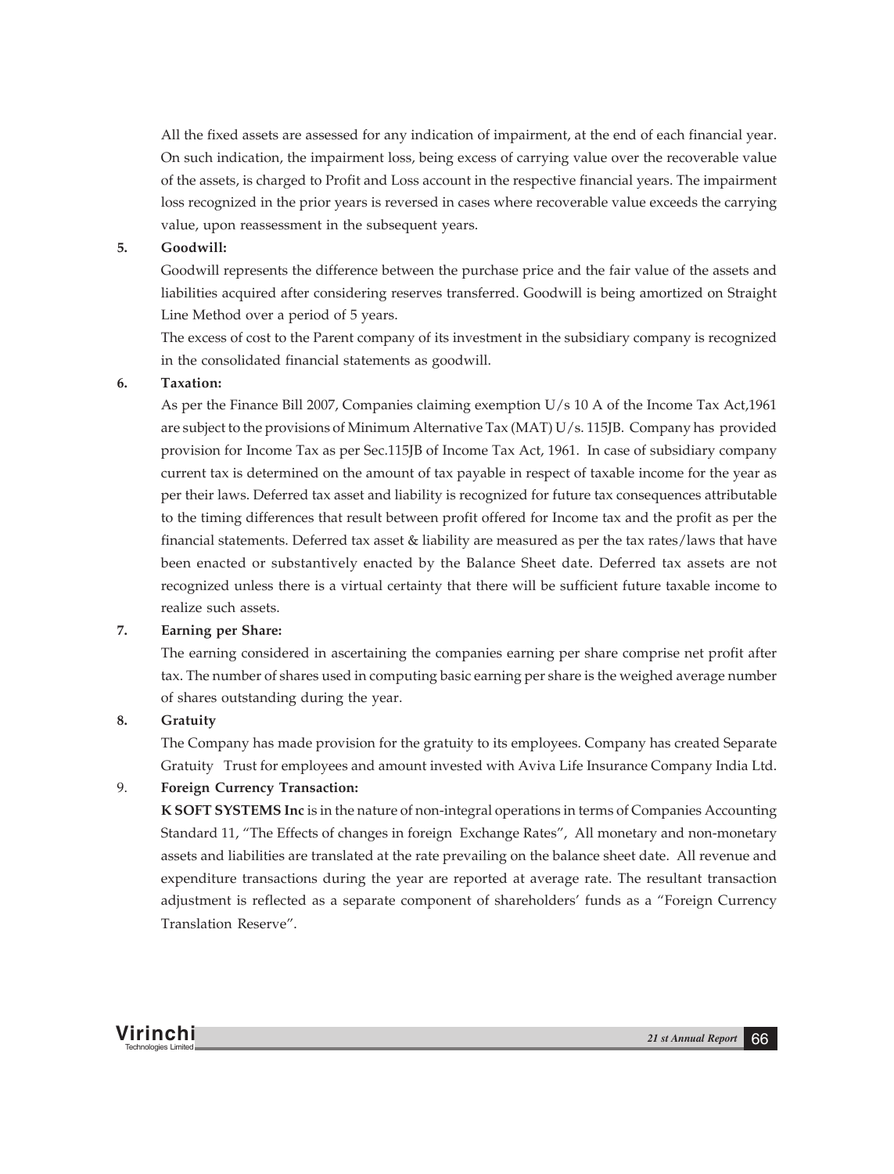All the fixed assets are assessed for any indication of impairment, at the end of each financial year. On such indication, the impairment loss, being excess of carrying value over the recoverable value of the assets, is charged to Profit and Loss account in the respective financial years. The impairment loss recognized in the prior years is reversed in cases where recoverable value exceeds the carrying value, upon reassessment in the subsequent years.

# **5. Goodwill:**

Goodwill represents the difference between the purchase price and the fair value of the assets and liabilities acquired after considering reserves transferred. Goodwill is being amortized on Straight Line Method over a period of 5 years.

The excess of cost to the Parent company of its investment in the subsidiary company is recognized in the consolidated financial statements as goodwill.

#### **6. Taxation:**

As per the Finance Bill 2007, Companies claiming exemption U/s 10 A of the Income Tax Act,1961 are subject to the provisions of Minimum Alternative Tax (MAT) U/s. 115JB. Company has provided provision for Income Tax as per Sec.115JB of Income Tax Act, 1961. In case of subsidiary company current tax is determined on the amount of tax payable in respect of taxable income for the year as per their laws. Deferred tax asset and liability is recognized for future tax consequences attributable to the timing differences that result between profit offered for Income tax and the profit as per the financial statements. Deferred tax asset & liability are measured as per the tax rates/laws that have been enacted or substantively enacted by the Balance Sheet date. Deferred tax assets are not recognized unless there is a virtual certainty that there will be sufficient future taxable income to realize such assets.

## **7. Earning per Share:**

The earning considered in ascertaining the companies earning per share comprise net profit after tax. The number of shares used in computing basic earning per share is the weighed average number of shares outstanding during the year.

### **8. Gratuity**

The Company has made provision for the gratuity to its employees. Company has created Separate Gratuity Trust for employees and amount invested with Aviva Life Insurance Company India Ltd.

# 9. **Foreign Currency Transaction:**

**K SOFT SYSTEMS Inc** is in the nature of non-integral operations in terms of Companies Accounting Standard 11, "The Effects of changes in foreign Exchange Rates", All monetary and non-monetary assets and liabilities are translated at the rate prevailing on the balance sheet date. All revenue and expenditure transactions during the year are reported at average rate. The resultant transaction adjustment is reflected as a separate component of shareholders' funds as a "Foreign Currency Translation Reserve".

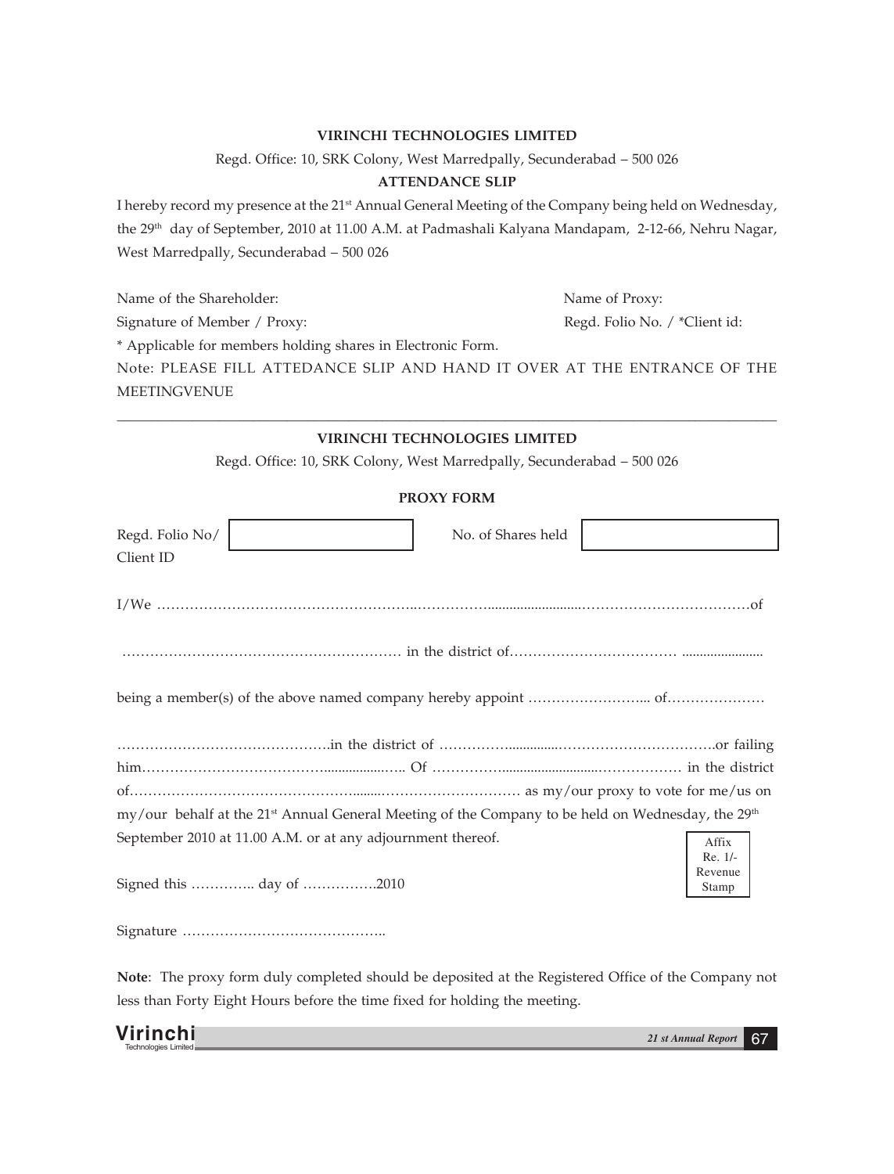# **VIRINCHI TECHNOLOGIES LIMITED**

Regd. Office: 10, SRK Colony, West Marredpally, Secunderabad – 500 026

# **ATTENDANCE SLIP**

I hereby record my presence at the 21<sup>st</sup> Annual General Meeting of the Company being held on Wednesday, the 29<sup>th</sup> day of September, 2010 at 11.00 A.M. at Padmashali Kalyana Mandapam, 2-12-66, Nehru Nagar, West Marredpally, Secunderabad – 500 026

Name of the Shareholder: Name of Proxy: Signature of Member / Proxy: Regd. Folio No. / \*Client id: \* Applicable for members holding shares in Electronic Form. Note: PLEASE FILL ATTEDANCE SLIP AND HAND IT OVER AT THE ENTRANCE OF THE MEETINGVENUE

# **\_\_\_\_\_\_\_\_\_\_\_\_\_\_\_\_\_\_\_\_\_\_\_\_\_\_\_\_\_\_\_\_\_\_\_\_\_\_\_\_\_\_\_\_\_\_\_\_\_\_\_\_\_\_\_\_\_\_\_\_\_\_\_\_\_\_\_\_\_\_\_\_\_\_\_\_\_\_\_\_\_\_\_\_\_\_\_\_\_\_\_\_\_\_\_\_\_ VIRINCHI TECHNOLOGIES LIMITED**

Regd. Office: 10, SRK Colony, West Marredpally, Secunderabad – 500 026

# **PROXY FORM**

| Regd. Folio No/ |                                                                                                                           | No. of Shares held |  |                             |
|-----------------|---------------------------------------------------------------------------------------------------------------------------|--------------------|--|-----------------------------|
| Client ID       |                                                                                                                           |                    |  |                             |
|                 |                                                                                                                           |                    |  |                             |
|                 |                                                                                                                           |                    |  |                             |
|                 |                                                                                                                           |                    |  |                             |
|                 |                                                                                                                           |                    |  |                             |
|                 |                                                                                                                           |                    |  |                             |
|                 |                                                                                                                           |                    |  |                             |
|                 | my/our behalf at the 21 <sup>st</sup> Annual General Meeting of the Company to be held on Wednesday, the 29 <sup>th</sup> |                    |  |                             |
|                 | September 2010 at 11.00 A.M. or at any adjournment thereof.                                                               |                    |  | Affix                       |
|                 | Signed this  day of 2010                                                                                                  |                    |  | Re. 1/-<br>Revenue<br>Stamp |
|                 |                                                                                                                           |                    |  |                             |

**Note**: The proxy form duly completed should be deposited at the Registered Office of the Company not less than Forty Eight Hours before the time fixed for holding the meeting.

| Virinchi             | 21 st Annual Report | n, |
|----------------------|---------------------|----|
| Technologies Limited |                     |    |